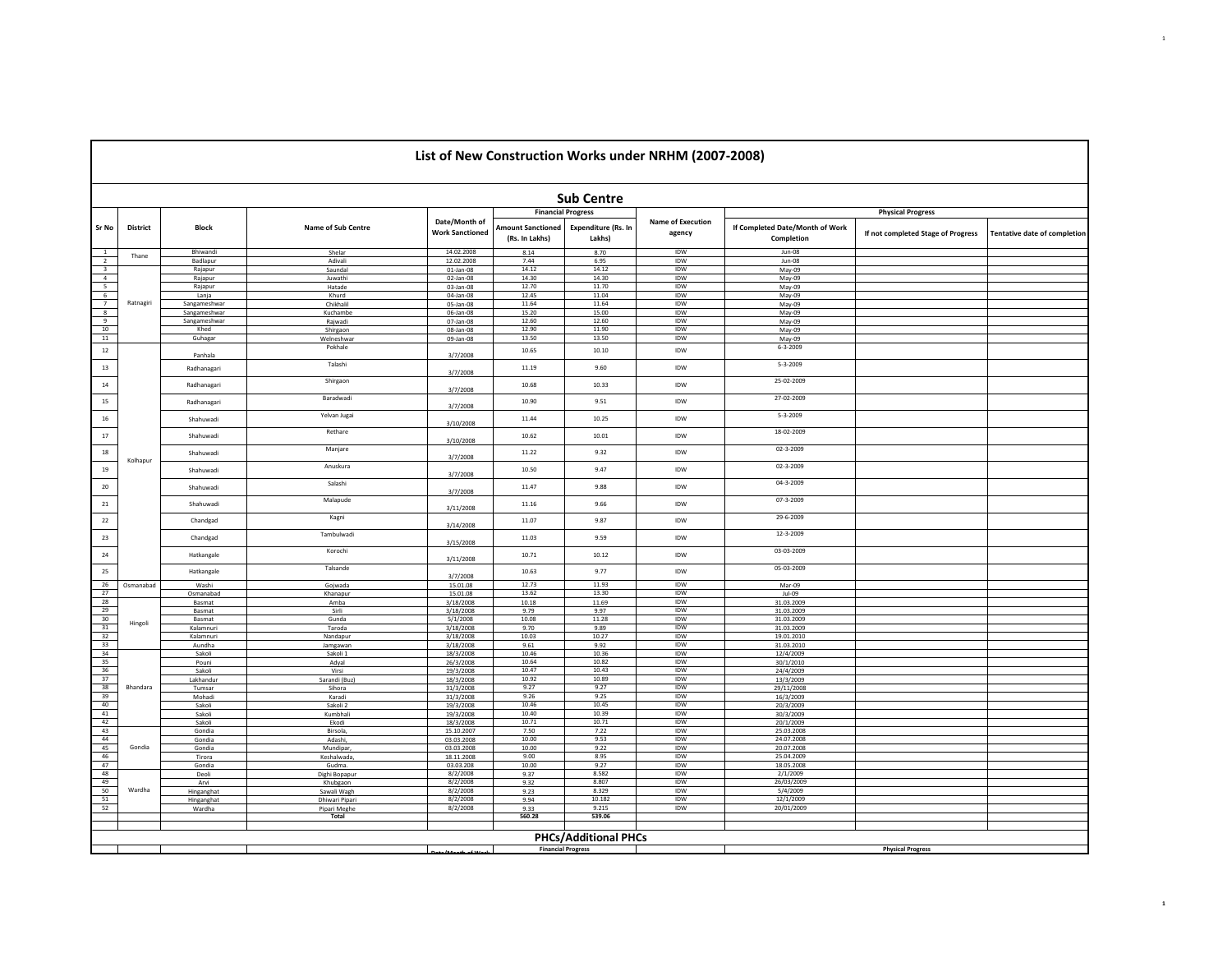|                                       |                                                                                   |                        |                         |                                         |                                            |                                      | List of New Construction Works under NRHM (2007-2008) |                                               |                                    |                              |  |  |  |
|---------------------------------------|-----------------------------------------------------------------------------------|------------------------|-------------------------|-----------------------------------------|--------------------------------------------|--------------------------------------|-------------------------------------------------------|-----------------------------------------------|------------------------------------|------------------------------|--|--|--|
|                                       |                                                                                   |                        |                         |                                         |                                            | <b>Sub Centre</b>                    |                                                       |                                               |                                    |                              |  |  |  |
|                                       |                                                                                   |                        |                         |                                         | <b>Financial Progress</b>                  |                                      |                                                       |                                               | <b>Physical Progress</b>           |                              |  |  |  |
| Sr No                                 | <b>District</b>                                                                   | <b>Block</b>           | Name of Sub Centre      | Date/Month of<br><b>Work Sanctioned</b> | <b>Amount Sanctioned</b><br>(Rs. In Lakhs) | <b>Expenditure (Rs. In</b><br>Lakhs) | <b>Name of Execution</b><br>agency                    | If Completed Date/Month of Work<br>Completion | If not completed Stage of Progress | Tentative date of completion |  |  |  |
| $\,$ 1                                | Thane                                                                             | Bhiwandi               | Shelar                  | 14.02.2008                              | 8.14                                       | 8.70                                 | IDW                                                   | Jun-08                                        |                                    |                              |  |  |  |
| $\frac{1}{2}$                         |                                                                                   | Badlapur               | Adivali                 | 12.02.2008                              | 7.44                                       | 6.95                                 | IDW                                                   | Jun-08                                        |                                    |                              |  |  |  |
| $\overline{\phantom{a}}$              |                                                                                   | Rajapur                | Saundal                 | $01$ -Jan-08                            | 14.12                                      | 14.12                                | IDW                                                   | May-09                                        |                                    |                              |  |  |  |
| $\overline{4}$                        |                                                                                   | Rajapur                | Juwathi                 | 02-Jan-08                               | 14.30<br>12.70                             | 14.30<br>11.70                       | <b>IDW</b><br><b>IDW</b>                              | May-09                                        |                                    |                              |  |  |  |
| $\begin{array}{c} 5 \\ 6 \end{array}$ |                                                                                   | Rajapur<br>Lanja       | Hatade<br>Khurd         | $03$ -Jan-08<br>04-Jan-08               | 12.45                                      | 11.04                                | IDW                                                   | May-09<br>May-09                              |                                    |                              |  |  |  |
| $\overline{7}$                        | Ratnagiri                                                                         | Sangameshwar           | Chikhalil               | 05-Jan-08                               | 11.64                                      | 11.64                                | IDW                                                   | May-09                                        |                                    |                              |  |  |  |
| 8                                     |                                                                                   | Sangameshwar           | Kuchambe                | 06-Jan-08                               | 15.20                                      | 15.00                                | IDW                                                   | May-09                                        |                                    |                              |  |  |  |
| 9                                     |                                                                                   | Sangameshwar           | Rajwadi                 | 07-Jan-08                               | 12.60                                      | 12.60                                | IDW                                                   | May-09                                        |                                    |                              |  |  |  |
| $\frac{10}{11}$                       |                                                                                   | Khed                   | Shirgaon                | 08-Jan-08                               | 12.90                                      | 11.90                                | IDW                                                   | May-09                                        |                                    |                              |  |  |  |
|                                       |                                                                                   | Guhagar                | Welneshwar              | 09-Jan-08                               | 13.50                                      | 13.50                                | IDW                                                   | May-09                                        |                                    |                              |  |  |  |
| $12\,$                                |                                                                                   | Panhala                | Pokhale                 | 3/7/2008                                | 10.65                                      | 10.10                                | IDW                                                   | $6 - 3 - 2009$                                |                                    |                              |  |  |  |
| 13                                    |                                                                                   | Radhanagari            | Talashi                 | 3/7/2008                                | 11.19                                      | 9.60                                 | IDW                                                   | $5 - 3 - 2009$                                |                                    |                              |  |  |  |
| $14\,$                                |                                                                                   | Radhanagari            | Shirgaon                | 3/7/2008                                | 10.68                                      | 10.33                                | IDW                                                   | 25-02-2009                                    |                                    |                              |  |  |  |
| 15                                    | Baradwadi<br>27-02-2009<br>10.90<br>9.51<br><b>IDW</b><br>Radhanagari<br>3/7/2008 |                        |                         |                                         |                                            |                                      |                                                       |                                               |                                    |                              |  |  |  |
| ${\bf 16}$                            | 5-3-2009<br>Yelvan Jugai<br>10.25<br>11.44<br>IDW<br>Shahuwadi<br>3/10/2008       |                        |                         |                                         |                                            |                                      |                                                       |                                               |                                    |                              |  |  |  |
| $17\,$                                |                                                                                   | Shahuwadi              | Rethare<br>Manjare      | 3/10/2008                               | 10.62                                      | 10.01                                | <b>IDW</b>                                            | 18-02-2009<br>02-3-2009                       |                                    |                              |  |  |  |
| $18\,$                                | Kolhapur                                                                          | Shahuwadi              | Anuskura                | 3/7/2008                                | 11.22                                      | 9.32                                 | IDW                                                   | 02-3-2009                                     |                                    |                              |  |  |  |
| 19                                    |                                                                                   | Shahuwadi              | Salashi                 | 3/7/2008                                | 10.50                                      | 9.47                                 | IDW                                                   | 04-3-2009                                     |                                    |                              |  |  |  |
| $20\,$                                |                                                                                   | Shahuwadi              | Malapude                | 3/7/2008                                | 11.47                                      | 9.88                                 | IDW                                                   | 07-3-2009                                     |                                    |                              |  |  |  |
| 21                                    |                                                                                   | Shahuwadi              | Kagni                   | 3/11/2008                               | 11.16                                      | 9.66                                 | IDW                                                   | 29-6-2009                                     |                                    |                              |  |  |  |
| 22                                    |                                                                                   | Chandgad               | Tambulwadi              | 3/14/2008                               | 11.07                                      | 9.87                                 | IDW                                                   | 12-3-2009                                     |                                    |                              |  |  |  |
| 23                                    |                                                                                   | Chandgad               | Korochi                 | 3/15/2008                               | 11.03                                      | 9.59                                 | IDW                                                   | 03-03-2009                                    |                                    |                              |  |  |  |
| 24                                    |                                                                                   | Hatkangale             | Talsande                | 3/11/2008                               | 10.71                                      | 10.12                                | IDW                                                   | 05-03-2009                                    |                                    |                              |  |  |  |
| 25<br>26                              | Osmanabad                                                                         | Hatkangale<br>Washi    | Gojwada                 | 3/7/2008<br>15.01.08                    | 10.63<br>12.73                             | 9.77<br>11.93                        | IDW<br>IDW                                            | Mar-09                                        |                                    |                              |  |  |  |
| 27                                    |                                                                                   | Osmanabac              | Khanapur                | 15.01.08                                | 13.62                                      | 13.30                                | IDW                                                   | $Jul-09$                                      |                                    |                              |  |  |  |
| 28                                    |                                                                                   | Basmat                 | Amba                    | 3/18/2008                               | 10.18                                      | 11.69                                | IDW                                                   | 31.03.2009                                    |                                    |                              |  |  |  |
| 29                                    |                                                                                   | Basmat                 | Sirli                   | 3/18/2008                               | 9.79                                       | 9.97                                 | IDW                                                   | 31.03.2009                                    |                                    |                              |  |  |  |
| 30                                    | Hingoli                                                                           | Basmat                 | Gunda                   | 5/1/2008                                | 10.08                                      | 11.28                                | IDW                                                   | 31.03.2009                                    |                                    |                              |  |  |  |
| 31                                    |                                                                                   | Kalamnuri<br>Kalamnuri | Taroda<br>Nandapur      | 3/18/2008<br>3/18/2008                  | 9.70<br>10.03                              | 9.89<br>10.27                        | IDW<br><b>IDW</b>                                     | 31.03.2009<br>19.01.2010                      |                                    |                              |  |  |  |
| $\frac{32}{33}$                       |                                                                                   | Aundha                 | Jamgawan                | 3/18/2008                               | 9.61                                       | 9.92                                 | IDW                                                   | 31.03.2010                                    |                                    |                              |  |  |  |
| 34                                    |                                                                                   | Sakoli                 | Sakoli 1                | 18/3/2008                               | 10.46                                      | 10.36                                | <b>IDW</b>                                            | 12/4/2009                                     |                                    |                              |  |  |  |
| 35                                    |                                                                                   | Pouni                  | Adyal                   | 26/3/2008                               | 10.64                                      | 10.82                                | IDW                                                   | 30/1/2010                                     |                                    |                              |  |  |  |
| 36<br>37                              |                                                                                   | Sakoli<br>Lakhandur    | Virsi                   | 19/3/2008                               | 10.47<br>10.92                             | 10.43<br>10.89                       | IDW<br><b>IDW</b>                                     | 24/4/2009                                     |                                    |                              |  |  |  |
| 38                                    | Bhandara                                                                          | Tumsar                 | Sarandi (Buz)<br>Sihora | 18/3/2008<br>31/3/2008                  | 9.27                                       | 9.27                                 | IDW                                                   | 13/3/2009<br>29/11/2008                       |                                    |                              |  |  |  |
| 39                                    |                                                                                   | Mohadi                 | Karadi                  | 31/3/2008                               | 9.26                                       | 9.25                                 | <b>IDW</b>                                            | 16/3/2009                                     |                                    |                              |  |  |  |
| 40                                    |                                                                                   | Sakoli                 | Sakoli 2                | 19/3/2008                               | 10.46                                      | 10.45                                | IDW                                                   | 20/3/2009                                     |                                    |                              |  |  |  |
| 41                                    |                                                                                   | Sakoli                 | Kumbhali                | 19/3/2008                               | 10.40                                      | 10.39                                | IDW                                                   | 30/3/2009                                     |                                    |                              |  |  |  |
| 42<br>43                              |                                                                                   | Sakoli                 | Ekodi                   | 18/3/2008                               | 10.71                                      | 10.71                                | IDW                                                   | 20/1/2009                                     |                                    |                              |  |  |  |
| 44                                    |                                                                                   | Gondia<br>Gondia       | Birsola,<br>Adashi,     | 15.10.2007<br>03.03.2008                | 7.50<br>10.00                              | 7.22<br>9.53                         | IDW<br>IDW                                            | 25.03.2008<br>24.07.2008                      |                                    |                              |  |  |  |
| 45                                    | Gondia                                                                            | Gondia                 | Mundipar,               | 03.03.2008                              | 10.00                                      | 9.22                                 | IDW                                                   | 20.07.2008                                    |                                    |                              |  |  |  |
| 46                                    |                                                                                   | Tirora                 | Keshalwada.             | 18.11.2008                              | 9.00                                       | 8.95                                 | <b>IDW</b>                                            | 25.04.2009                                    |                                    |                              |  |  |  |
| 47                                    |                                                                                   | Gondia                 | Gudma.                  | 03.03.208                               | 10.00                                      | 9.27                                 | IDW                                                   | 18.05.2008                                    |                                    |                              |  |  |  |
| 48                                    |                                                                                   | Deoli                  | Dighi Bopapur           | 8/2/2008                                | 9.37                                       | 8.582                                | <b>IDW</b>                                            | 2/1/2009                                      |                                    |                              |  |  |  |
| 49<br>50                              | Wardha                                                                            | Arvi<br>Hinganghat     | Khubgaon<br>Sawali Wagh | 8/2/2008<br>8/2/2008                    | 9.32<br>9.23                               | 8.807<br>8.329                       | IDW<br>IDW                                            | 26/03/2009<br>5/4/2009                        |                                    |                              |  |  |  |
| 51                                    |                                                                                   | Hinganghat             | Dhiwari Pipari          | 8/2/2008                                | 9.94                                       | 10.182                               | IDW                                                   | 12/1/2009                                     |                                    |                              |  |  |  |
| 52                                    |                                                                                   | Wardha                 | Pipari Meghe            | 8/2/2008                                | 9.33                                       | 9.215                                | IDW                                                   | 20/01/2009                                    |                                    |                              |  |  |  |
|                                       | 560.28<br>539.06<br>Total                                                         |                        |                         |                                         |                                            |                                      |                                                       |                                               |                                    |                              |  |  |  |
|                                       |                                                                                   |                        |                         |                                         |                                            |                                      |                                                       |                                               |                                    |                              |  |  |  |
|                                       |                                                                                   |                        |                         |                                         |                                            | <b>PHCs/Additional PHCs</b>          |                                                       |                                               |                                    |                              |  |  |  |
|                                       |                                                                                   |                        |                         |                                         |                                            | <b>Financial Progress</b>            |                                                       |                                               | <b>Physical Progress</b>           |                              |  |  |  |
|                                       |                                                                                   |                        |                         |                                         |                                            |                                      |                                                       |                                               |                                    |                              |  |  |  |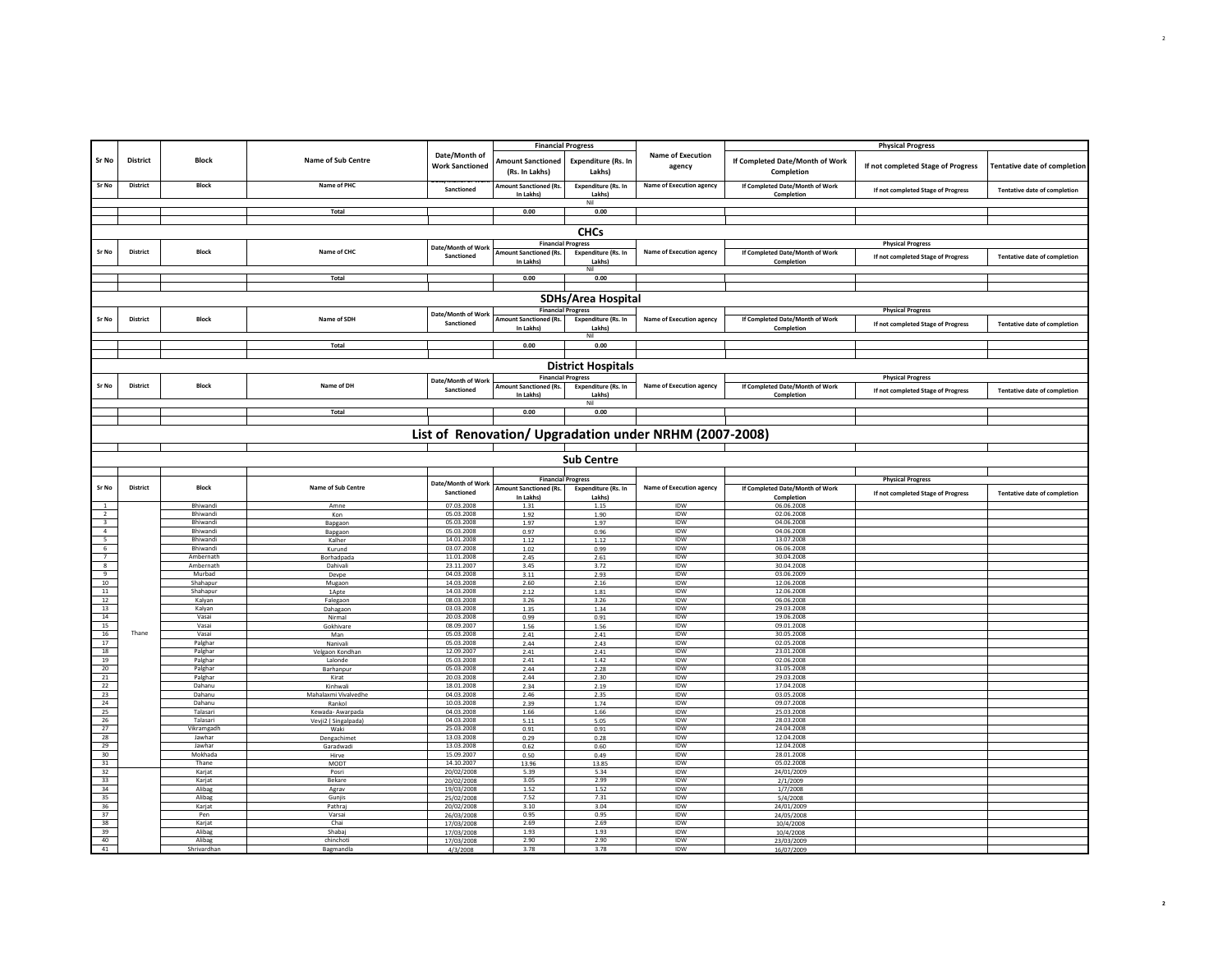|                                                                                                                                                           |                 |                             |                                         |                                         | <b>Financial Progress</b>                  |                                      |                                                        |                                               | <b>Physical Progress</b>           |                                     |
|-----------------------------------------------------------------------------------------------------------------------------------------------------------|-----------------|-----------------------------|-----------------------------------------|-----------------------------------------|--------------------------------------------|--------------------------------------|--------------------------------------------------------|-----------------------------------------------|------------------------------------|-------------------------------------|
| Sr No                                                                                                                                                     | <b>District</b> | <b>Block</b>                | Name of Sub Centre                      | Date/Month of<br><b>Work Sanctioned</b> | <b>Amount Sanctioned</b><br>(Rs. In Lakhs) | Expenditure (Rs. In<br>Lakhs)        | <b>Name of Execution</b><br>agency                     | If Completed Date/Month of Work<br>Completion | If not completed Stage of Progress | Tentative date of completion        |
| Sr No                                                                                                                                                     | <b>District</b> | <b>Block</b>                | Name of PHC                             | Sanctioned                              | <b>Amount Sanctioned (Rs.</b><br>In Lakhs) | <b>Expenditure (Rs. In</b><br>Lakhs) | Name of Execution agency                               | If Completed Date/Month of Work<br>Completion | If not completed Stage of Progress | <b>Tentative date of completion</b> |
|                                                                                                                                                           |                 |                             | Total                                   |                                         | 0.00                                       | Nil<br>0.00                          |                                                        |                                               |                                    |                                     |
|                                                                                                                                                           |                 |                             |                                         |                                         |                                            |                                      |                                                        |                                               |                                    |                                     |
|                                                                                                                                                           |                 |                             |                                         |                                         |                                            | <b>CHCs</b>                          |                                                        |                                               |                                    |                                     |
|                                                                                                                                                           |                 |                             |                                         | Date/Month of Work                      |                                            | <b>Financial Progress</b>            |                                                        |                                               | <b>Physical Progress</b>           |                                     |
| Sr No                                                                                                                                                     | District        | <b>Block</b>                | Name of CHC                             | Sanctioned                              | Amount Sanctioned (Rs.<br>In Lakhs)        | <b>Expenditure (Rs. In</b><br>Lakhs) | <b>Name of Execution agency</b>                        | If Completed Date/Month of Work<br>Completion | If not completed Stage of Progress | <b>Tentative date of completion</b> |
|                                                                                                                                                           |                 |                             |                                         |                                         |                                            | Nil                                  |                                                        |                                               |                                    |                                     |
|                                                                                                                                                           |                 |                             | Total                                   |                                         | 0.00                                       | 0.00                                 |                                                        |                                               |                                    |                                     |
|                                                                                                                                                           |                 |                             |                                         |                                         |                                            | <b>SDHs/Area Hospital</b>            |                                                        |                                               |                                    |                                     |
|                                                                                                                                                           |                 |                             |                                         |                                         |                                            | <b>Financial Progress</b>            |                                                        |                                               | <b>Physical Progress</b>           |                                     |
| Sr No                                                                                                                                                     | <b>District</b> | <b>Block</b>                | Name of SDH                             | Date/Month of Work<br>Sanctioned        | Amount Sanctioned (Rs.                     | <b>Expenditure (Rs. In</b>           | Name of Execution agency                               | If Completed Date/Month of Work               |                                    | <b>Tentative date of completion</b> |
|                                                                                                                                                           |                 |                             |                                         |                                         | In Lakhs)                                  | Lakhs)<br>Nil                        |                                                        | Completion                                    | If not completed Stage of Progress |                                     |
|                                                                                                                                                           |                 |                             | Total                                   |                                         | 0.00                                       | 0.00                                 |                                                        |                                               |                                    |                                     |
|                                                                                                                                                           |                 |                             |                                         |                                         |                                            |                                      |                                                        |                                               |                                    |                                     |
|                                                                                                                                                           |                 |                             |                                         |                                         |                                            | <b>District Hospitals</b>            |                                                        |                                               |                                    |                                     |
|                                                                                                                                                           | <b>District</b> | Block                       | Name of DH                              | Date/Month of Work                      |                                            | <b>Financial Progress</b>            | <b>Name of Execution agency</b>                        |                                               | <b>Physical Progress</b>           |                                     |
| Sr No                                                                                                                                                     |                 |                             |                                         | Sanctioned                              | <b>Amount Sanctioned (Rs.</b><br>In Lakhs) | <b>Expenditure (Rs. In</b><br>Lakhs) |                                                        | If Completed Date/Month of Work<br>Completion | If not completed Stage of Progress | <b>Tentative date of completion</b> |
|                                                                                                                                                           |                 |                             |                                         |                                         |                                            | Nil                                  |                                                        |                                               |                                    |                                     |
|                                                                                                                                                           |                 |                             | Total                                   |                                         | 0.00                                       | 0.00                                 |                                                        |                                               |                                    |                                     |
|                                                                                                                                                           |                 |                             |                                         |                                         |                                            |                                      |                                                        |                                               |                                    |                                     |
|                                                                                                                                                           |                 |                             |                                         |                                         |                                            |                                      | List of Renovation/ Upgradation under NRHM (2007-2008) |                                               |                                    |                                     |
|                                                                                                                                                           |                 |                             |                                         |                                         |                                            |                                      |                                                        |                                               |                                    |                                     |
|                                                                                                                                                           |                 |                             |                                         |                                         |                                            | <b>Sub Centre</b>                    |                                                        |                                               |                                    |                                     |
|                                                                                                                                                           |                 |                             |                                         |                                         |                                            | <b>Financial Progress</b>            |                                                        |                                               | <b>Physical Progress</b>           |                                     |
| Sr No                                                                                                                                                     | District        | <b>Block</b>                | Name of Sub Centre                      | Date/Month of Work<br>Sanctioned        | Amount Sanctioned (Rs.<br>In Lakhs)        | <b>Expenditure (Rs. In</b><br>Lakhs) | Name of Execution agency                               | If Completed Date/Month of Work<br>Completion | If not completed Stage of Progress | Tentative date of completion        |
| $\mathbf{1}$                                                                                                                                              |                 | Bhiwandi                    | Amne                                    | 07.03.2008                              | 1.31                                       | 1.15                                 | IDW                                                    | 06.06.2008                                    |                                    |                                     |
| $\frac{1}{2}$                                                                                                                                             |                 | <b>Bhiwandi</b><br>Bhiwandi | Kon<br>Bapgaor                          | 05.03.2008<br>05.03.2008                | 1.92<br>1.97                               | 1.90<br>1.97                         | <b>IDW</b><br>IDW                                      | 02.06.2008<br>04.06.2008                      |                                    |                                     |
| $\frac{3}{4}$                                                                                                                                             |                 | <b>Bhiwandi</b>             | Bapgaon                                 | 05.03.2008                              | 0.97                                       | 0.96                                 | IDW                                                    | 04.06.2008                                    |                                    |                                     |
| $\begin{array}{r l}\n\hline\n5 \\ \hline\n6 \\ \hline\n7 \\ \hline\n8 \\ \hline\n9\n\end{array}$                                                          |                 | Bhiwandi                    | Kalher                                  | 14.01.2008                              | 1.12                                       | 1.12                                 | <b>IDW</b>                                             | 13.07.2008                                    |                                    |                                     |
|                                                                                                                                                           |                 | Bhiwandi<br>Ambernath       | Kurund<br>Borhadpada                    | 03.07.2008<br>11.01.2008                | 1.02<br>2.45                               | 0.99<br>2.61                         | IDW<br><b>IDW</b>                                      | 06.06.2008<br>30.04.2008                      |                                    |                                     |
|                                                                                                                                                           |                 | Ambernath                   | Dahivali                                | 23.11.2007                              | 3.45                                       | 3.72                                 | IDW                                                    | 30.04.2008                                    |                                    |                                     |
| 10                                                                                                                                                        |                 | Murhad<br>Shahapur          | Devpe                                   | 04.03.2008<br>14.03.2008                | 3.11<br>2.60                               | 2.93<br>2.16                         | IDW<br>IDW                                             | 03.06.2009<br>12.06.2008                      |                                    |                                     |
| $11\,$                                                                                                                                                    |                 | Shahapur                    | Mugaon<br>1Apte                         | 14.03.2008                              | 2.12                                       | 1.81                                 | <b>IDW</b>                                             |                                               |                                    |                                     |
| 12                                                                                                                                                        |                 | Kalyan                      | Falegaon                                | 08.03.2008                              | 3.26                                       |                                      |                                                        | 12.06.2008                                    |                                    |                                     |
| 13<br>14                                                                                                                                                  |                 | Kalyan                      |                                         |                                         |                                            | 3.26                                 | IDW                                                    | 06.06.2008                                    |                                    |                                     |
| 15                                                                                                                                                        |                 |                             | Dahagaon                                | 03.03.2008                              | 1.35                                       | 1.34                                 | IDW                                                    | 29.03.2008                                    |                                    |                                     |
|                                                                                                                                                           |                 | Vasai<br>Vasai              | Nirmal<br>Gokhivare                     | 20.03.2008<br>08.09.2007                | 0.99<br>1.56                               | 0.91<br>1.56                         | <b>IDW</b><br>IDW                                      | 19.06.2008<br>09.01.2008                      |                                    |                                     |
|                                                                                                                                                           | Thane           | Vasai                       | Man                                     | 05.03.2008                              | 2.41                                       | 2.41                                 | IDW                                                    | 30.05.2008                                    |                                    |                                     |
|                                                                                                                                                           |                 | Palghar                     | Nanivali                                | 05.03.2008                              | 2.44                                       | 2.43<br>2.41                         | IDW                                                    | 02.05.2008                                    |                                    |                                     |
|                                                                                                                                                           |                 | Palghar<br>Palghar          | Velgaon Kondhan<br>Lalonde              | 12.09.2007<br>05.03.2008                | 2.41<br>2.41                               | 1.42                                 | IDW<br>IDW                                             | 23.01.2008<br>02.06.2008                      |                                    |                                     |
|                                                                                                                                                           |                 | Palghar                     | Barhanpur                               | 05.03.2008                              | 2.44                                       | 2.28                                 | IDW                                                    | 31.05.2008                                    |                                    |                                     |
|                                                                                                                                                           |                 | Palghar<br>Dahanu           | Kirat<br>Kinhwal                        | 20.03.2008<br>18.01.2008                | 2.44<br>2.34                               | 2.30<br>2.19                         | <b>IDW</b><br>IDW                                      | 29.03.2008<br>17.04.2008                      |                                    |                                     |
|                                                                                                                                                           |                 | Dahanu                      | Mahalaxmi Vivalvedhe                    | 04.03.2008                              | 2.46                                       | 2.35                                 | IDW                                                    | 03.05.2008                                    |                                    |                                     |
|                                                                                                                                                           |                 | Dahanu                      | Rankol                                  | 10.03.2008                              | 2.39                                       | 1.74                                 | IDW                                                    | 09.07.2008                                    |                                    |                                     |
|                                                                                                                                                           |                 | Talasari<br>Talasari        | Kewada- Awarpada<br>Vevji2 (Singalpada) | 04.03.2008<br>04.03.2008                | 1.66<br>5.11                               | 1.66<br>5.05                         | <b>IDW</b><br>IDW                                      | 25.03.2008<br>28.03.2008                      |                                    |                                     |
|                                                                                                                                                           |                 | Vikramgadh                  | Waki                                    | 25.03.2008                              | 0.91                                       | 0.91                                 | IDW                                                    | 24.04.2008                                    |                                    |                                     |
|                                                                                                                                                           |                 | Jawhar                      | Dengachimet                             | 13.03.2008                              | 0.29                                       | 0.28                                 | IDW                                                    | 12.04.2008                                    |                                    |                                     |
|                                                                                                                                                           |                 | Jawhar<br>Mokhada           | Garadwadi<br>Hirve                      | 13.03.2008<br>15.09.2007                | 0.62<br>0.50                               | 0.60<br>0.49                         | IDW<br>IDW                                             | 12.04.2008<br>28.01.2008                      |                                    |                                     |
|                                                                                                                                                           |                 | Thane                       | MODT                                    | 14.10.2007                              | 13.96                                      | 13.85                                | IDW                                                    | 05.02.2008                                    |                                    |                                     |
|                                                                                                                                                           |                 | Karjat                      | Posri                                   | 20/02/2008                              | 5.39                                       | 5.34                                 | <b>IDW</b>                                             | 24/01/2009                                    |                                    |                                     |
|                                                                                                                                                           |                 | Karjat<br>Alibag            | Bekare<br>Agrav                         | 20/02/2008<br>19/03/2008                | 3.05<br>1.52                               | 2.99<br>1.52                         | <b>IDW</b><br><b>IDW</b>                               | 2/1/2009<br>1/7/2008                          |                                    |                                     |
|                                                                                                                                                           |                 | Alibag                      | Gunjis                                  | 25/02/2008                              | 7.52                                       | 7.31                                 | IDW                                                    | 5/4/2008                                      |                                    |                                     |
|                                                                                                                                                           |                 | Karjat                      | Pathraj                                 | 20/02/2008                              | 3.10                                       | 3.04                                 | IDW                                                    | 24/01/2009                                    |                                    |                                     |
|                                                                                                                                                           |                 | Pen<br>Karjat               | Varsai<br>Chai                          | 26/03/2008<br>17/03/2008                | 0.95<br>2.69                               | 0.95<br>2.69                         | <b>IDW</b><br>IDW                                      | 24/05/2008<br>10/4/2008                       |                                    |                                     |
| 16<br>17<br>18<br>19<br>20<br>21<br>22<br>23<br>24<br>25<br>26<br>27<br>28<br>29<br>30 <sup>2</sup><br>31<br>32<br>33<br>34<br>35<br>36<br>37<br>38<br>39 |                 | Alibag                      | Shahai                                  | 17/03/2008                              | 1.93                                       | 1.93                                 | IDW                                                    | 10/4/2008                                     |                                    |                                     |
| 40<br>41                                                                                                                                                  |                 | Alibag<br>Shrivardhar       | chinchoti<br>Bagmandla                  | 17/03/2008<br>4/3/2008                  | 2.90<br>3.78                               | 2.90<br>3.78                         | IDW<br><b>IDW</b>                                      | 23/03/2009<br>16/07/2009                      |                                    |                                     |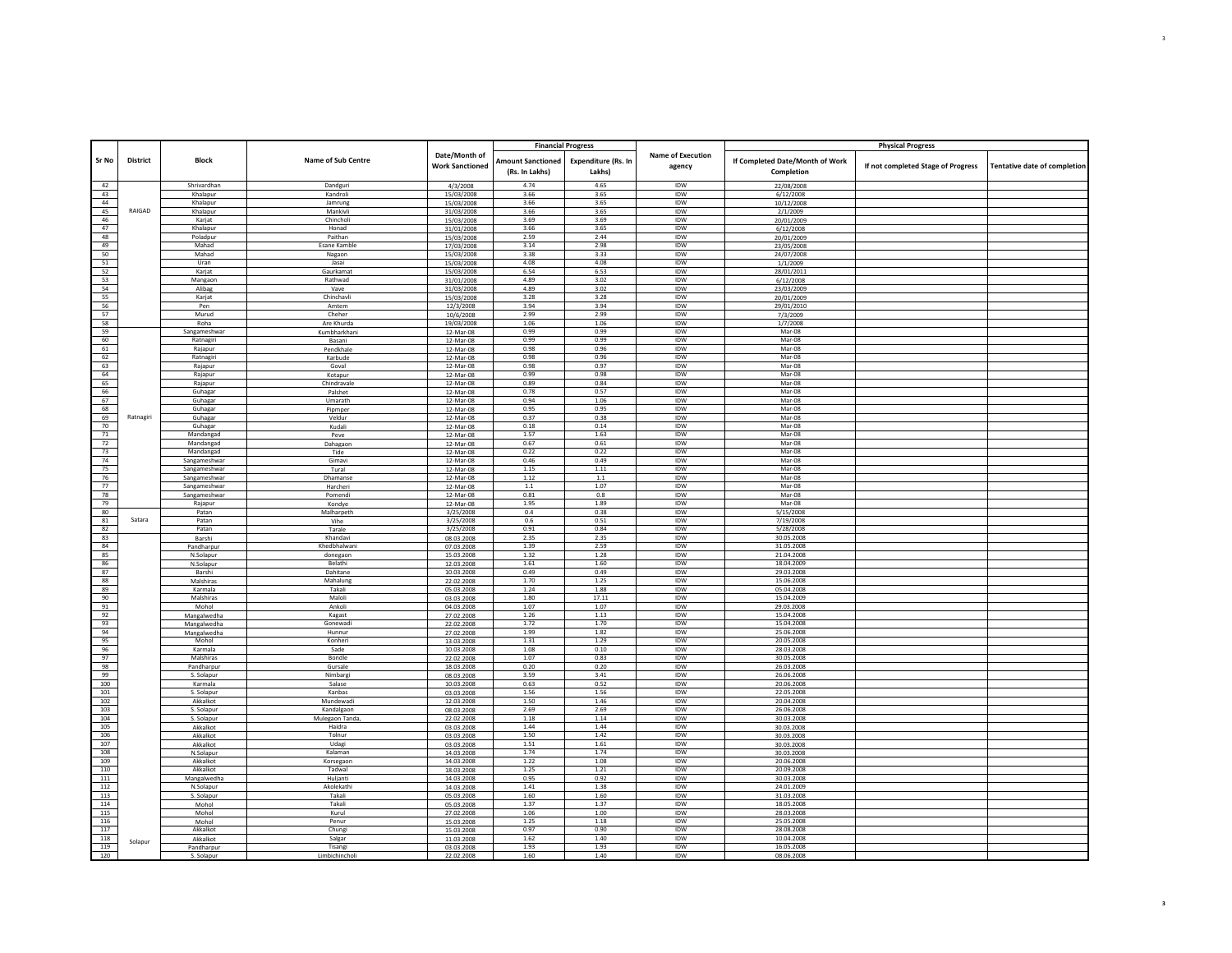| Sr No      | <b>District</b> | Block                   | Name of Sub Centre      | Date/Month of<br><b>Work Sanctioned</b> | <b>Financial Progress</b><br><b>Amount Sanctioned</b><br>(Rs. In Lakhs) | Expenditure (Rs. In<br>Lakhs) | <b>Name of Execution</b><br>agency | If Completed Date/Month of Work<br>Completion | <b>Physical Progress</b><br>If not completed Stage of Progress | Tentative date of completion |
|------------|-----------------|-------------------------|-------------------------|-----------------------------------------|-------------------------------------------------------------------------|-------------------------------|------------------------------------|-----------------------------------------------|----------------------------------------------------------------|------------------------------|
|            |                 |                         |                         |                                         |                                                                         |                               |                                    |                                               |                                                                |                              |
| 42         |                 | Shrivardhan             | Dandguri<br>Kandroli    | 4/3/2008                                | 4.74<br>3.66                                                            | 4.65<br>3.65                  | IDW<br>IDW                         | 22/08/2008                                    |                                                                |                              |
| 43<br>44   |                 | Khalapur<br>Khalapur    | Jamrung                 | 15/03/2008                              | 3.66                                                                    | 3.65                          | IDW                                | 6/12/2008                                     |                                                                |                              |
| 45         | RAIGAD          | Khalapur                | Mankivli                | 15/03/2008<br>31/03/2008                | 3.66                                                                    | 3.65                          | IDW                                | 10/12/2008<br>2/1/2009                        |                                                                |                              |
| 46         |                 | Karjat                  | Chincholi               | 15/03/2008                              | 3.69                                                                    | 3.69                          | <b>IDW</b>                         | 20/01/2009                                    |                                                                |                              |
| 47         |                 | Khalapur                | Honad                   | 31/01/2008                              | 3.66                                                                    | 3.65                          | IDW                                | 6/12/2008                                     |                                                                |                              |
| 48         |                 | Poladpur                | Paithan                 | 15/03/2008                              | 2.59                                                                    | 2.44                          | <b>IDW</b>                         | 20/01/2009                                    |                                                                |                              |
| 49         |                 | Mahad                   | Esane Kamble            | 17/03/2008                              | 3.14                                                                    | 2.98                          | IDW                                | 23/05/2008                                    |                                                                |                              |
| 50         |                 | Mahad                   | Nagaon                  | 15/03/2008                              | 3.38                                                                    | 3.33                          | IDW                                | 24/07/2008                                    |                                                                |                              |
| 51         |                 | Uran                    | Jasai                   | 15/03/2008                              | 4.08                                                                    | 4.08                          | IDW                                | 1/1/2009                                      |                                                                |                              |
| 52         |                 | Karjat                  | Gaurkamat               | 15/03/2008                              | 6.54                                                                    | 6.53                          | IDW                                | 28/01/2011                                    |                                                                |                              |
| 53         |                 | Mangaon                 | Rathwad                 | 31/01/2008                              | 4.89                                                                    | 3.02                          | IDW                                | 6/12/2008                                     |                                                                |                              |
| 54<br>55   |                 | Alibag                  | Vave<br>Chinchavli      | 31/03/2008                              | 4.89<br>3.28                                                            | 3.02<br>3.28                  | IDW<br>IDW                         | 23/03/2009                                    |                                                                |                              |
| 56         |                 | Karjat<br>Pen           | Amtem                   | 15/03/2008<br>12/3/2008                 | 3.94                                                                    | 3.94                          | IDW                                | 20/01/2009                                    |                                                                |                              |
| 57         |                 | Murud                   | Cheher                  | 10/6/2008                               | 2.99                                                                    | 2.99                          | IDW                                | 29/01/2010<br>7/3/2009                        |                                                                |                              |
| 58         |                 | Roha                    | Are Khurda              | 19/03/2008                              | 1.06                                                                    | 1.06                          | IDW                                | 1/7/2008                                      |                                                                |                              |
| 59         |                 | Sangameshwar            | Kumbharkhani            | 12-Mar-08                               | 0.99                                                                    | 0.99                          | IDW                                | Mar-08                                        |                                                                |                              |
| 60         |                 | Ratnagir                | Basani                  | 12-Mar-08                               | 0.99                                                                    | 0.99                          | IDW                                | Mar-08                                        |                                                                |                              |
| 61         |                 | Rajapur                 | Pendkhale               | 12-Mar-08                               | 0.98                                                                    | 0.96                          | IDW                                | Mar-08                                        |                                                                |                              |
| 62         |                 | Ratnagiri               | Karbude                 | 12-Mar-08                               | 0.98                                                                    | 0.96                          | IDW                                | Mar-08                                        |                                                                |                              |
| 63         |                 | Rajapur                 | Goval                   | 12-Mar-08                               | 0.98                                                                    | 0.97                          | IDW                                | Mar-08                                        |                                                                |                              |
| 64         |                 | Rajapur                 | Kotapur                 | 12-Mar-08                               | 0.99                                                                    | 0.98                          | <b>IDW</b>                         | $Mar-08$                                      |                                                                |                              |
| 65         |                 | Rajapur                 | Chindravale             | 12-Mar-08                               | 0.89                                                                    | 0.84                          | <b>IDW</b>                         | Mar-08                                        |                                                                |                              |
| 66         |                 | Guhagar                 | Palshet                 | 12-Mar-08                               | 0.78                                                                    | 0.57                          | <b>IDW</b>                         | $Mar-08$                                      |                                                                |                              |
| 67         |                 | Guhagar                 | Umarath                 | 12-Mar-08                               | 0.94<br>0.95                                                            | 1.06<br>0.95                  | <b>IDW</b><br><b>IDW</b>           | Mar-08<br>Mar-08                              |                                                                |                              |
| 68<br>69   | Ratnagiri       | Guhagar<br>Guhagar      | Pipmper<br>Veldur       | 12-Mar-08<br>12-Mar-08                  | 0.37                                                                    | 0.38                          | <b>IDW</b>                         | Mar-08                                        |                                                                |                              |
| 70         |                 | Guhagar                 | Kudali                  | 12-Mar-08                               | 0.18                                                                    | 0.14                          | <b>IDW</b>                         | Mar-08                                        |                                                                |                              |
| 71         |                 | Mandangad               | Peve                    | 12-Mar-08                               | 1.57                                                                    | 1.63                          | IDW                                | Mar-08                                        |                                                                |                              |
| 72         |                 | Mandangad               | Dahagaon                | 12-Mar-08                               | 0.67                                                                    | 0.61                          | IDW                                | Mar-08                                        |                                                                |                              |
| 73         |                 | Mandangad               | Tide                    | 12-Mar-08                               | 0.22                                                                    | 0.22                          | IDW                                | Mar-08                                        |                                                                |                              |
| 74         |                 | Sangameshwar            | Gimavi                  | 12-Mar-08                               | 0.46                                                                    | 0.49                          | IDW                                | Mar-08                                        |                                                                |                              |
| 75         |                 | Sangameshwar            | Tural                   | 12-Mar-08                               | 1.15                                                                    | 1.11                          | <b>IDW</b>                         | $Mar-08$                                      |                                                                |                              |
| 76         |                 | Sangameshwar            | Dhamanse                | 12-Mar-08                               | 1.12                                                                    | $1.1\,$                       | <b>IDW</b>                         | Mar-08                                        |                                                                |                              |
| 77         |                 | Sangameshwar            | Harcheri                | 12-Mar-08                               | 1.1                                                                     | 1.07                          | <b>IDW</b>                         | Mar-08                                        |                                                                |                              |
| 78         |                 | Sangameshwar            | Pomend                  | 12-Mar-08                               | 0.81                                                                    | 0.8                           | IDW                                | Mar-08                                        |                                                                |                              |
| 79         |                 | Rajapur                 | Kondye                  | 12-Mar-08                               | 1.95                                                                    | 1.89                          | IDW                                | Mar-08                                        |                                                                |                              |
| 80         |                 | Patan                   | Malharpeth              | 3/25/2008                               | 0.4                                                                     | 0.38                          | IDW                                | 5/15/2008                                     |                                                                |                              |
| 81<br>82   | Satara          | Patar<br>Patan          | Vihe                    | 3/25/2008                               | 0.6<br>0.91                                                             | 0.51<br>0.84                  | IDW<br><b>IDW</b>                  | 7/19/2008<br>5/28/2008                        |                                                                |                              |
| 83         |                 | Barshi                  | Tarale<br>Khandavi      | 3/25/2008<br>08.03.2008                 | 2.35                                                                    | 2.35                          | IDW                                | 30.05.2008                                    |                                                                |                              |
| 84         |                 | Pandharpur              | Khedbhalwani            | 07.03.2008                              | 1.39                                                                    | 2.59                          | <b>IDW</b>                         | 31.05.2008                                    |                                                                |                              |
| 85         |                 | N.Solapur               | donegaon                | 15.03.2008                              | 1.32                                                                    | 1.28                          | IDW                                | 21.04.2008                                    |                                                                |                              |
| 86         |                 | N.Solapur               | Belathi                 | 12.03.2008                              | 1.61                                                                    | 1.60                          | <b>IDW</b>                         | 18.04.2009                                    |                                                                |                              |
| 87         |                 | Barshi                  | Dahitane                | 10.03.2008                              | 0.49                                                                    | 0.49                          | IDW                                | 29.03.2008                                    |                                                                |                              |
| 88         |                 | Malshiras               | Mahalung                | 22.02.2008                              | 1.70                                                                    | 1.25                          | <b>IDW</b>                         | 15.06.2008                                    |                                                                |                              |
| 89         |                 | Karmala                 | Takali                  | 05.03.2008                              | 1.24                                                                    | 1.88                          | IDW                                | 05.04.2008                                    |                                                                |                              |
| 90         |                 | Malshiras               | Maloli                  | 03.03.2008                              | 1.80                                                                    | 17.11                         | IDW                                | 15.04.2009                                    |                                                                |                              |
| 91         |                 | Mohol                   | Ankoli                  | 04.03.2008                              | 1.07                                                                    | 1.07                          | IDW                                | 29.03.2008                                    |                                                                |                              |
| 92         |                 | Mangalwedha             | Kagast<br>Gonewadi      | 27.02.2008                              | 1.26                                                                    | 1.13<br>1.70                  | IDW<br><b>IDW</b>                  | 15.04.2008<br>15.04.2008                      |                                                                |                              |
| 93         |                 | Mangalwedha             |                         | 22.02.2008                              | 1.72                                                                    |                               |                                    |                                               |                                                                |                              |
| 94<br>95   |                 | Mangalwedha<br>Mohol    | Hunnur<br>Konheri       | 27.02.2008<br>13.03.2008                | 1.99<br>1.31                                                            | 1.82<br>1.29                  | <b>IDW</b><br><b>IDW</b>           | 25.06.2008<br>20.05.2008                      |                                                                |                              |
| 96         |                 | Karmala                 | Sade                    | 10.03.2008                              | 1.08                                                                    | 0.10                          | IDW                                | 28.03.2008                                    |                                                                |                              |
| 97         |                 | Malshiras               | Bondle                  | 22.02.2008                              | 1.07                                                                    | 0.83                          | <b>IDW</b>                         | 30.05.2008                                    |                                                                |                              |
| 98         |                 | Pandharpur              | Gursale                 | 18.03.2008                              | 0.20                                                                    | 0.20                          | IDW                                | 26.03.2008                                    |                                                                |                              |
| 99         |                 | S. Solapur              | Nimbare                 | 08.03.2008                              | 3.59                                                                    | 3.41                          | <b>IDW</b>                         | 26.06.2008                                    |                                                                |                              |
| 100        |                 | Karmala                 | Salase                  | 10.03.2008                              | 0.63                                                                    | 0.52                          | IDW                                | 20.06.2008                                    |                                                                |                              |
| 101        |                 | S. Solapur              | Kanbas                  | 03.03.2008                              | 1.56                                                                    | 1.56                          | IDW                                | 22.05.2008                                    |                                                                |                              |
| 102        |                 | Akkalkot                | Mundewadi               | 12.03.2008                              | 1.50                                                                    | 1.46                          | IDW                                | 20.04.2008                                    |                                                                |                              |
| 103        |                 | S. Solapur              | Kandalgaon              | 08.03.2008                              | 2.69                                                                    | 2.69                          | IDW                                | 26.06.2008                                    |                                                                |                              |
| 104        |                 | S. Solapur              | Mulegaon Tanda          | 22.02.2008                              | 1.18                                                                    | 1.14                          | IDW                                | 30.03.2008                                    |                                                                |                              |
| 105<br>106 |                 | Akkalkot<br>Akkalkot    | Haidra<br>Tolnur        | 03.03.2008<br>03.03.2008                | 1.44<br>1.50                                                            | 1.44<br>1.42                  | IDW<br>IDW                         | 30.03.2008<br>30.03.2008                      |                                                                |                              |
| 107        |                 | Akkalkot                | Udagi                   | 03.03.2008                              | 1.51                                                                    | $1.61\,$                      | <b>IDW</b>                         | 30.03.2008                                    |                                                                |                              |
| 108        |                 | N.Solapur               | Kalamar                 | 14.03.2008                              | 1.74                                                                    | 1.74                          | IDW                                | 30.03.2008                                    |                                                                |                              |
| 109        |                 | Akkalkot                | Korsegaon               | 14.03.2008                              | 1.22                                                                    | 1.08                          | IDW                                | 20.06.2008                                    |                                                                |                              |
| 110        |                 | Akkalkot                | Tadwal                  | 18.03.2008                              | 1.25                                                                    | 1.21                          | <b>IDW</b>                         | 20.09.2008                                    |                                                                |                              |
| 111        |                 | Mangalwedha             | Hulianti                | 14.03.2008                              | 0.95                                                                    | 0.92                          | IDW                                | 30.03.2008                                    |                                                                |                              |
| 112        |                 | N.Solapur               | Akolekathi              | 14.03.2008                              | 1.41                                                                    | 1.38                          | IDW                                | 24.01.2009                                    |                                                                |                              |
| 113        |                 | S. Solapur              | Takali                  | 05.03.2008                              | 1.60                                                                    | 1.60                          | IDW                                | 31.03.2008                                    |                                                                |                              |
| 114        |                 | Mohol                   | Takali                  | 05.03.2008                              | 1.37                                                                    | 1.37                          | IDW                                | 18.05.2008                                    |                                                                |                              |
| 115        |                 | Mohol                   | Kurul                   | 27.02.2008                              | 1.06                                                                    | 1.00                          | <b>IDW</b>                         | 28.03.2008                                    |                                                                |                              |
| 116        |                 | Mohol                   | Penur                   | 15.03.2008                              | 1.25                                                                    | 1.18                          | IDW                                | 25.05.2008                                    |                                                                |                              |
| 117        |                 | Akkalkot                | Chung                   | 15.03.2008                              | 0.97                                                                    | 0.90                          | <b>IDW</b>                         | 28.08.2008                                    |                                                                |                              |
| 118        | Solapur         | Akkalkot                | Salgar                  | 11.03.2008                              | 1.62                                                                    | 1.40                          | IDW                                | 10.04.2008                                    |                                                                |                              |
| 119<br>120 |                 | Pandharpur<br>S. Solanu | Tisangi<br>Limbichincho | 03.03.2008<br>22.02.200                 | 1.93<br>1.60                                                            | 1.93<br>1.40                  | IDW<br><b>IDW</b>                  | 16.05.2008<br>08.06.2008                      |                                                                |                              |
|            |                 |                         |                         |                                         |                                                                         |                               |                                    |                                               |                                                                |                              |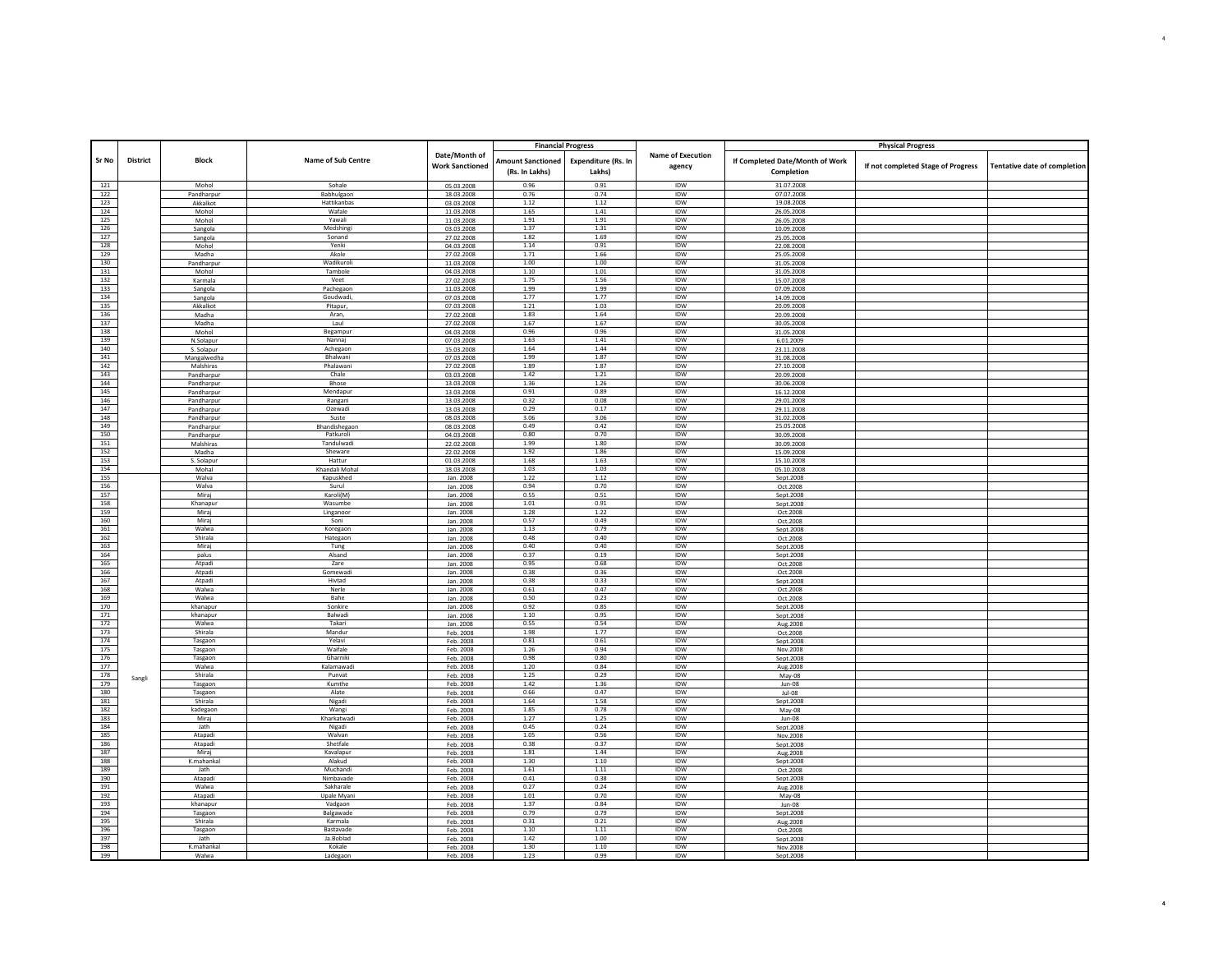|            |          |                        |                          |                          | <b>Financial Progress</b> |                     |                   |                                 | <b>Physical Progress</b>           |                                     |
|------------|----------|------------------------|--------------------------|--------------------------|---------------------------|---------------------|-------------------|---------------------------------|------------------------------------|-------------------------------------|
|            |          |                        |                          | Date/Month of            |                           |                     | Name of Execution |                                 |                                    |                                     |
| Sr No      | District | <b>Block</b>           | Name of Sub Centre       | <b>Work Sanctioned</b>   | <b>Amount Sanctioned</b>  | Expenditure (Rs. In | agency            | If Completed Date/Month of Work |                                    |                                     |
|            |          |                        |                          |                          | (Rs. In Lakhs)            | Lakhs)              |                   | Completion                      | If not completed Stage of Progress | <b>Tentative date of completion</b> |
|            |          | Mohol                  | Sohale                   |                          | 0.96                      |                     | <b>IDW</b>        | 31.07.2008                      |                                    |                                     |
| 121<br>122 |          |                        | Babhulgaor               | 05.03.2008<br>18.03.2008 | 0.76                      | 0.91<br>0.74        | IDW               | 07.07.2008                      |                                    |                                     |
| 123        |          | Pandharpur<br>Akkalkot | Hattikanbas              | 03.03.2008               | 1.12                      | 1.12                | <b>IDW</b>        | 19.08.2008                      |                                    |                                     |
| 124        |          | Mohol                  | Wafale                   | 11.03.2008               | 1.65                      | 1.41                | <b>IDW</b>        | 26.05.2008                      |                                    |                                     |
| 125        |          | Mohol                  | Yawali                   | 11.03.2008               | 1.91                      | 1.91                | IDW               | 26.05.2008                      |                                    |                                     |
| 126        |          | Sangola                | Medshing                 | 03.03.2008               | 1.37                      | 1.31                | <b>IDW</b>        | 10.09.2008                      |                                    |                                     |
| 127        |          | Sangola                | Sonand                   | 27.02.2008               | 1.82                      | 1.69                | IDW               | 25.05.2008                      |                                    |                                     |
| 128        |          | Mohol                  | Yenki                    | 04.03.2008               | 1.14                      | 0.91                | IDW               | 22.08.2008                      |                                    |                                     |
| 129        |          | Madha                  | Akole                    | 27.02.2008               | 1.71                      | 1.66                | IDW               | 25.05.2008                      |                                    |                                     |
| 130        |          | Pandharpur             | Wadikuroli               | 11.03.2008               | 1.00                      | 1.00                | <b>IDW</b>        | 31.05.2008                      |                                    |                                     |
| 131        |          | Mohol                  | Tambole                  | 04.03.2008               | 1.10                      | 1.01                | IDW               | 31.05.2008                      |                                    |                                     |
| 132        |          | Karmala                | Veet                     | 27.02.2008               | 1.75                      | 1.56                | IDW               | 15.07.2008                      |                                    |                                     |
| 133        |          | Sangola                | Pachegaon                | 11.03.2008               | 1.99                      | 1.99                | <b>IDW</b>        | 07.09.2008                      |                                    |                                     |
| 134        |          | Sangola                | Goudwadi,                | 07.03.2008               | 1.77                      | 1.77<br>1.03        | IDW<br><b>IDW</b> | 14.09.2008                      |                                    |                                     |
| 135<br>136 |          | Akkalkot               | Pitapur.                 | 07.03.2008               | 1.21<br>1.83              | 1.64                | <b>IDW</b>        | 20.09.2008                      |                                    |                                     |
| 137        |          | Madha                  | Aran,<br>Laul            | 27.02.2008               | 1.67                      | 1.67                | IDW               | 20.09.2008                      |                                    |                                     |
| 138        |          | Madha<br>Mohol         | Begampur                 | 27.02.2008<br>04.03.2008 | 0.96                      | 0.96                | IDW               | 30.05.2008<br>31.05.2008        |                                    |                                     |
| 139        |          | N.Solapur              | Nannaj                   | 07.03.2008               | 1.63                      | 1.41                | IDW               | 6.01.2009                       |                                    |                                     |
| 140        |          | S. Solapur             | Achegaon                 | 15.03.2008               | 1.64                      | 1.44                | IDW               | 23.11.2008                      |                                    |                                     |
| 141        |          | Mangalwedha            | Bhalwani                 | 07.03.2008               | 1.99                      | 1.87                | <b>IDW</b>        | 31.08.2008                      |                                    |                                     |
| 142        |          | Malshiras              | Phalawani                | 27.02.2008               | 1.89                      | 1.87                | IDW               | 27.10.2008                      |                                    |                                     |
| 143        |          | Pandharpur             | Chale                    | 03.03.2008               | 1.42                      | 1.21                | IDW               | 20.09.2008                      |                                    |                                     |
| 144        |          | Pandharpur             | Bhose                    | 13.03.2008               | 1.36                      | 1.26                | <b>IDW</b>        | 30.06.2008                      |                                    |                                     |
| 145        |          | Pandharpur             | Mendapur                 | 13.03.2008               | 0.91                      | 0.89                | IDW               | 16.12.2008                      |                                    |                                     |
| 146        |          | Pandharpur             | Rangani                  | 13.03.2008               | 0.32                      | 0.08                | IDW               | 29.01.2008                      |                                    |                                     |
| 147        |          | Pandharpur             | Ozewadi                  | 13.03.2008               | 0.29                      | 0.17                | IDW               | 29.11.2008                      |                                    |                                     |
| 148        |          | Pandharpur             | Suste                    | 08.03.2008               | 3.06                      | 3.06                | IDW               | 31.02.2008                      |                                    |                                     |
| 149        |          | Pandharpur             | Bhandishegaon            | 08.03.2008               | 0.49                      | 0.42                | IDW               | 25.05.2008                      |                                    |                                     |
| 150        |          | Pandharpur             | Patkuroli                | 04.03.2008               | 0.80                      | 0.70                | IDW               | 30.09.2008                      |                                    |                                     |
| 151        |          | Malshiras              | Tandulwadi               | 22.02.2008               | 1.99                      | 1.80                | <b>IDW</b>        | 30.09.2008                      |                                    |                                     |
| 152        |          | Madha                  | Sheware                  | 22.02.2008               | 1.92                      | 1.86                | IDW               | 15.09.2008                      |                                    |                                     |
| 153        |          | S. Solapur             | Hattur                   | 01.03.2008               | 1.68                      | 1.63                | IDW               | 15.10.2008                      |                                    |                                     |
| 154        |          | Mohal                  | Khandali Moha            | 18.03.2008               | 1.03                      | 1.03                | IDW               | 05.10.2008                      |                                    |                                     |
| 155        |          | Walva                  | Kapuskhed                | Jan. 2008                | 1.22                      | 1.12                | IDW               | Sept.2008                       |                                    |                                     |
| 156        |          | Walva                  | Surul                    | Jan. 2008                | 0.94                      | 0.70                | IDW               | Oct.2008                        |                                    |                                     |
| 157<br>158 |          | Miraj<br>Khananur      | Karoli(M)<br>Wasumbe     | Jan. 2008                | 0.55<br>1.01              | 0.51<br>0.91        | IDW<br><b>IDW</b> | Sept.2008                       |                                    |                                     |
| 159        |          | Miraj                  | Linganoor                | Jan. 2008<br>Jan. 2008   | 1.28                      | 1.22                | IDW               | Sept.2008<br>Oct.2008           |                                    |                                     |
| 160        |          | Mirai                  | Soni                     | Jan. 2008                | 0.57                      | 0.49                | <b>IDW</b>        | Oct.2008                        |                                    |                                     |
| 161        |          | Walwa                  | Koregaon                 | Jan. 2008                | 1.13                      | 0.79                | IDW               | Sept.2008                       |                                    |                                     |
| 162        |          | Shirala                | Hategaon                 | Jan. 2008                | 0.48                      | 0.40                | <b>IDW</b>        | Oct.2008                        |                                    |                                     |
| 163        |          | Miraj                  | Tung                     | Jan. 2008                | 0.40                      | 0.40                | IDW               | Sept.2008                       |                                    |                                     |
| 164        |          | palus                  | Alsand                   | Jan. 2008                | 0.37                      | 0.19                | IDW               | Sept.2008                       |                                    |                                     |
| 165        |          | Atpadi                 | Zare                     | Jan. 2008                | 0.95                      | 0.68                | IDW               | Oct.2008                        |                                    |                                     |
| 166        |          | Atpadi                 | Gomewadi                 | Jan. 2008                | 0.38                      | 0.36                | IDW               | Oct.2008                        |                                    |                                     |
| 167        |          | Atpadi                 | Hivtad                   | Jan. 2008                | 0.38                      | 0.33                | <b>IDW</b>        | Sept.2008                       |                                    |                                     |
| 168        |          | Walwa                  | Nerle                    | Jan. 2008                | 0.61                      | 0.47                | IDW               | Oct.2008                        |                                    |                                     |
| 169        |          | Walwa                  | Bahe                     | Jan. 2008                | 0.50                      | 0.23                | <b>IDW</b>        | Oct.2008                        |                                    |                                     |
| 170        |          | khanapur               | Sonkire                  | Jan. 2008                | 0.92                      | 0.85                | IDW               | Sept.2008                       |                                    |                                     |
| 171        |          | khanapur               | Balwadi                  | Jan. 2008                | 1.10                      | 0.95                | <b>IDW</b>        | Sept.2008                       |                                    |                                     |
| 172        |          | Walwa                  | Takari                   | Jan. 2008                | 0.55                      | 0.54                | IDW               | Aug. 2008                       |                                    |                                     |
| 173<br>174 |          | Shirala                | Mandur<br>Yelavi         | Feb. 2008                | 1.98<br>0.81              | 1.77<br>0.61        | IDW<br>IDW        | Oct.2008                        |                                    |                                     |
| 175        |          | Tasgaon<br>Tasgaon     | Waifale                  | Feb. 2008<br>Feb. 2008   | 1.26                      | 0.94                | IDW               | Sept.2008<br>Nov.2008           |                                    |                                     |
| 176        |          | Tasgaon                | Gharniki                 | Feb. 2008                | 0.98                      | 0.80                | <b>IDW</b>        | Sept.2008                       |                                    |                                     |
| 177        |          | Walwa                  | Kalamawad                | Feb. 2008                | 1.20                      | 0.84                | IDW               | Aug. 2008                       |                                    |                                     |
| 178        |          | Shirala                | Punyat                   | Feb. 2008                | 1.25                      | 0.29                | IDW               | May-08                          |                                    |                                     |
| 179        | Sangli   | Tasgaon                | Kumthe                   | Feb. 2008                | 1.42                      | 1.36                | <b>IDW</b>        | Jun-08                          |                                    |                                     |
| 180        |          | Tasgaon                | Alate                    | Feb. 2008                | 0.66                      | 0.47                | IDW               | Jul-08                          |                                    |                                     |
| 181        |          | Shirala                | Nigadi                   | Feb. 2008                | 1.64                      | 1.58                | IDW               | Sept.2008                       |                                    |                                     |
| 182        |          | kadegaor               | Wangi                    | Feb. 2008                | 1.85                      | 0.78                | IDW               | May-08                          |                                    |                                     |
| 183        |          | Mirai                  | Kharkatwadi              | Feb. 2008                | 1.27                      | 1.25                | IDW               | $Jun-08$                        |                                    |                                     |
| 184        |          | Jath                   | Nigadi                   | Feb. 2008                | 0.45                      | 0.24                | IDW               | Sept.2008                       |                                    |                                     |
| 185        |          | Atapadi                | Walvan                   | Feb. 2008                | 1.05                      | 0.56                | <b>IDW</b>        | Nov.2008                        |                                    |                                     |
| 186        |          | Atapadi                | Shetfale                 | Feb. 2008                | 0.38                      | 0.37                | IDW               | Sept.2008                       |                                    |                                     |
| 187        |          | Miraj                  | Kavalapur                | Feb. 2008                | 1.81                      | 1.44                | IDW               | Aug.2008                        |                                    |                                     |
| 188        |          | K.mahankal             | Alakud                   | Feb. 2008                | 1.30                      | 1.10                | IDW               | Sept.2008                       |                                    |                                     |
| 189        |          | Jath                   | Muchandi                 | Feb. 2008                | $1.61\,$                  | $1.11\,$            | <b>IDW</b>        | Oct.2008                        |                                    |                                     |
| 190        |          | Atapadi                | Nimbavade                | Feb. 2008                | 0.41                      | 0.38                | IDW               | Sept.2008                       |                                    |                                     |
| 191<br>192 |          | Walwa<br>Atapadi       | Sakharale<br>Upale Myani | Feb. 2008                | 0.27<br>1.01              | 0.24<br>0.70        | IDW<br>IDW        | Aug. 2008                       |                                    |                                     |
| 193        |          | khanapur               | Vadgaon                  | Feb. 2008<br>Feb. 2008   | 1.37                      | 0.84                | IDW               | May-08<br>Jun-08                |                                    |                                     |
| 194        |          | Tasgaon                | Balgawade                |                          | 0.79                      | 0.79                | <b>IDW</b>        | Sept.2008                       |                                    |                                     |
| 195        |          | Shirala                | Karmala                  | Feb. 2008<br>Feb. 2008   | 0.31                      | 0.21                | IDW               | Aug. 2008                       |                                    |                                     |
| 196        |          | Tasgaon                | Bastavade                | Feb. 2008                | 1.10                      | 1.11                | <b>IDW</b>        | Oct.2008                        |                                    |                                     |
| 197        |          | Jath                   | Ja.Boblad                | Feb. 2008                | 1.42                      | 1.00                | IDW               | Sept.2008                       |                                    |                                     |
| 198        |          | K.mahankal             | Kokale                   | Feb. 2008                | 1.30                      | 1.10                | IDW               | Nov.2008                        |                                    |                                     |
| Г<br>199   |          | Walwa                  | Ladegaor                 | Feb. 2008                | 1.23                      | 0.99                | IDW               | Sept.2008                       |                                    |                                     |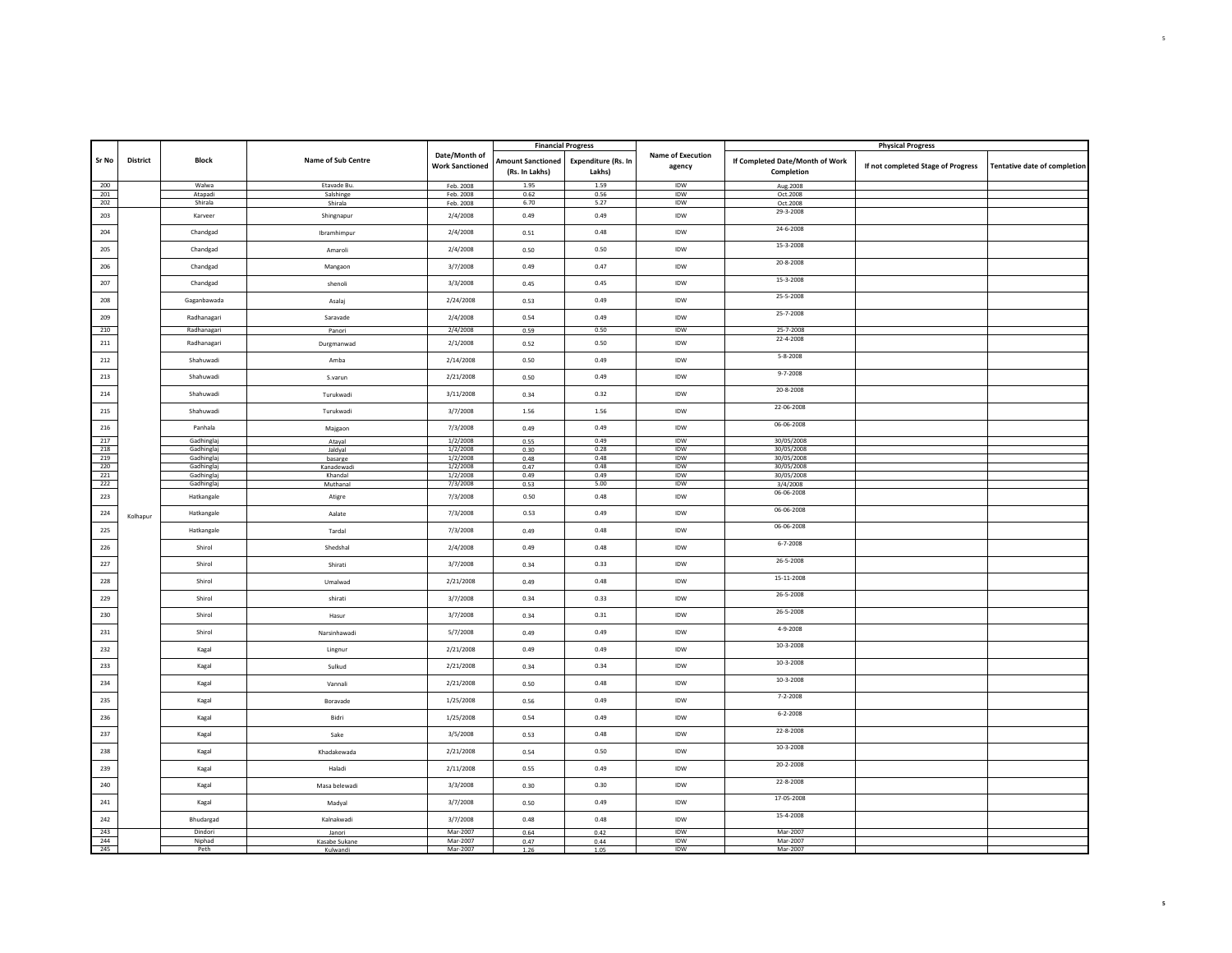|            |          |                            |                       |                                         |                                            | <b>Financial Progress</b>            |                             |                                               | <b>Physical Progress</b>           |                                     |
|------------|----------|----------------------------|-----------------------|-----------------------------------------|--------------------------------------------|--------------------------------------|-----------------------------|-----------------------------------------------|------------------------------------|-------------------------------------|
| Sr No      | District | <b>Block</b>               | Name of Sub Centre    | Date/Month of<br><b>Work Sanctioned</b> | <b>Amount Sanctioned</b><br>(Rs. In Lakhs) | <b>Expenditure (Rs. In</b><br>Lakhs) | Name of Execution<br>agency | If Completed Date/Month of Work<br>Completion | If not completed Stage of Progress | <b>Tentative date of completion</b> |
| 200        |          | Walwa                      | Etavade Bu.           | Feb. 2008                               | 1.95                                       | 1.59                                 | IDW                         | Aug.2008                                      |                                    |                                     |
| 201<br>202 |          | Atapadi<br>Shirala         | Salshinge<br>Shirala  | Feb. 2008<br>Feb. 2008                  | 0.62<br>6.70                               | 0.56<br>5.27                         | IDW<br>IDW                  | Oct.2008<br>Oct.2008                          |                                    |                                     |
| 203        |          | Karveer                    | Shingnapur            | 2/4/2008                                | 0.49                                       | 0.49                                 | IDW                         | 29-3-2008                                     |                                    |                                     |
| 204        |          | Chandgad                   | Ibramhimpur           | 2/4/2008                                | 0.51                                       | 0.48                                 | IDW                         | 24-6-2008                                     |                                    |                                     |
| 205        |          | Chandgad                   | Amaroli               | 2/4/2008                                | 0.50                                       | 0.50                                 | <b>IDW</b>                  | 15-3-2008                                     |                                    |                                     |
| 206        |          | Chandgad                   | Mangaon               | 3/7/2008                                | 0.49                                       | 0.47                                 | IDW                         | 20-8-2008                                     |                                    |                                     |
| 207        |          | Chandgad                   | shenoli               | 3/3/2008                                | 0.45                                       | 0.45                                 | IDW                         | 15-3-2008                                     |                                    |                                     |
| 208        |          | Gaganbawada                | Asalaj                | 2/24/2008                               | 0.53                                       | 0.49                                 | IDW                         | 25-5-2008<br>25-7-2008                        |                                    |                                     |
| 209<br>210 |          | Radhanagari<br>Radhanagari | Saravade<br>Panori    | 2/4/2008<br>2/4/2008                    | 0.54<br>0.59                               | 0.49<br>0.50                         | IDW<br>IDW                  | 25-7-2008                                     |                                    |                                     |
| 211        |          | Radhanagari                | Durgmanwad            | 2/1/2008                                | 0.52                                       | 0.50                                 | IDW                         | 22-4-2008                                     |                                    |                                     |
| 212        |          | Shahuwadi                  | Amba                  | 2/14/2008                               | 0.50                                       | 0.49                                 | IDW                         | $5 - 8 - 2008$                                |                                    |                                     |
| 213        |          | Shahuwadi                  | S.varun               | 2/21/2008                               | 0.50                                       | 0.49                                 | IDW                         | $9 - 7 - 2008$                                |                                    |                                     |
| 214        |          | Shahuwadi                  | Turukwadi             | 3/11/2008                               | 0.34                                       | 0.32                                 | IDW                         | 20-8-2008                                     |                                    |                                     |
| 215        |          | Shahuwadi                  | Turukwadi             | 3/7/2008                                | 1.56                                       | 1.56                                 | IDW                         | 22-06-2008                                    |                                    |                                     |
| 216        |          | Panhala                    | Majgaon               | 7/3/2008                                | 0.49                                       | 0.49                                 | IDW                         | 06-06-2008                                    |                                    |                                     |
| 217        |          | Gadhinglaj                 | Ataval                | 1/2/2008                                | 0.55                                       | 0.49                                 | IDW                         | 30/05/2008                                    |                                    |                                     |
| 218<br>219 |          | Gadhinglaj<br>Gadhinglaj   | Jaldyal               | 1/2/2008<br>1/2/2008                    | 0.30<br>0.48                               | 0.28<br>0.48                         | IDW<br><b>IDW</b>           | 30/05/2008<br>30/05/2008                      |                                    |                                     |
| 220        |          | Gadhinglaj                 | basarge<br>Kanadewadi | 1/2/2008                                | 0.47                                       | 0.48                                 | IDW                         | 30/05/2008                                    |                                    |                                     |
| 221        |          | Gadhinglaj                 | Khandal               | 1/2/2008                                | 0.49                                       | 0.49                                 | IDW                         | 30/05/2008                                    |                                    |                                     |
| 222<br>223 |          | Gadhinglaj<br>Hatkangale   | Muthanal<br>Atigre    | 7/3/2008<br>7/3/2008                    | 0.53<br>0.50                               | 5.00<br>0.48                         | IDW<br>IDW                  | 3/4/2008<br>06-06-2008                        |                                    |                                     |
| 224        | Kolhapur | Hatkangale                 | Aalate                | 7/3/2008                                | 0.53                                       | 0.49                                 | IDW                         | 06-06-2008                                    |                                    |                                     |
| 225        |          | Hatkangale                 | Tardal                | 7/3/2008                                | 0.49                                       | 0.48                                 | IDW                         | 06-06-2008                                    |                                    |                                     |
| 226        |          | Shirol                     | Shedshal              | 2/4/2008                                | 0.49                                       | 0.48                                 | IDW                         | $6 - 7 - 2008$                                |                                    |                                     |
| 227        |          | Shirol                     | Shirati               | 3/7/2008                                | 0.34                                       | 0.33                                 | IDW                         | 26-5-2008                                     |                                    |                                     |
| 228        |          | Shirol                     | Umalwad               | 2/21/2008                               | 0.49                                       | 0.48                                 | IDW                         | 15-11-2008                                    |                                    |                                     |
| 229        |          | Shirol                     | shirati               | 3/7/2008                                | 0.34                                       | 0.33                                 | <b>IDW</b>                  | 26-5-2008                                     |                                    |                                     |
| 230        |          | Shirol                     | Hasur                 | 3/7/2008                                | 0.34                                       | 0.31                                 | IDW                         | 26-5-2008                                     |                                    |                                     |
| 231        |          | Shirol                     | Narsinhawadi          | 5/7/2008                                | 0.49                                       | 0.49                                 | IDW                         | 4-9-2008                                      |                                    |                                     |
| 232        |          | Kagal                      | Lingnur               | 2/21/2008                               | 0.49                                       | 0.49                                 | IDW                         | $10-3-2008$<br>$10-3-2008$                    |                                    |                                     |
| 233        |          | Kagal                      | Sulkud                | 2/21/2008                               | 0.34                                       | 0.34                                 | IDW                         | $10-3-2008$                                   |                                    |                                     |
| 234        |          | Kagal                      | Vannali               | 2/21/2008                               | 0.50                                       | 0.48                                 | IDW                         | 7-2-2008                                      |                                    |                                     |
| 235        |          | Kagal                      | Boravade              | 1/25/2008                               | 0.56                                       | 0.49                                 | IDW                         | $6 - 2 - 2008$                                |                                    |                                     |
| 236<br>237 |          | Kagal                      | Bidri                 | 1/25/2008<br>3/5/2008                   | 0.54                                       | 0.49<br>0.48                         | IDW<br><b>IDW</b>           | 22-8-2008                                     |                                    |                                     |
| 238        |          | Kagal<br>Kagal             | Sake<br>Khadakewada   | 2/21/2008                               | 0.53<br>0.54                               | 0.50                                 | IDW                         | $10-3-2008$                                   |                                    |                                     |
| 239        |          | Kagal                      | Haladi                | 2/11/2008                               | 0.55                                       | 0.49                                 | IDW                         | 20-2-2008                                     |                                    |                                     |
| 240        |          | Kagal                      | Masa belewadi         | 3/3/2008                                | 0.30                                       | 0.30                                 | IDW                         | 22-8-2008                                     |                                    |                                     |
| 241        |          | Kagal                      | Madyal                | 3/7/2008                                | 0.50                                       | 0.49                                 | IDW                         | 17-05-2008                                    |                                    |                                     |
| 242        |          | Bhudargad                  | Kalnakwadi            | 3/7/2008                                | 0.48                                       | 0.48                                 | IDW                         | 15-4-2008                                     |                                    |                                     |
| 243        |          | Dindori                    | Janori                | Mar-2007                                | 0.64                                       | 0.42                                 | <b>IDW</b>                  | Mar-2007                                      |                                    |                                     |
| 244        |          | Niphad                     | Kasabe Sukane         | Mar-2007                                | 0.47                                       | 0.44                                 | IDW                         | Mar-2007                                      |                                    |                                     |
| 245        |          | Peth                       | Kulwandi              | Mar-2007                                | 1.26                                       | 1.05                                 | IDW                         | Mar-2007                                      |                                    |                                     |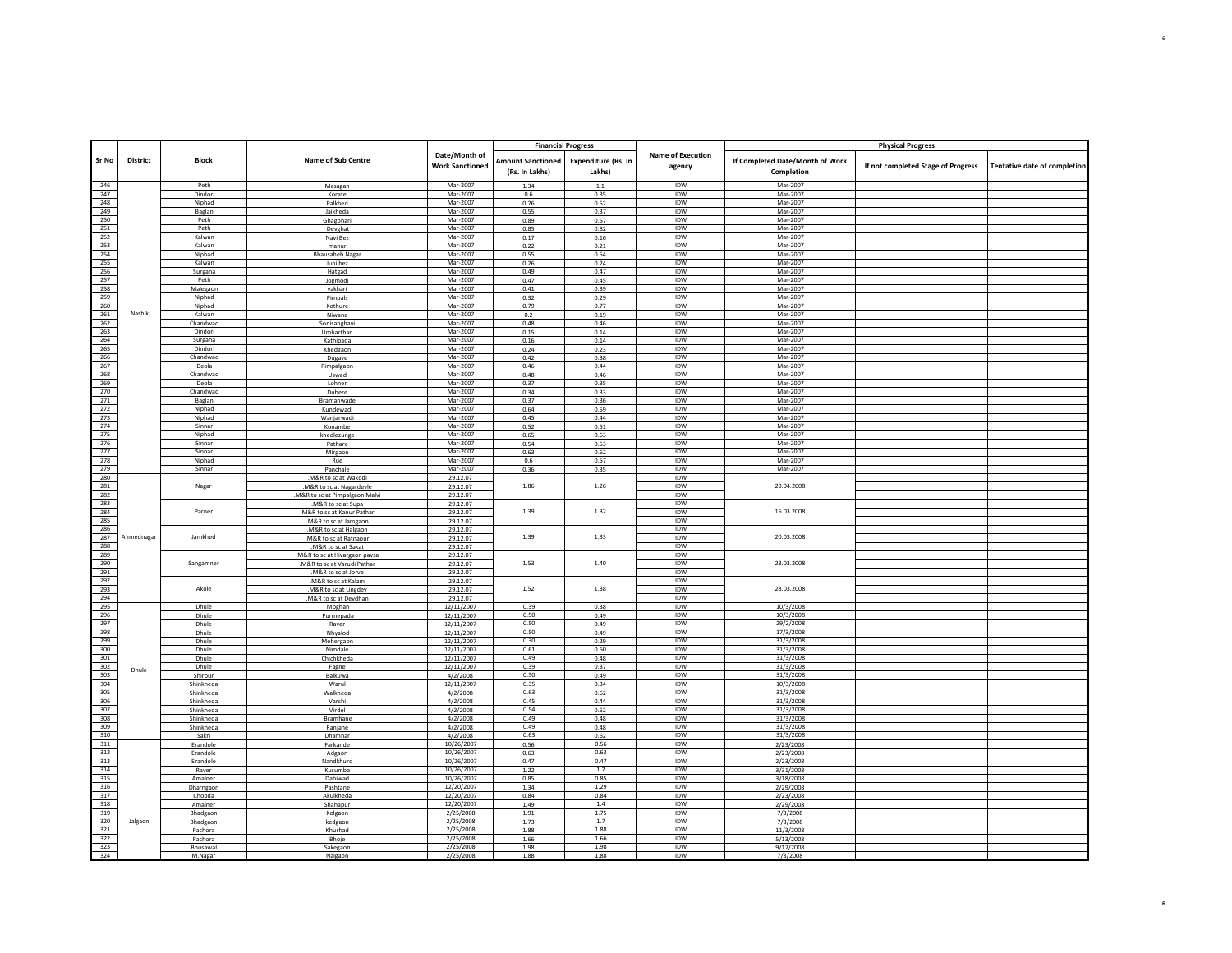|                   |            |                   |                                               |                                         | <b>Financial Progress</b>                  |                               |                                    |                                               | <b>Physical Progress</b>           |                                     |
|-------------------|------------|-------------------|-----------------------------------------------|-----------------------------------------|--------------------------------------------|-------------------------------|------------------------------------|-----------------------------------------------|------------------------------------|-------------------------------------|
| Sr No             | District   | <b>Block</b>      | Name of Sub Centre                            | Date/Month of<br><b>Work Sanctioned</b> | <b>Amount Sanctioned</b><br>(Rs. In Lakhs) | Expenditure (Rs. In<br>Lakhs) | <b>Name of Execution</b><br>agency | If Completed Date/Month of Work<br>Completion | If not completed Stage of Progress | <b>Tentative date of completion</b> |
| 246               |            | Peth              | Masagan                                       | Mar-2007                                | 1.34                                       | $1.1\,$                       | <b>IDW</b>                         | Mar-2007                                      |                                    |                                     |
| 247               |            | Dindori           | Korate                                        | Mar-2007                                | 0.6                                        | 0.35                          | IDW                                | Mar-2007                                      |                                    |                                     |
| 248               |            | Ninhad            | Palkhed                                       | Mar-2007                                | 0.76                                       | 0.52                          | <b>IDW</b>                         | Mar-2007                                      |                                    |                                     |
| 249               |            | Baglan            | Jaikheda                                      | Mar-2007                                | 0.55                                       | 0.37                          | <b>IDW</b>                         | Mar-2007                                      |                                    |                                     |
| 250               |            | Peth              | Ghagbhari                                     | Mar-2007                                | 0.89                                       | 0.57                          | IDW                                | Mar-2007                                      |                                    |                                     |
| 251               |            | Peth              | Devghat                                       | Mar-2007                                | 0.85                                       | 0.82                          | IDW                                | Mar-2007                                      |                                    |                                     |
| 252               |            | Kalwan            | Navi Bez                                      | Mar-2007                                | 0.17                                       | 0.16                          | IDW                                | Mar-2007                                      |                                    |                                     |
| 253               |            | Kalwar            | manur                                         | Mar-2007                                | 0.22                                       | 0.21                          | IDW                                | Mar-2007                                      |                                    |                                     |
| 254<br>255        |            | Niphad<br>Kalwan  | <b>Bhausaheb Nagar</b>                        | Mar-2007<br>Mar-2007                    | 0.55                                       | 0.54                          | IDW<br><b>IDW</b>                  | Mar-2007<br>Mar-2007                          |                                    |                                     |
| 256               |            | Surgana           | Juni bez<br>Hatgad                            | Mar-2007                                | 0.26<br>0.49                               | 0.24<br>0.47                  | IDW                                | Mar-2007                                      |                                    |                                     |
| 257               |            | Peth              | Jogmodi                                       | Mar-2007                                | 0.47                                       | 0.45                          | <b>IDW</b>                         | Mar-2007                                      |                                    |                                     |
| 258               |            | Malegaon          | vakhari                                       | Mar-2007                                | 0.41                                       | 0.39                          | IDW                                | Mar-2007                                      |                                    |                                     |
| 259               |            | Niphad            | Pimpals                                       | Mar-2007                                | 0.32                                       | 0.29                          | IDW                                | Mar-2007                                      |                                    |                                     |
| 260               |            | Niphad            | Kothure                                       | Mar-2007                                | 0.79                                       | 0.77                          | <b>IDW</b>                         | Mar-2007                                      |                                    |                                     |
| 261               | Nashik     | Kalwan            | Niwane                                        | Mar-2007                                | 0.2                                        | 0.19                          | IDW                                | Mar-2007                                      |                                    |                                     |
| 262               |            | Chandwad          | Sonisanghavi                                  | Mar-2007                                | 0.48                                       | 0.46                          | IDW                                | Mar-2007                                      |                                    |                                     |
| 263               |            | Dindori           | Umbarthan                                     | Mar-2007                                | 0.15                                       | 0.14                          | IDW                                | Mar-2007                                      |                                    |                                     |
| 264               |            | Surgana           | Kathipada                                     | Mar-2007                                | 0.16                                       | 0.14                          | <b>IDW</b>                         | Mar-2007                                      |                                    |                                     |
| 265               |            | Dindori           | Khedgaon                                      | Mar-2007                                | 0.24                                       | 0.23                          | IDW                                | Mar-2007                                      |                                    |                                     |
| 266               |            | Chandwad          | Dugave                                        | Mar-2007                                | 0.42                                       | 0.38                          | IDW                                | Mar-2007                                      |                                    |                                     |
| 267               |            | Deola             | Pimpalgaon                                    | Mar-2007                                | 0.46                                       | 0.44                          | IDW                                | Mar-2007                                      |                                    |                                     |
| 268               |            | Chandwad          | Uswad                                         | Mar-2007<br>Mar-2007                    | 0.48                                       | 0.46                          | IDW<br><b>IDW</b>                  | Mar-2007<br>Mar-2007                          |                                    |                                     |
| 269               |            | Deola<br>Chandwad | Lohner                                        | Mar-2007                                | 0.37                                       | 0.35                          | IDW                                | Mar-2007                                      |                                    |                                     |
| 270<br>271        |            | Baglan            | Dubere                                        | Mar-2007                                | 0.34<br>0.37                               | 0.33                          | <b>IDW</b>                         | Mar-2007                                      |                                    |                                     |
| 272               |            | Niphad            | Bramanwade<br>Kundewadi                       | Mar-2007                                | 0.64                                       | 0.36<br>0.59                  | <b>IDW</b>                         | Mar-2007                                      |                                    |                                     |
| 273               |            | Niphad            | Wanjarwadi                                    | Mar-2007                                | 0.45                                       | 0.44                          | <b>IDW</b>                         | Mar-2007                                      |                                    |                                     |
| 274               |            | Sinnar            | Konambe                                       | Mar-2007                                | 0.52                                       | 0.51                          | <b>IDW</b>                         | Mar-2007                                      |                                    |                                     |
| 275               |            | Niphad            | khedlezunge                                   | Mar-2007                                | 0.65                                       | 0.63                          | IDW                                | Mar-2007                                      |                                    |                                     |
| 276               |            | Sinnar            | Pathare                                       | Mar-2007                                | 0.54                                       | 0.53                          | IDW                                | Mar-2007                                      |                                    |                                     |
| 277               |            | Sinnar            | Mirgaon                                       | Mar-2007                                | 0.63                                       | 0.62                          | <b>IDW</b>                         | Mar-2007                                      |                                    |                                     |
| 278               |            | Niphad            | Rue                                           | Mar-2007                                | 0.6                                        | 0.57                          | IDW                                | Mar-2007                                      |                                    |                                     |
| 279               |            | Sinnar            | Panchale                                      | Mar-2007                                | 0.36                                       | 0.35                          | IDW                                | Mar-2007                                      |                                    |                                     |
| 280               |            |                   | .M&R to sc at Wakodi                          | 29.12.07                                |                                            |                               | <b>IDW</b>                         |                                               |                                    |                                     |
| 281               |            | Nagar             | .M&R to sc at Nagardevle                      | 29.12.07                                | 1.86                                       | 1.26                          | IDW                                | 20.04.2008                                    |                                    |                                     |
| 282               |            |                   | .M&R to sc at Pimpalgaon Malvi                | 29.12.07                                |                                            |                               | <b>IDW</b>                         |                                               |                                    |                                     |
| 283               |            |                   | .M&R to sc at Supa                            | 29.12.07                                |                                            |                               | IDW                                |                                               |                                    |                                     |
| 284<br>285        |            | Parner            | M&R to sc at Kanur Pathar                     | 29.12.07                                | 1.39                                       | 1.32                          | <b>IDW</b><br><b>IDW</b>           | 16.03.2008                                    |                                    |                                     |
| 286               |            |                   | .M&R to sc at Jamgaon                         | 29.12.07<br>29.12.07                    |                                            |                               | IDW                                |                                               |                                    |                                     |
| 287               | Ahmednagar | Jamkhed           | M&R to sc at Halgaon                          | 29.12.07                                | 1.39                                       | 1.33                          | <b>IDW</b>                         | 20.03.2008                                    |                                    |                                     |
| 288               |            |                   | .M&R to sc at Ratnapur<br>.M&R to sc at Sakat | 29.12.07                                |                                            |                               | IDW                                |                                               |                                    |                                     |
| 289               |            |                   | .M&R to sc at Hivargaon pavsa                 | 29.12.07                                |                                            |                               | IDW                                |                                               |                                    |                                     |
| 290               |            | Sangamner         | .M&R to sc at Varudi Pathar                   | 29.12.07                                | 1.53                                       | 1.40                          | IDW                                | 28.03.2008                                    |                                    |                                     |
| 291               |            |                   | .M&R to sc at Jorve                           | 29.12.07                                |                                            |                               | IDW                                |                                               |                                    |                                     |
| 292               |            |                   | .M&R to sc at Kalam                           | 29.12.07                                |                                            |                               | IDW                                |                                               |                                    |                                     |
| 293               |            | Akole             | M&R to sc at Lingdev                          | 29.12.07                                | 1.52                                       | 1.38                          | IDW                                | 28.03.2008                                    |                                    |                                     |
| 294               |            |                   | .M&R to sc at Devdhan                         | 29.12.07                                |                                            |                               | <b>IDW</b>                         |                                               |                                    |                                     |
| 295               |            | Dhule             | Moghan                                        | 12/11/2007                              | 0.39                                       | 0.38                          | IDW                                | 10/3/2008                                     |                                    |                                     |
| 296               |            | Dhule             | Purmepada                                     | 12/11/2007                              | 0.50                                       | 0.49                          | <b>IDW</b>                         | 10/3/2008                                     |                                    |                                     |
| 297               |            | Dhule             | Raver                                         | 12/11/2007                              | 0.50                                       | 0.49                          | <b>IDW</b>                         | 29/2/2008                                     |                                    |                                     |
| 298               |            | Dhule             | Nhyalod                                       | 12/11/2007                              | 0.50                                       | 0.49                          | IDW                                | 17/3/2008                                     |                                    |                                     |
| 299               |            | Dhule             | Mehergaon                                     | 12/11/2007                              | 0.30                                       | 0.29                          | IDW                                | 31/3/2008                                     |                                    |                                     |
| 300<br>301        |            | Dhule<br>Dhule    | Nimdale<br>Chichkheda                         | 12/11/2007                              | 0.61<br>0.49                               | 0.60<br>0.48                  | IDW<br><b>IDW</b>                  | 31/3/2008<br>31/3/2008                        |                                    |                                     |
| 302               |            | Dhule             | Fagne                                         | 12/11/2007<br>12/11/2007                | 0.39                                       | 0.37                          | IDW                                | 31/3/2008                                     |                                    |                                     |
| 303               | Dhule      | Shirpur           | Balkuwa                                       | 4/2/2008                                | 0.50                                       | 0.49                          | <b>IDW</b>                         | 31/3/2008                                     |                                    |                                     |
| 304               |            | Shinkheda         | Warul                                         | 12/11/2007                              | 0.35                                       | 0.34                          | IDW                                | 10/3/2008                                     |                                    |                                     |
| 305               |            | Shinkheda         | Walkheda                                      | 4/2/2008                                | 0.63                                       | 0.62                          | IDW                                | 31/3/2008                                     |                                    |                                     |
| 306               |            | Shinkheda         | Varshi                                        | 4/2/2008                                | 0.45                                       | 0.44                          | IDW                                | 31/3/2008                                     |                                    |                                     |
| 307               |            | Shinkheda         | Virdel                                        | 4/2/2008                                | 0.54                                       | 0.52                          | IDW                                | 31/3/2008                                     |                                    |                                     |
| 308               |            | Shinkheda         | Bramhane                                      | 4/2/2008                                | 0.49                                       | 0.48                          | <b>IDW</b>                         | 31/3/2008                                     |                                    |                                     |
| 309               |            | Shinkheda         | Raniane                                       | 4/2/2008                                | 0.49                                       | 0.48                          | IDW                                | 31/3/2008                                     |                                    |                                     |
| 310               |            | Sakri             | Dhamnar                                       | 4/2/2008                                | 0.63                                       | 0.62                          | IDW                                | 31/3/2008                                     |                                    |                                     |
| 311               |            | Erandole          | Farkande                                      | 10/26/2007                              | 0.56                                       | 0.56                          | IDW                                | 2/23/2008                                     |                                    |                                     |
| 312               |            | Erandole          | Adgaon                                        | 10/26/2007                              | 0.63                                       | 0.63                          | <b>IDW</b><br>IDW                  | 2/23/2008                                     |                                    |                                     |
| 313<br>314        |            | Erandole          | Nandkhurd                                     | 10/26/2007                              | 0.47                                       | 0.47<br>$1.2$                 | <b>IDW</b>                         | 2/23/2008                                     |                                    |                                     |
| 315               |            | Raver<br>Amalner  | Kusumba<br>Dahiwad                            | 10/26/2007<br>10/26/2007                | 1.22                                       | 0.85                          | IDW                                | 3/31/2008                                     |                                    |                                     |
| 316               |            | Dharngaon         | Pashtane                                      | 12/20/2007                              | 0.85<br>1.34                               | 1.29                          | IDW                                | 3/18/2008<br>2/29/2008                        |                                    |                                     |
| 317               |            | Chopda            | Akulkheda                                     | 12/20/2007                              | 0.84                                       | 0.84                          | IDW                                | 2/23/2008                                     |                                    |                                     |
| 318               |            | Amalner           | Shahapur                                      | 12/20/2007                              | 1.49                                       | $1.4\,$                       | IDW                                | 2/29/2008                                     |                                    |                                     |
| 319               |            | Bhadgaon          | Kolgaon                                       | 2/25/2008                               | 1.91                                       | 1.75                          | <b>IDW</b>                         | 7/3/2008                                      |                                    |                                     |
| 320               | Jalgaon    | Bhadgaon          | kedgaon                                       | 2/25/2008                               | 1.73                                       | 1.7                           | IDW                                | 7/3/2008                                      |                                    |                                     |
| 321               |            | Pachora           | Khurhad                                       | 2/25/2008                               | 1.88                                       | 1.88                          | <b>IDW</b>                         | 11/3/2008                                     |                                    |                                     |
| 322               |            | Pachora           | Bhoje                                         | 2/25/2008                               | 1.66                                       | 1.66                          | IDW                                | 5/13/2008                                     |                                    |                                     |
| $\frac{323}{324}$ |            | Bhusawal          | Sakegaon                                      | 2/25/2008                               | 1.98                                       | 1.98                          | IDW                                | 9/17/2008                                     |                                    |                                     |
|                   |            | M.Nagar           | Naigaon                                       | 2/25/2008                               | 1.88                                       | 1.88                          | IDW                                | 7/3/2008                                      |                                    |                                     |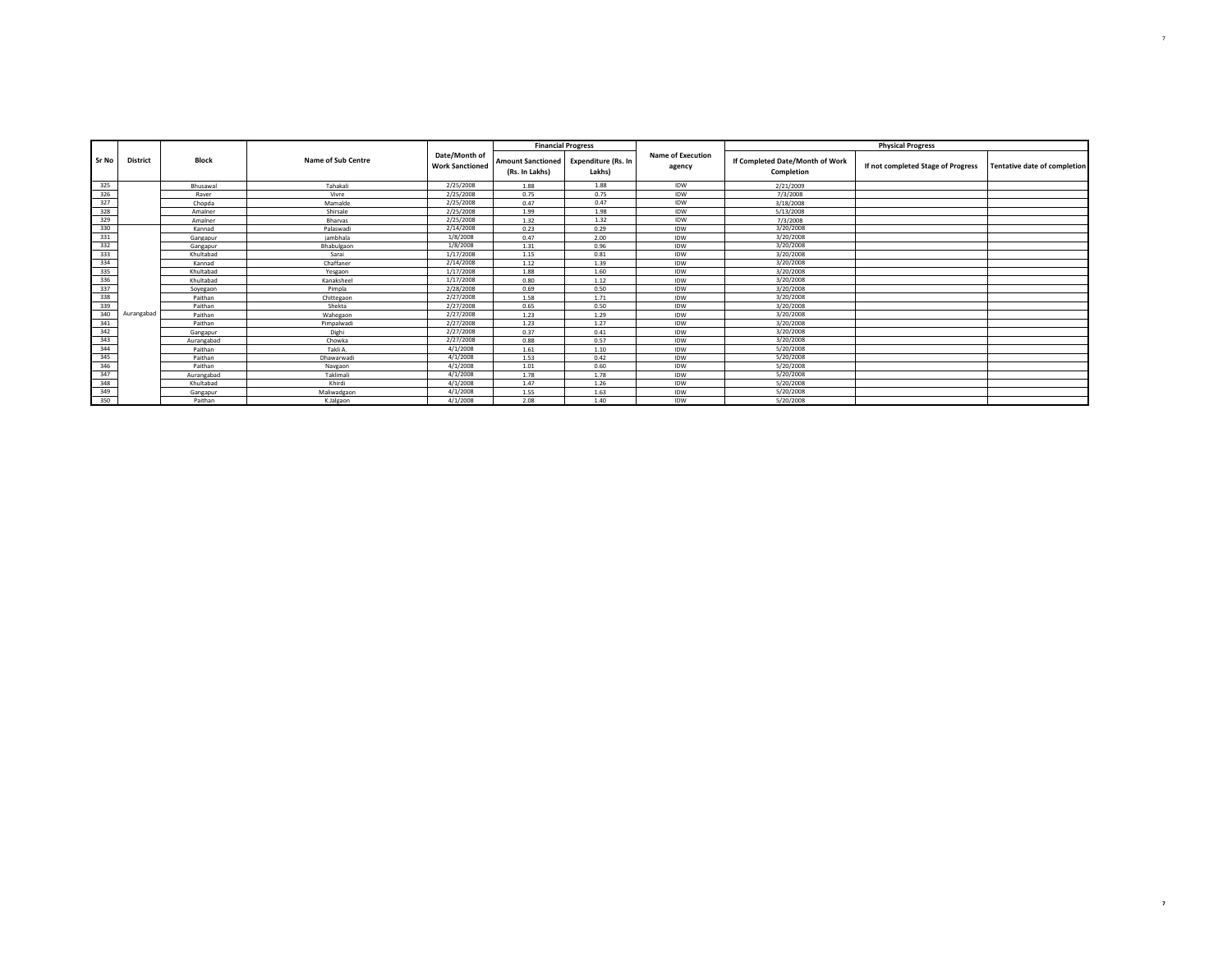|            |                 |              |                    |                                         | <b>Financial Progress</b>                  |                                      |                                    |                                               | <b>Physical Progress</b>           |                                     |
|------------|-----------------|--------------|--------------------|-----------------------------------------|--------------------------------------------|--------------------------------------|------------------------------------|-----------------------------------------------|------------------------------------|-------------------------------------|
| Sr No      | <b>District</b> | <b>Block</b> | Name of Sub Centre | Date/Month of<br><b>Work Sanctioned</b> | <b>Amount Sanctioned</b><br>(Rs. In Lakhs) | <b>Expenditure (Rs. In</b><br>Lakhs) | <b>Name of Execution</b><br>agency | If Completed Date/Month of Work<br>Completion | If not completed Stage of Progress | <b>Tentative date of completion</b> |
| 325        |                 | Bhusawal     | Tahakali           | 2/25/2008                               | 1.88                                       | 1.88                                 | <b>IDW</b>                         | 2/21/2009                                     |                                    |                                     |
| 326        |                 | Raver        | Vivre              | 2/25/2008                               | 0.75                                       | 0.75                                 | IDW                                | 7/3/2008                                      |                                    |                                     |
| 327        |                 | Chopda       | Mamalde            | 2/25/2008                               | 0.47                                       | 0.47                                 | IDW                                | 3/18/2008                                     |                                    |                                     |
| 328        |                 | Amalner      | Shirsale           | 2/25/2008                               | 1.99                                       | 1.98                                 | IDW                                | 5/13/2008                                     |                                    |                                     |
| 329        |                 | Amalner      | <b>Bharvas</b>     | 2/25/2008                               | 1.32                                       | 1.32                                 | <b>IDW</b>                         | 7/3/2008                                      |                                    |                                     |
| 330        |                 | Kannad       | Palaswadi          | 2/14/2008                               | 0.23                                       | 0.29                                 | <b>IDW</b>                         | 3/20/2008                                     |                                    |                                     |
| 331        |                 | Gangapur     | iambhala           | 1/8/2008                                | 0.47                                       | 2.00                                 | IDW                                | 3/20/2008                                     |                                    |                                     |
| 332        |                 | Gangapur     | Bhabulgaon         | 1/8/2008                                | 1.31                                       | 0.96                                 | <b>IDW</b>                         | 3/20/2008                                     |                                    |                                     |
| 333        |                 | Khultabad    | Sarai              | 1/17/2008                               | 1.15                                       | 0.81                                 | IDW                                | 3/20/2008                                     |                                    |                                     |
| 334        |                 | Kannad       | Chaffaner          | 2/14/2008                               | 1.12                                       | 1.39                                 | <b>IDW</b>                         | 3/20/2008                                     |                                    |                                     |
| 335        |                 | Khultabad    | Yesgaon            | 1/17/2008                               | 1.88                                       | 1.60                                 | <b>IDW</b>                         | 3/20/2008                                     |                                    |                                     |
| 336        |                 | Khultabad    | Kanaksheel         | 1/17/2008                               | 0.80                                       | 1.12                                 | <b>IDW</b>                         | 3/20/2008                                     |                                    |                                     |
| 337<br>338 |                 | Sovegaon     | Pimpla             | 2/28/2008                               | 0.69                                       | 0.50                                 | <b>IDW</b>                         | 3/20/2008                                     |                                    |                                     |
|            |                 | Paithan      | Chittegaon         | 2/27/2008                               | 1.58                                       | 1.71                                 | IDW                                | 3/20/2008                                     |                                    |                                     |
| 339        |                 | Paithan      | Shekta             | 2/27/2008                               | 0.65                                       | 0.50                                 | <b>IDW</b>                         | 3/20/2008                                     |                                    |                                     |
| 340        | Aurangabad      | Paithan      | Wahegaon           | 2/27/2008                               | 1.23                                       | 1.29                                 | <b>IDW</b>                         | 3/20/2008                                     |                                    |                                     |
| 341        |                 | Paithan      | Pimpalwadi         | 2/27/2008                               | 1.23                                       | 1.27                                 | <b>IDW</b>                         | 3/20/2008                                     |                                    |                                     |
| 342        |                 | Gangapur     | Dighi              | 2/27/2008                               | 0.37                                       | 0.41                                 | <b>IDW</b>                         | 3/20/2008                                     |                                    |                                     |
| 343        |                 | Aurangabad   | Chowka             | 2/27/2008                               | 0.88                                       | 0.57                                 | IDW                                | 3/20/2008                                     |                                    |                                     |
| 344<br>345 |                 | Paithan      | Takli A.           | 4/1/2008                                | 1.61                                       | 1.10                                 | <b>IDW</b>                         | 5/20/2008                                     |                                    |                                     |
|            |                 | Paithan      | Dhawarwadi         | 4/1/2008                                | 1.53                                       | 0.42                                 | <b>IDW</b>                         | 5/20/2008                                     |                                    |                                     |
| 346        |                 | Paithan      | Navgaon            | 4/1/2008                                | 1.01                                       | 0.60                                 | IDW                                | 5/20/2008                                     |                                    |                                     |
| 347        |                 | Aurangabad   | Taklimali          | 4/1/2008                                | 1.78                                       | 1.78                                 | <b>IDW</b>                         | 5/20/2008                                     |                                    |                                     |
| 348        |                 | Khultabad    | Khirdi             | 4/1/2008                                | 1.47                                       | 1.26                                 | IDW                                | 5/20/2008                                     |                                    |                                     |
| 349<br>350 |                 | Gangapur     | Maliwadgaon        | 4/1/2008                                | 1.55                                       | 1.63                                 | IDW                                | 5/20/2008                                     |                                    |                                     |
|            |                 | Paithan      | K.Jalgaon          | 4/1/2008                                | 2.08                                       | 1.40                                 | <b>IDW</b>                         | 5/20/2008                                     |                                    |                                     |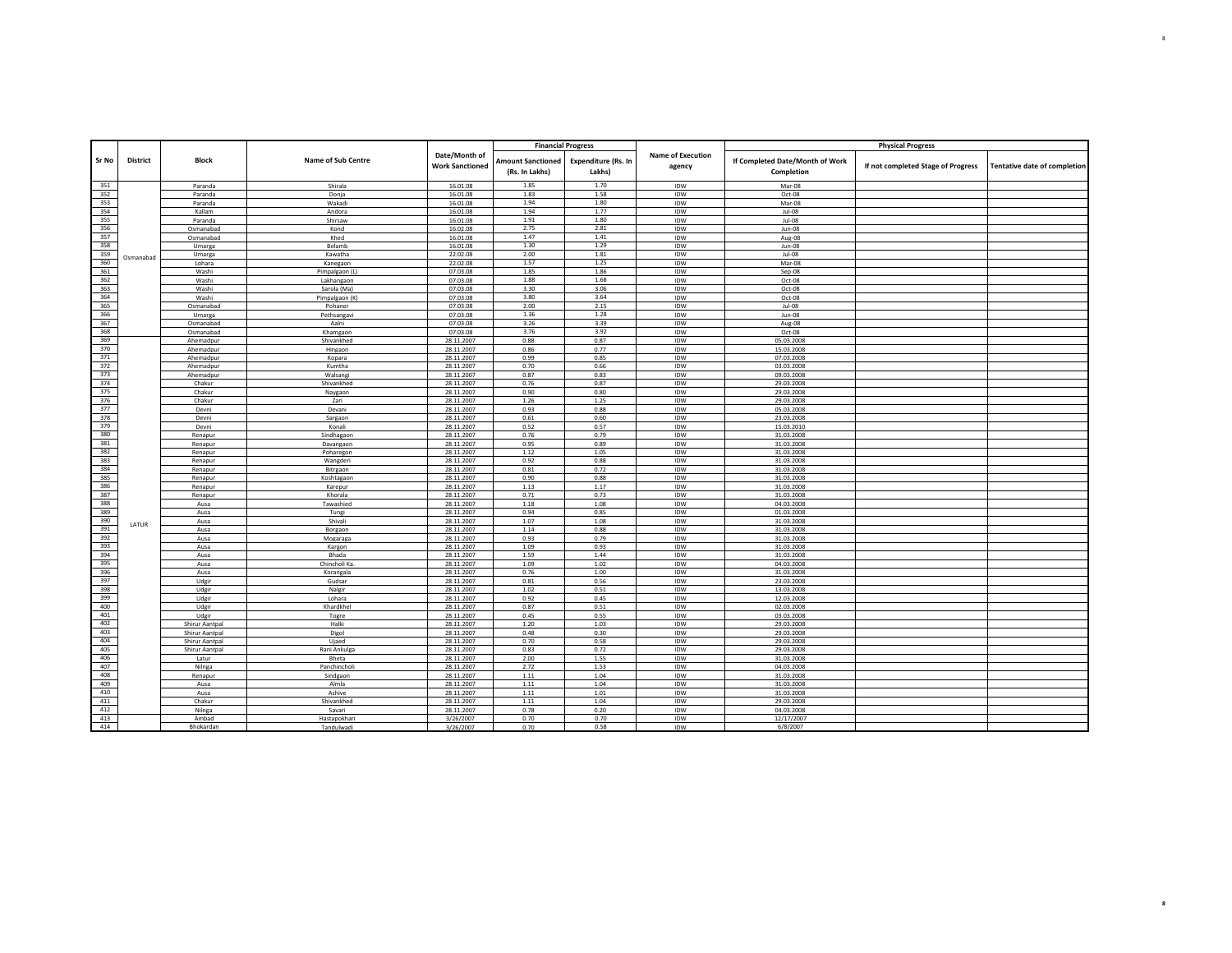|            |                 |                        |                           |                                         |                                            | <b>Financial Progress</b>     |                                    |                                               | <b>Physical Progress</b>           |                                     |
|------------|-----------------|------------------------|---------------------------|-----------------------------------------|--------------------------------------------|-------------------------------|------------------------------------|-----------------------------------------------|------------------------------------|-------------------------------------|
| Sr No      | <b>District</b> | <b>Block</b>           | Name of Sub Centre        | Date/Month of<br><b>Work Sanctioned</b> | <b>Amount Sanctioned</b><br>(Rs. In Lakhs) | Expenditure (Rs. In<br>Lakhs) | <b>Name of Execution</b><br>agency | If Completed Date/Month of Work<br>Completion | If not completed Stage of Progress | <b>Tentative date of completion</b> |
| 351        |                 | Paranda                | Shirala                   | 16.01.08                                | 1.85                                       | 1.70                          | IDW                                | Mar-08                                        |                                    |                                     |
| 352        |                 | Paranda                | Donia                     | 16.01.08                                | 1.83                                       | 1.58                          | <b>IDW</b>                         | Oct-08                                        |                                    |                                     |
| 353        |                 | Paranda                | Wakadi                    | 16.01.08                                | 1.94<br>1.94                               | 1.80                          | IDW                                | Mar-08                                        |                                    |                                     |
| 354<br>355 |                 | Kallam<br>Paranda      | Andora<br>Shirsaw         | 16.01.08<br>16.01.08                    | 1.91                                       | 1.77<br>1.80                  | IDW<br><b>IDW</b>                  | Jul-08<br>$Jul-08$                            |                                    |                                     |
| 356        |                 | Osmanabad              | Kond                      | 16.02.08                                | 2.75                                       | 2.81                          | IDW                                | <b>Jun-08</b>                                 |                                    |                                     |
| 357        |                 | Osmanabad              | Khed                      | 16.01.08                                | 1.47                                       | 1.41                          | IDW                                | Aug-08                                        |                                    |                                     |
| 358        |                 | Umarea                 | Belamb                    | 16.01.08                                | 1.30                                       | 1.29                          | IDW                                | $Jun-08$                                      |                                    |                                     |
| 359        | Osmanabad       | Umarga                 | Kawatha                   | 22.02.08                                | 2.00                                       | 1.81                          | IDW                                | Jul-08                                        |                                    |                                     |
| 360        |                 | Lohara                 | Kanegaon                  | 22.02.08                                | 1.57                                       | 1.25<br>1.86                  | IDW                                | Mar-08                                        |                                    |                                     |
| 361<br>362 |                 | Washi<br>Washi         | Pimpalgaon (L             | 07.03.08<br>07.03.08                    | 1.85<br>1.88                               | 1.68                          | <b>IDW</b><br>IDW                  | Sep-08<br>Oct-08                              |                                    |                                     |
| 363        |                 | Washi                  | Lakhangaon<br>Sarola (Ma) | 07.03.08                                | 3.30                                       | 3.06                          | IDW                                | Oct-08                                        |                                    |                                     |
| 364        |                 | Washi                  | Pimpalgaon (K)            | 07.03.08                                | 3.80                                       | 3.64                          | IDW                                | Oct-08                                        |                                    |                                     |
| 365        |                 | Osmanabad              | Pohaner                   | 07.03.08                                | 2.00                                       | 2.15                          | IDW                                | Jul-08                                        |                                    |                                     |
| 366        |                 | Umarga                 | Pethsangavi               | 07.03.08                                | 1.36                                       | 1.28                          | IDW                                | <b>Jun-08</b>                                 |                                    |                                     |
| 367        |                 | Osmanabad              | Aalni                     | 07.03.08                                | 3.26                                       | 3.39                          | <b>IDW</b>                         | Aug-08                                        |                                    |                                     |
| 368<br>369 |                 | Osmanabad              | Khamgaon                  | 07.03.08                                | 3.76                                       | 3.92                          | IDW                                | Oct-08                                        |                                    |                                     |
| 370        |                 | Ahemadpur<br>Ahemadpur | Shivankhed<br>Hingaon     | 28.11.2007<br>28.11.2007                | 0.88<br>0.86                               | 0.87<br>0.77                  | IDW<br>IDW                         | 05.03.2008<br>15.03.2008                      |                                    |                                     |
| 371        |                 | Ahemadpur              | Kopara                    | 28.11.2007                              | 0.99                                       | 0.85                          | IDW                                | 07.03.2008                                    |                                    |                                     |
| 372        |                 | Ahemadpur              | Kumtha                    | 28.11.2007                              | 0.70                                       | 0.66                          | <b>IDW</b>                         | 03.03.2008                                    |                                    |                                     |
| 373        |                 | Ahemadpur              | Walsang                   | 28.11.2007                              | 0.87                                       | 0.83                          | IDW                                | 09.03.2008                                    |                                    |                                     |
| 374        |                 | Chakur                 | Shivankhed                | 28.11.2007                              | 0.76                                       | 0.87                          | IDW                                | 29.03.2008                                    |                                    |                                     |
| 375        |                 | Chakur                 | Naygaon                   | 28.11.2007                              | 0.90                                       | 0.80                          | IDW                                | 29.03.2008                                    |                                    |                                     |
| 376<br>377 |                 | Chakur                 | Zari                      | 28.11.2007                              | 1.26                                       | 1.25                          | IDW                                | 29.03.2008                                    |                                    |                                     |
| 378        |                 | Devni<br>Devni         | Devani<br>Sargaon         | 28.11.2007<br>28.11.2007                | 0.93<br>0.61                               | 0.88<br>0.60                  | IDW<br>IDW                         | 05.03.2008<br>23.03.2008                      |                                    |                                     |
| 379        |                 | Devni                  | Konali                    | 28.11.2007                              | 0.52                                       | 0.57                          | <b>IDW</b>                         | 15.03.2010                                    |                                    |                                     |
| 380        |                 | Renapur                | Sindhagaon                | 28.11.2007                              | 0.76                                       | 0.79                          | IDW                                | 31.03.2008                                    |                                    |                                     |
| 381        |                 | Renapur                | Davangaon                 | 28.11.2007                              | 0.95                                       | 0.89                          | IDW                                | 31.03.2008                                    |                                    |                                     |
| 382        |                 | Renapur                | Poharegon                 | 28.11.2007                              | 1.12                                       | 1.05                          | IDW                                | 31.03.2008                                    |                                    |                                     |
| 383        |                 | Renapur                | Wangderi                  | 28.11.2007                              | 0.92                                       | 0.88                          | <b>IDW</b>                         | 31.03.2008                                    |                                    |                                     |
| 384<br>385 |                 | Renapur<br>Renapur     | Bitrgaon<br>Koshtagaon    | 28.11.2007<br>28.11.2007                | 0.81<br>0.90                               | 0.72<br>0.88                  | IDW<br>IDW                         | 31.03.2008<br>31.03.2008                      |                                    |                                     |
| 386        |                 | Renapur                | Karepur                   | 28.11.2007                              | 1.13                                       | 1.17                          | IDW                                | 31.03.2008                                    |                                    |                                     |
| 387        |                 | Renapur                | Khorala                   | 28.11.2007                              | 0.71                                       | 0.73                          | IDW                                | 31.03.2008                                    |                                    |                                     |
| 388        |                 | Ausa                   | Tawashied                 | 28.11.2007                              | $1.18\,$                                   | 1.08                          | IDW                                | 04.03.2008                                    |                                    |                                     |
| 389        |                 | Ausa                   | Tungi                     | 28.11.2007                              | 0.94                                       | 0.85                          | IDW                                | 01.03.2008                                    |                                    |                                     |
| 390        | LATUR           | Ausa                   | Shivali                   | 28.11.2007                              | 1.07                                       | 1.08                          | IDW                                | 31.03.2008                                    |                                    |                                     |
| 391        |                 | Ausa                   | Borgaon                   | 28.11.2007                              | 1.14                                       | 0.88                          | <b>IDW</b>                         | 31.03.2008                                    |                                    |                                     |
| 392<br>393 |                 | Ausa<br>Ausa           | Mogaraga<br>Kargon        | 28.11.2007<br>28.11.2007                | 0.93<br>1.09                               | 0.79<br>0.93                  | IDW<br>IDW                         | 31.03.2008<br>31.03.2008                      |                                    |                                     |
| 394        |                 | Ausa                   | Bhada                     | 28.11.2007                              | 1.59                                       | 1.44                          | IDW                                | 31.03.2008                                    |                                    |                                     |
| 395        |                 | Ausa                   | Chincholi Ka              | 28.11.2007                              | 1.09                                       | 1.02                          | IDW                                | 04.03.2008                                    |                                    |                                     |
| 396        |                 | Ausa                   | Korangala                 | 28.11.2007                              | 0.76                                       | 1.00                          | IDW                                | 31.03.2008                                    |                                    |                                     |
| 397        |                 | Udgir                  | Gudsar                    | 28.11.2007                              | 0.81                                       | 0.56                          | IDW                                | 23.03.2008                                    |                                    |                                     |
| 398        |                 | Udgir                  | Nalgir                    | 28.11.2007                              | 1.02                                       | 0.51                          | IDW                                | 13.03.2008                                    |                                    |                                     |
| 399<br>400 |                 | Udgir<br>Udgir         | Lohara<br>Khardkhel       | 28.11.2007<br>28.11.2007                | 0.92<br>0.87                               | 0.45<br>0.51                  | IDW<br>IDW                         | 12.03.2008<br>02.03.2008                      |                                    |                                     |
| 401        |                 | Udgir                  | Togre                     | 28.11.2007                              | 0.45                                       | 0.55                          | IDW                                | 03.03.2008                                    |                                    |                                     |
| 402        |                 | Shirur Aantpal         | Halki                     | 28.11.2007                              | 1.20                                       | 1.03                          | IDW                                | 29.03.2008                                    |                                    |                                     |
| 403        |                 | Shirur Aantpal         | Digol                     | 28.11.2007                              | 0.48                                       | 0.30                          | IDW                                | 29.03.2008                                    |                                    |                                     |
| 404        |                 | Shirur Aantpal         | Ujaed                     | 28.11.2007                              | 0.70                                       | 0.58                          | IDW                                | 29.03.2008                                    |                                    |                                     |
| 405        |                 | Shirur Aantoal         | Rani Ankulga              | 28.11.2007                              | 0.83                                       | 0.72                          | IDW                                | 29.03.2008                                    |                                    |                                     |
| 406<br>407 |                 | Latur                  | Bheta                     | 28.11.2007                              | 2.00                                       | 1.55                          | IDW                                | 31.03.2008                                    |                                    |                                     |
| 408        |                 | Nilnga<br>Renapur      | Panchincholi              | 28.11.2007<br>28.11.2007                | 2.72<br>$1.11\,$                           | 1.53<br>1.04                  | IDW<br>IDW                         | 04.03.2008<br>31.03.2008                      |                                    |                                     |
| 409        |                 | Ausa                   | Sindgaon<br>Almla         | 28.11.2007                              | 1.11                                       | 1.04                          | IDW                                | 31.03.2008                                    |                                    |                                     |
| 410        |                 | Ausa                   | Ashive                    | 28.11.2007                              | 1.11                                       | 1.01                          | IDW                                | 31.03.2008                                    |                                    |                                     |
| 411        |                 | Chakur                 | Shivankhed                | 28.11.2007                              | 1.11                                       | 1.04                          | IDW                                | 29.03.2008                                    |                                    |                                     |
| 412        |                 | Nilnga                 | Savari                    | 28.11.2007                              | 0.78                                       | 0.20                          | IDW                                | 04.03.2008                                    |                                    |                                     |
| 413        |                 | Ambad                  | Hastapokhari              | 3/26/2007                               | 0.70                                       | 0.70                          | <b>IDW</b>                         | 12/17/2007                                    |                                    |                                     |
| 414        |                 | Bhokardan              | Tandulwad                 | 3/26/2007                               | 0.70                                       | 0.58                          | <b>IDW</b>                         | 6/8/2007                                      |                                    |                                     |

Jalna **8**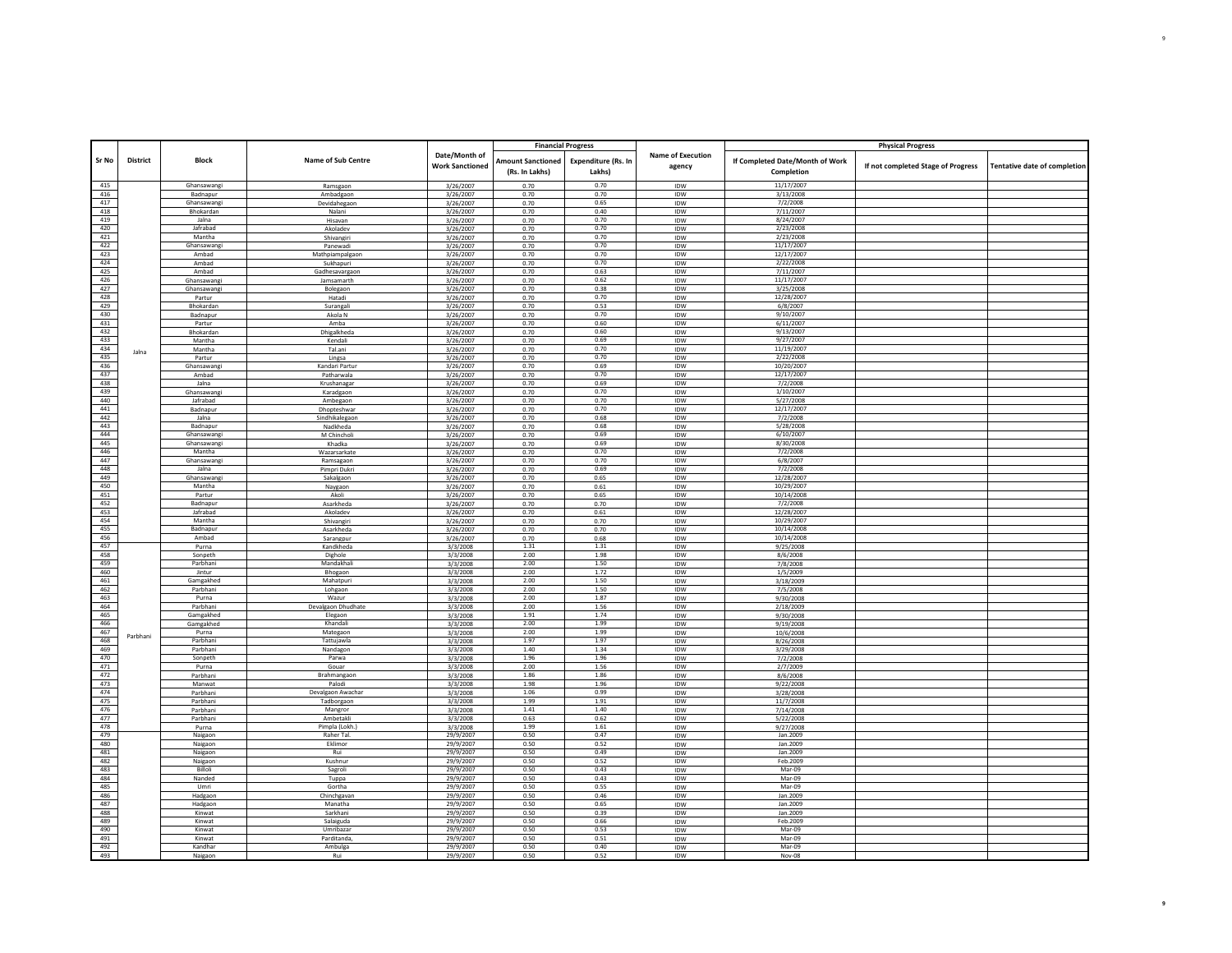|                 |          |                           |                              |                                         | <b>Financial Progress</b>                  |                               |                             |                                               | <b>Physical Progress</b>           |                                     |
|-----------------|----------|---------------------------|------------------------------|-----------------------------------------|--------------------------------------------|-------------------------------|-----------------------------|-----------------------------------------------|------------------------------------|-------------------------------------|
| Sr No           | District | <b>Block</b>              | Name of Sub Centre           | Date/Month of<br><b>Work Sanctioned</b> | <b>Amount Sanctioned</b><br>(Rs. In Lakhs) | Expenditure (Rs. In<br>Lakhs) | Name of Execution<br>agency | If Completed Date/Month of Work<br>Completion | If not completed Stage of Progress | <b>Tentative date of completion</b> |
| 415             |          | Ghansawangi               | Ramsgaon                     | 3/26/2007                               | 0.70                                       | 0.70                          | IDW                         | 11/17/2007                                    |                                    |                                     |
| 416             |          | Badnapur                  | Ambadgaon                    | 3/26/2007                               | 0.70                                       | 0.70                          | <b>IDW</b>                  | 3/13/2008                                     |                                    |                                     |
| 417             |          | Ghansawangi               | Devidahegaon                 | 3/26/2007                               | 0.70                                       | 0.65                          | IDW                         | 7/2/2008                                      |                                    |                                     |
| 418             |          | Bhokardan                 | Nalani                       | 3/26/2007                               | 0.70                                       | 0.40                          | IDW                         | 7/11/2007                                     |                                    |                                     |
| 419             |          | Jalna                     | Hisavan                      | 3/26/2007                               | 0.70                                       | 0.70                          | IDW                         | 8/24/2007                                     |                                    |                                     |
| 420             |          | Jafrabad                  | Akoladev                     | 3/26/2007                               | 0.70                                       | 0.70                          | IDW                         | 2/23/2008                                     |                                    |                                     |
| 421             |          | Mantha                    | Shivangiri                   | 3/26/2007                               | 0.70                                       | 0.70                          | IDW                         | 2/23/2008                                     |                                    |                                     |
| 422             |          | Ghansawangi               | Panewadi                     | 3/26/2007                               | 0.70                                       | 0.70                          | IDW                         | 11/17/2007                                    |                                    |                                     |
| 423             |          | Amhad                     | Mathpiampalgaon              | 3/26/2007                               | 0.70                                       | 0.70                          | IDW                         | 12/17/2007                                    |                                    |                                     |
| 424<br>425      |          | Ambad                     | Sukhapuri                    | 3/26/2007                               | 0.70                                       | 0.70                          | IDW                         | 2/22/2008                                     |                                    |                                     |
| 426             |          | Amhad                     | Gadhesavareaor               | 3/26/2007<br>3/26/2007                  | 0.70<br>0.70                               | 0.63<br>0.62                  | <b>IDW</b><br>IDW           | 7/11/2007<br>11/17/2007                       |                                    |                                     |
| 427             |          | Ghansawang<br>Ghansawangi | Jamsamarth<br>Bolegaon       | 3/26/2007                               | 0.70                                       | 0.38                          | IDW                         | 3/25/2008                                     |                                    |                                     |
| 428             |          | Partur                    | Hatadi                       | 3/26/2007                               | 0.70                                       | 0.70                          | IDW                         | 12/28/2007                                    |                                    |                                     |
| 429             |          | Bhokardan                 | Surangali                    | 3/26/2007                               | 0.70                                       | 0.53                          | IDW                         | 6/8/2007                                      |                                    |                                     |
| 430             |          | Badnapur                  | Akola N                      | 3/26/2007                               | 0.70                                       | 0.70                          | IDW                         | 9/10/2007                                     |                                    |                                     |
| 431             |          | Partur                    | Amba                         | 3/26/2007                               | 0.70                                       | 0.60                          | IDW                         | 6/11/2007                                     |                                    |                                     |
| 432             |          | Bhokardan                 | Dhigalkheda                  | 3/26/2007                               | 0.70                                       | 0.60                          | <b>IDW</b>                  | 9/13/2007                                     |                                    |                                     |
| 433             |          | Mantha                    | Kendali                      | 3/26/2007                               | 0.70                                       | 0.69                          | IDW                         | 9/27/2007                                     |                                    |                                     |
| 434             | Jalna    | Mantha                    | Tal.ani                      | 3/26/2007                               | 0.70                                       | 0.70                          | <b>IDW</b>                  | 11/19/2007                                    |                                    |                                     |
| 435             |          | Partur                    | Lingsa                       | 3/26/2007                               | 0.70                                       | 0.70                          | IDW                         | 2/22/2008                                     |                                    |                                     |
| 436             |          | Ghansawang                | Kandari Partur               | 3/26/2007                               | 0.70                                       | 0.69                          | IDW                         | 10/20/2007                                    |                                    |                                     |
| 437             |          | Ambad                     | Patharwala                   | 3/26/2007                               | 0.70                                       | 0.70<br>0.69                  | IDW                         | 12/17/2007                                    |                                    |                                     |
| 438<br>439      |          | Jalna<br>Ghansawangi      | Krushanagar<br>Karadgaon     | 3/26/2007<br>3/26/2007                  | 0.70<br>0.70                               | 0.70                          | IDW<br>IDW                  | 7/2/2008<br>1/10/2007                         |                                    |                                     |
| 440             |          | Jafrabad                  | Ambegaon                     | 3/26/2007                               | 0.70                                       | 0.70                          | IDW                         | 5/27/2008                                     |                                    |                                     |
| 441             |          | Badnapur                  | Dhopteshwar                  | 3/26/2007                               | 0.70                                       | 0.70                          | IDW                         | 12/17/2007                                    |                                    |                                     |
| 442             |          | Jalna                     | Sindhikalegaon               | 3/26/2007                               | 0.70                                       | 0.68                          | IDW                         | 7/2/2008                                      |                                    |                                     |
| 443             |          | Badnapur                  | Nadkheda                     | 3/26/2007                               | 0.70                                       | 0.68                          | IDW                         | 5/28/2008                                     |                                    |                                     |
| 444             |          | Ghansawang                | M Chincholi                  | 3/26/2007                               | 0.70                                       | 0.69                          | IDW                         | 6/10/2007                                     |                                    |                                     |
| 445             |          | Ghansawangi               | Khadka                       | 3/26/2007                               | 0.70                                       | 0.69                          | IDW                         | 8/30/2008                                     |                                    |                                     |
| 446             |          | Mantha                    | Wazarsarkate                 | 3/26/2007                               | 0.70                                       | 0.70                          | IDW                         | 7/2/2008                                      |                                    |                                     |
| 447             |          | Ghansawangi               | Ramsagaon                    | 3/26/2007                               | 0.70                                       | 0.70                          | IDW                         | 6/8/2007                                      |                                    |                                     |
| 448             |          | Jalna                     | Pimpri Dukr                  | 3/26/2007                               | 0.70                                       | 0.69                          | IDW                         | 7/2/2008                                      |                                    |                                     |
| 449             |          | Ghansawang                | Sakalgaon                    | 3/26/2007                               | 0.70                                       | 0.65                          | IDW                         | 12/28/2007                                    |                                    |                                     |
| 450             |          | Mantha                    | Naygaon                      | 3/26/2007                               | 0.70                                       | 0.61                          | IDW                         | 10/29/2007                                    |                                    |                                     |
| 451             |          | Partur<br>Badnapur        | Akoli                        | 3/26/2007                               | 0.70                                       | 0.65                          | IDW                         | 10/14/2008<br>7/2/2008                        |                                    |                                     |
| 452             |          | Jafrabad                  | Asarkheda                    | 3/26/2007                               | 0.70                                       | 0.70                          | IDW                         | 12/28/2007                                    |                                    |                                     |
| 453<br>454      |          | Mantha                    | Akoladev<br>Shivangiri       | 3/26/2007<br>3/26/2007                  | 0.70<br>0.70                               | 0.61<br>0.70                  | IDW<br><b>IDW</b>           | 10/29/2007                                    |                                    |                                     |
| 455             |          | Badnapur                  | Asarkheda                    | 3/26/2007                               | 0.70                                       | 0.70                          | IDW                         | 10/14/2008                                    |                                    |                                     |
| 456             |          | Ambad                     | Sarangpur                    | 3/26/2007                               | 0.70                                       | 0.68                          | IDW                         | 10/14/2008                                    |                                    |                                     |
| 457             |          | Purna                     | Kandkheda                    | 3/3/2008                                | 1.31                                       | 1.31                          | IDW                         | 9/25/2008                                     |                                    |                                     |
| 458             |          | Sonpeth                   | Dighole                      | 3/3/2008                                | 2.00                                       | 1.98                          | IDW                         | 8/6/2008                                      |                                    |                                     |
| 459             |          | Parbhani                  | Mandakhali                   | 3/3/2008                                | 2.00                                       | 1.50                          | IDW                         | 7/8/2008                                      |                                    |                                     |
| 460             |          | Jintur                    | Bhogaon                      | 3/3/2008                                | 2.00                                       | 1.72                          | IDW                         | 1/5/2009                                      |                                    |                                     |
| 461             |          | Gamgakhed                 | Mahatpuri                    | 3/3/2008                                | 2.00                                       | 1.50                          | IDW                         | 3/18/2009                                     |                                    |                                     |
| 462             |          | Parbhani                  | Lohgaon                      | 3/3/2008                                | 2.00                                       | 1.50                          | IDW                         | 7/5/2008                                      |                                    |                                     |
| 463             |          | Purna                     | Wazur                        | 3/3/2008                                | 2.00                                       | 1.87                          | IDW                         | 9/30/2008                                     |                                    |                                     |
| 464             |          | Parbhani                  | Devalgaon Dhudhate           | 3/3/2008                                | 2.00                                       | 1.56                          | IDW                         | 2/18/2009                                     |                                    |                                     |
| 465             |          | Gamgakhed                 | Elegaon                      | 3/3/2008                                | 1.91                                       | 1.74<br>1.99                  | IDW                         | 9/30/2008                                     |                                    |                                     |
| 466<br>467      |          | Gamgakhed<br>Purna        | Khandali<br>Mategaon         | 3/3/2008                                | 2.00<br>2.00                               | 1.99                          | IDW                         | 9/19/2008                                     |                                    |                                     |
| 468             | Parbhani | Parbhani                  | Tattujawla                   | 3/3/2008<br>3/3/2008                    | 1.97                                       | 1.97                          | IDW<br><b>IDW</b>           | 10/6/2008<br>8/26/2008                        |                                    |                                     |
| 469             |          | Parbhani                  | Nandagon                     | 3/3/2008                                | 1.40                                       | 1.34                          | IDW                         | 3/29/2008                                     |                                    |                                     |
| 470             |          | Sonpeth                   | Parwa                        | 3/3/2008                                | 1.96                                       | 1.96                          | <b>IDW</b>                  | 7/2/2008                                      |                                    |                                     |
| 471             |          | Purna                     | Gouar                        | 3/3/2008                                | 2.00                                       | 1.56                          | IDW                         | 2/7/2009                                      |                                    |                                     |
| 472             |          | Parbhani                  | Brahmangaon                  | 3/3/2008                                | 1.86                                       | 1.86                          | IDW                         | 8/6/2008                                      |                                    |                                     |
| 473             |          | Manwat                    | Palodi                       | 3/3/2008                                | 1.98                                       | 1.96                          | <b>IDW</b>                  | 9/22/2008                                     |                                    |                                     |
| 474             |          | Parbhani                  | Devalgaon Awachar            | 3/3/2008                                | 1.06                                       | 0.99                          | IDW                         | 3/28/2008                                     |                                    |                                     |
| 475             |          | Parbhani                  | Tadborgaon                   | 3/3/2008                                | 1.99                                       | 1.91                          | <b>IDW</b>                  | 11/7/2008                                     |                                    |                                     |
| 476             |          | Parbhani                  | Mangror                      | 3/3/2008                                | 1.41                                       | 1.40                          | IDW                         | 7/14/2008                                     |                                    |                                     |
| 477             |          | Parbhani                  | Ambetakli                    | 3/3/2008                                | 0.63                                       | 0.62                          | IDW                         | 5/22/2008                                     |                                    |                                     |
| 478<br>479      |          | Purna<br>Naigaon          | Pimpla (Lokh.)<br>Raher Tal. | 3/3/2008<br>29/9/2007                   | 1.99<br>0.50                               | 1.61<br>0.47                  | IDW<br>IDW                  | 9/27/2008<br>Jan.2009                         |                                    |                                     |
| 480             |          | Naigaon                   | Eklimor                      | 29/9/2007                               | 0.50                                       | 0.52                          | IDW                         | Jan.2009                                      |                                    |                                     |
| 481             |          | Naigaon                   | Rui                          | 29/9/2007                               | 0.50                                       | 0.49                          | IDW                         | Jan.2009                                      |                                    |                                     |
| 482             |          | Naigaon                   | Kushnur                      | 29/9/2007                               | 0.50                                       | 0.52                          | IDW                         | Feb.2009                                      |                                    |                                     |
| 483             |          | Billoli                   | Sagroli                      | 29/9/2007                               | 0.50                                       | 0.43                          | IDW                         | Mar-09                                        |                                    |                                     |
| 484             |          | Nanded                    | Tuppa                        | 29/9/2007                               | 0.50                                       | 0.43                          | IDW                         | Mar-09                                        |                                    |                                     |
| 485             |          | Umri                      | Gortha                       | 29/9/2007                               | 0.50                                       | 0.55                          | IDW                         | Mar-09                                        |                                    |                                     |
| 486             |          | Hadgaon                   | Chinchgavar                  | 29/9/2007                               | 0.50                                       | 0.46                          | IDW                         | Jan.2009                                      |                                    |                                     |
| 487             |          | Hadgaon                   | Manatha                      | 29/9/2007                               | 0.50                                       | 0.65                          | IDW                         | Jan.2009                                      |                                    |                                     |
| 488             |          | Kinwat                    | Sarkhani                     | 29/9/2007                               | 0.50                                       | 0.39                          | IDW                         | Jan. 2009                                     |                                    |                                     |
| 489             |          | Kinwat                    | Salaiguda                    | 29/9/2007                               | 0.50                                       | 0.66                          | IDW                         | Feb.2009                                      |                                    |                                     |
| 490             |          | Kinwat                    | Umribazar                    | 29/9/2007                               | 0.50                                       | 0.53                          | IDW                         | Mar-09                                        |                                    |                                     |
| 491             |          | Kinwat                    | Parditanda,                  | 29/9/2007                               | 0.50                                       | 0.51                          | IDW                         | Mar-09                                        |                                    |                                     |
| 492<br>Г<br>493 |          | Kandhar<br>Naigaor        | Ambulga<br>Rui               | 29/9/2007<br>29/9/2007                  | 0.50<br>0.50                               | 0.40<br>0.52                  | IDW<br><b>IDW</b>           | Mar-09<br><b>Nov-08</b>                       |                                    |                                     |
|                 |          |                           |                              |                                         |                                            |                               |                             |                                               |                                    |                                     |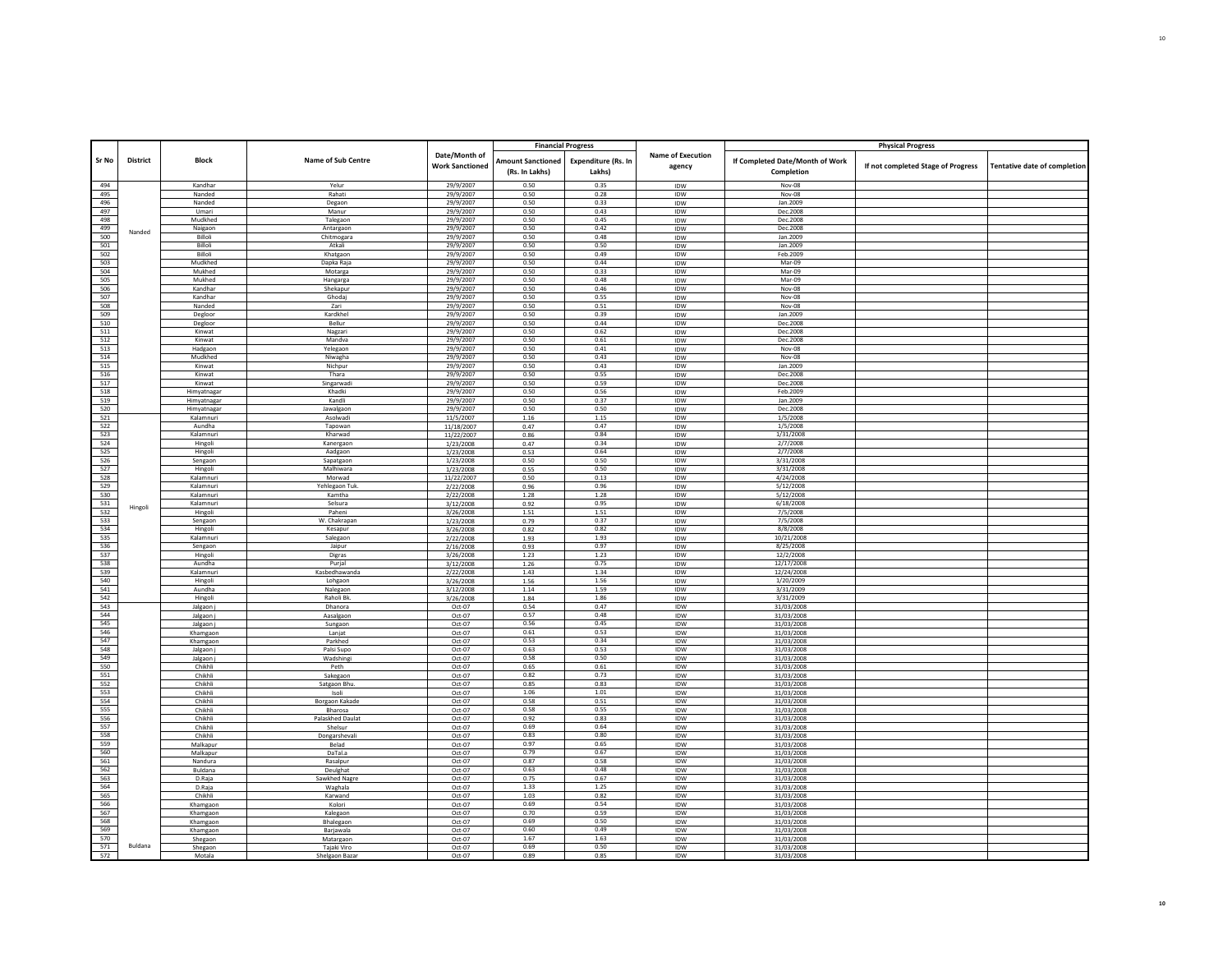|            |                 |                        |                           |                                         |                                            | <b>Financial Progress</b>     |                                    |                                               | <b>Physical Progress</b>           |                              |
|------------|-----------------|------------------------|---------------------------|-----------------------------------------|--------------------------------------------|-------------------------------|------------------------------------|-----------------------------------------------|------------------------------------|------------------------------|
| Sr No      | <b>District</b> | <b>Block</b>           | Name of Sub Centre        | Date/Month of<br><b>Work Sanctioned</b> | <b>Amount Sanctioned</b><br>(Rs. In Lakhs) | Expenditure (Rs. In<br>Lakhs) | <b>Name of Execution</b><br>agency | If Completed Date/Month of Work<br>Completion | If not completed Stage of Progress | Tentative date of completion |
|            |                 |                        |                           |                                         |                                            |                               |                                    |                                               |                                    |                              |
| 494        |                 | Kandhar                | Yelur                     | 29/9/2007                               | 0.50                                       | 0.35                          | <b>IDW</b>                         | $Nov-08$                                      |                                    |                              |
| 495<br>496 |                 | Nanded<br>Nanded       | Rahati<br>Degaon          | 29/9/2007<br>29/9/2007                  | 0.50<br>0.50                               | 0.28<br>0.33                  | IDW                                | Nov-08<br>Jan.2009                            |                                    |                              |
| 497        |                 | Umari                  | Manur                     | 29/9/2007                               | 0.50                                       | 0.43                          | IDW<br>IDW                         | Dec.2008                                      |                                    |                              |
| 498        |                 | Mudkhed                | Talegaon                  | 29/9/2007                               | 0.50                                       | 0.45                          | IDW                                | Dec.2008                                      |                                    |                              |
| 499        |                 | Naigaon                | Antargaon                 | 29/9/2007                               | 0.50                                       | 0.42                          | <b>IDW</b>                         | Dec.2008                                      |                                    |                              |
| 500        | Nanded          | Billoli                | Chitmogara                | 29/9/2007                               | 0.50                                       | 0.48                          | IDW                                | Jan.2009                                      |                                    |                              |
| 501        |                 | Billoli                | Atkali                    | 29/9/2007                               | 0.50                                       | 0.50                          | IDW                                | Jan.2009                                      |                                    |                              |
| 502        |                 | Billoli                | Khatgaon                  | 29/9/2007                               | 0.50                                       | 0.49                          | IDW                                | Feb.2009                                      |                                    |                              |
| 503        |                 | Mudkhed                | Dapka Raja                | 29/9/2007                               | 0.50                                       | 0.44                          | <b>IDW</b>                         | Mar-09                                        |                                    |                              |
| 504        |                 | Mukhed<br>Mukhed       | Motarga                   | 29/9/2007                               | 0.50<br>0.50                               | 0.33<br>0.48                  | IDW                                | Mar-09<br>Mar-09                              |                                    |                              |
| 505<br>506 |                 | Kandhar                | Hangarga<br>Shekapur      | 29/9/2007<br>29/9/2007                  | 0.50                                       | 0.46                          | IDW<br>IDW                         | Nov-08                                        |                                    |                              |
| 507        |                 | Kandhar                | Ghodaj                    | 29/9/2007                               | 0.50                                       | 0.55                          | IDW                                | Nov-08                                        |                                    |                              |
| 508        |                 | Nanded                 | Zari                      | 29/9/2007                               | 0.50                                       | 0.51                          | IDW                                | Nov-08                                        |                                    |                              |
| 509        |                 | Degloor                | Kardkhel                  | 29/9/2007                               | 0.50                                       | 0.39                          | IDW                                | Jan.2009                                      |                                    |                              |
| 510        |                 | Degloor                | Bellur                    | 29/9/2007                               | 0.50                                       | 0.44                          | IDW                                | Dec.2008                                      |                                    |                              |
| 511        |                 | Kinwat                 | Nagzari                   | 29/9/2007                               | 0.50                                       | 0.62                          | IDW                                | Dec.2008                                      |                                    |                              |
| 512        |                 | Kinwat                 | Mandya                    | 29/9/2007                               | 0.50                                       | 0.61                          | IDW                                | Dec.2008                                      |                                    |                              |
| 513        |                 | Hadgaon<br>Mudkhed     | Yelegaon                  | 29/9/2007<br>29/9/2007                  | 0.50<br>0.50                               | 0.41<br>0.43                  | <b>IDW</b>                         | Nov-08<br><b>Nov-08</b>                       |                                    |                              |
| 514<br>515 |                 | Kinwat                 | Niwagha<br>Nichpur        | 29/9/2007                               | 0.50                                       | 0.43                          | IDW<br>IDW                         | Jan.2009                                      |                                    |                              |
| 516        |                 | Kinwat                 | Thara                     | 29/9/2007                               | 0.50                                       | 0.55                          | IDW                                | Dec.2008                                      |                                    |                              |
| 517        |                 | Kinwat                 | Singarwadi                | 29/9/2007                               | 0.50                                       | 0.59                          | IDW                                | Dec.2008                                      |                                    |                              |
| 518        |                 | Himyatnaga             | Khadki                    | 29/9/2007                               | 0.50                                       | 0.56                          | IDW                                | Feb.2009                                      |                                    |                              |
| 519        |                 | Himyatnagar            | Kandli                    | 29/9/2007                               | 0.50                                       | 0.37                          | IDW                                | Jan.2009                                      |                                    |                              |
| 520        |                 | Himyatnagar            | Jawalgaon                 | 29/9/2007                               | 0.50                                       | 0.50                          | IDW                                | Dec.2008                                      |                                    |                              |
| 521<br>522 |                 | Kalamnuri              | Asolwadi                  | 11/5/2007                               | 1.16                                       | 1.15                          | IDW                                | 1/5/2008                                      |                                    |                              |
| 523        |                 | Aundha<br>Kalamnur     | Tapowan<br>Kharwad        | 11/18/2007<br>11/22/2007                | 0.47<br>0.86                               | 0.47<br>0.84                  | <b>IDW</b><br>IDW                  | 1/5/2008<br>1/31/2008                         |                                    |                              |
| 524        |                 | Hingoli                | Kanergaon                 | 1/23/2008                               | 0.47                                       | 0.34                          | <b>IDW</b>                         | 2/7/2008                                      |                                    |                              |
| 525        |                 | Hingoli                | Aadgaon                   | 1/23/2008                               | 0.53                                       | 0.64                          | IDW                                | 2/7/2008                                      |                                    |                              |
| 526        |                 | Sengaon                | Sapatgaon                 | 1/23/2008                               | 0.50                                       | 0.50                          | IDW                                | 3/31/2008                                     |                                    |                              |
| 527        |                 | Hingoli                | Malhiwara                 | 1/23/2008                               | 0.55                                       | 0.50                          | IDW                                | 3/31/2008                                     |                                    |                              |
| 528        |                 | Kalamnuri              | Morwad                    | 11/22/2007                              | 0.50                                       | 0.13                          | IDW                                | 4/24/2008                                     |                                    |                              |
| 529        |                 | Kalamnuri              | Yehlegaon Tuk             | 2/22/2008                               | 0.96                                       | 0.96                          | IDW                                | 5/12/2008                                     |                                    |                              |
| 530<br>531 |                 | Kalamnuri<br>Kalamnuri | Kamtha<br>Selsura         | 2/22/2008                               | 1.28                                       | 1.28<br>0.95                  | IDW                                | 5/12/2008<br>6/18/2008                        |                                    |                              |
| 532        | Hingoli         | Hingoli                | Paheni                    | 3/12/2008<br>3/26/2008                  | 0.92<br>1.51                               | 1.51                          | <b>IDW</b><br>IDW                  | 7/5/2008                                      |                                    |                              |
| 533        |                 | Sengaon                | W. Chakrapar              | 1/23/2008                               | 0.79                                       | 0.37                          | IDW                                | 7/5/2008                                      |                                    |                              |
| 534        |                 | Hingoli                | Kesapur                   | 3/26/2008                               | 0.82                                       | 0.82                          | IDW                                | 8/8/2008                                      |                                    |                              |
| 535        |                 | Kalamnuri              | Salegaon                  | 2/22/2008                               | 1.93                                       | 1.93                          | IDW                                | 10/21/2008                                    |                                    |                              |
| 536        |                 | Sengaon                | Jaipur                    | 2/16/2008                               | 0.93                                       | 0.97                          | IDW                                | 8/25/2008                                     |                                    |                              |
| 537        |                 | Hingoli                | Digras                    | 3/26/2008                               | 1.23                                       | 1.23                          | IDW                                | 12/2/2008                                     |                                    |                              |
| 538<br>539 |                 | Aundha<br>Kalamnuri    | Purjal<br>Kasbedhawanda   | 3/12/2008<br>2/22/2008                  | 1.26<br>1.43                               | 0.75<br>1.34                  | IDW<br>IDW                         | 12/17/2008<br>12/24/2008                      |                                    |                              |
| 540        |                 | Hingoli                | Lohgaon                   | 3/26/2008                               | 1.56                                       | 1.56                          | IDW                                | 1/20/2009                                     |                                    |                              |
| 541        |                 | Aundha                 | Nalegaon                  | 3/12/2008                               | $1.14\,$                                   | 1.59                          | IDW                                | 3/31/2009                                     |                                    |                              |
| 542        |                 | Hingoli                | Raholi Bk                 | 3/26/2008                               | 1.84                                       | 1.86                          | IDW                                | 3/31/2009                                     |                                    |                              |
| 543        |                 | Jalgaon j              | Dhanora                   | Oct-07                                  | 0.54                                       | 0.47                          | IDW                                | 31/03/2008                                    |                                    |                              |
| 544        |                 | Jalgaon j              | Aasalgaon                 | Oct-07                                  | 0.57                                       | 0.48                          | <b>IDW</b>                         | 31/03/2008                                    |                                    |                              |
| 545        |                 | Jalgaon j              | Sungaon                   | Oct-07                                  | 0.56                                       | 0.45                          | IDW                                | 31/03/2008                                    |                                    |                              |
| 546<br>547 |                 | Khamgaon<br>Khamgaon   | Lanjat<br>Parkhed         | Oct-07<br>Oct-07                        | 0.61<br>0.53                               | 0.53<br>0.34                  | IDW<br>IDW                         | 31/03/2008<br>31/03/2008                      |                                    |                              |
| 548        |                 | Jalgaon j              | Palsi Supo                | Oct-07                                  | 0.63                                       | 0.53                          | IDW                                | 31/03/2008                                    |                                    |                              |
| 549        |                 | Jalgaon j              | Wadshingi                 | Oct-07                                  | 0.58                                       | 0.50                          | IDW                                | 31/03/2008                                    |                                    |                              |
| 550        |                 | Chikhli                | Peth                      | Oct-07                                  | 0.65                                       | 0.61                          | IDW                                | 31/03/2008                                    |                                    |                              |
| 551        |                 | Chikhli                | Sakegaon                  | Oct-07                                  | 0.82                                       | 0.73                          | IDW                                | 31/03/2008                                    |                                    |                              |
| 552        |                 | Chikhli                | Satgaon Bhu               | Oct-07                                  | 0.85                                       | 0.83                          | IDW                                | 31/03/2008                                    |                                    |                              |
| 553<br>554 |                 | Chikhli<br>Chikhli     | Isoli                     | Oct-07<br>Oct-07                        | 1.06<br>0.58                               | 1.01<br>0.51                  | IDW<br>IDW                         | 31/03/2008<br>31/03/2008                      |                                    |                              |
| 555        |                 | Chikhli                | Borgaon Kakade<br>Bharosa | Oct-07                                  | 0.58                                       | 0.55                          | IDW                                | 31/03/2008                                    |                                    |                              |
| 556        |                 | Chikhli                | Palaskhed Daulat          | Oct-07                                  | 0.92                                       | 0.83                          | IDW                                | 31/03/2008                                    |                                    |                              |
| 557        |                 | Chikhli                | Shelsur                   | Oct-07                                  | 0.69                                       | 0.64                          | IDW                                | 31/03/2008                                    |                                    |                              |
| 558        |                 | Chikhli                | Dongarshevali             | Oct-07                                  | 0.83                                       | 0.80                          | <b>IDW</b>                         | 31/03/2008                                    |                                    |                              |
| 559        |                 | Malkapur               | Belad                     | Oct-07                                  | 0.97                                       | 0.65                          | IDW                                | 31/03/2008                                    |                                    |                              |
| 560        |                 | Malkapur               | DaTal.a                   | Oct-07                                  | 0.79                                       | 0.67                          | IDW                                | 31/03/2008                                    |                                    |                              |
| 561<br>562 |                 | Nandura<br>Buldana     | Rasalpur<br>Deulghat      | Oct-07<br>Oct-07                        | 0.87<br>0.63                               | 0.58<br>0.48                  | IDW<br>IDW                         | 31/03/2008<br>31/03/2008                      |                                    |                              |
| 563        |                 | D.Raja                 | Sawkhed Nagre             | Oct-07                                  | 0.75                                       | 0.67                          | IDW                                | 31/03/2008                                    |                                    |                              |
| 564        |                 | D.Raja                 | Waghala                   | Oct-07                                  | 1.33                                       | 1.25                          | IDW                                | 31/03/2008                                    |                                    |                              |
| 565        |                 | Chikhli                | Karwand                   | Oct-07                                  | 1.03                                       | 0.82                          | <b>IDW</b>                         | 31/03/2008                                    |                                    |                              |
| 566        |                 | Khamgaon               | Kolori                    | Oct-07                                  | 0.69                                       | 0.54                          | IDW                                | 31/03/2008                                    |                                    |                              |
| 567        |                 | Khamgaon               | Kalegaon                  | Oct-07                                  | 0.70                                       | 0.59                          | IDW                                | 31/03/2008                                    |                                    |                              |
| 568<br>569 |                 | Khamgaon               | Bhalegaon                 | Oct-07                                  | 0.69<br>0.60                               | 0.50<br>0.49                  | IDW                                | 31/03/2008                                    |                                    |                              |
| 570        |                 | Khamgaon               | Barjawala                 | Oct-07<br>Oct-07                        | 1.67                                       | 1.63                          | IDW<br>IDW                         | 31/03/2008<br>31/03/2008                      |                                    |                              |
| 571        | Buldana         | Shegaon<br>Shegaon     | Matargaon<br>Tajaki Viro  | Oct-07                                  | 0.69                                       | 0.50                          | IDW                                | 31/03/2008                                    |                                    |                              |
| 572        |                 | Motala                 | Shelgaon Baza             | Oct-07                                  | 0.89                                       | 0.85                          | <b>IDW</b>                         | 31/03/2008                                    |                                    |                              |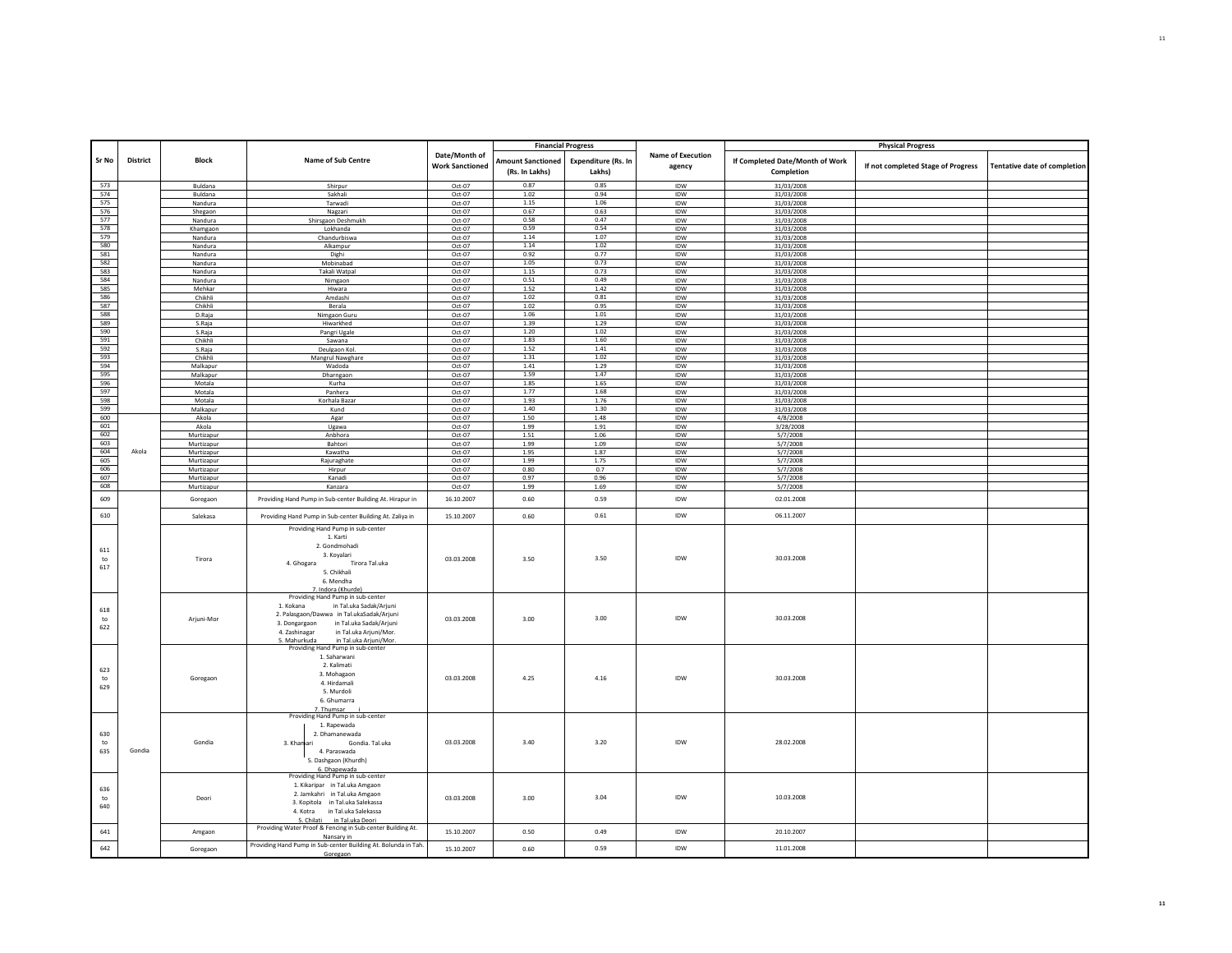|                             |                 |                    |                                                                                                                                                                                                                                                      |                                         |                                            | <b>Financial Progress</b>     |                                    |                                               | <b>Physical Progress</b>           |                              |
|-----------------------------|-----------------|--------------------|------------------------------------------------------------------------------------------------------------------------------------------------------------------------------------------------------------------------------------------------------|-----------------------------------------|--------------------------------------------|-------------------------------|------------------------------------|-----------------------------------------------|------------------------------------|------------------------------|
| Sr No                       | <b>District</b> | Block              | Name of Sub Centre                                                                                                                                                                                                                                   | Date/Month of<br><b>Work Sanctioned</b> | <b>Amount Sanctioned</b><br>(Rs. In Lakhs) | Expenditure (Rs. In<br>Lakhs) | <b>Name of Execution</b><br>agency | If Completed Date/Month of Work<br>Completion | If not completed Stage of Progress | Tentative date of completion |
|                             |                 |                    |                                                                                                                                                                                                                                                      |                                         | 0.87                                       | 0.85                          |                                    |                                               |                                    |                              |
| 573<br>574                  |                 | Buldana<br>Buldana | Shirpur<br>Sakhali                                                                                                                                                                                                                                   | Oct-07<br>Oct-07                        | 1.02                                       | 0.94                          | IDW<br>IDW                         | 31/03/2008<br>31/03/2008                      |                                    |                              |
| 575                         |                 | Nandura            | Tarwadi                                                                                                                                                                                                                                              | Oct-07                                  | 1.15                                       | 1.06                          | IDW                                | 31/03/2008                                    |                                    |                              |
| 576                         |                 | Shegaon            | Nagzari                                                                                                                                                                                                                                              | Oct-07                                  | 0.67                                       | 0.63                          | <b>IDW</b>                         | 31/03/2008                                    |                                    |                              |
| 577                         |                 | Nandura            | Shirsgaon Deshmukh                                                                                                                                                                                                                                   | Oct-07                                  | 0.58                                       | 0.47                          | IDW                                | 31/03/2008                                    |                                    |                              |
| 578                         |                 | Khamgaon           | Lokhanda                                                                                                                                                                                                                                             | Oct-07                                  | 0.59                                       | 0.54                          | <b>IDW</b>                         | 31/03/2008                                    |                                    |                              |
| 579                         |                 | Nandura            | Chandurbiswa                                                                                                                                                                                                                                         | Oct-07                                  | 1.14                                       | 1.07                          | IDW                                | 31/03/2008                                    |                                    |                              |
| 580                         |                 | Nandura            | Alkampur                                                                                                                                                                                                                                             | $Oct-07$                                | 1.14                                       | 1.02                          | IDW                                | 31/03/2008                                    |                                    |                              |
| 581                         |                 | Nandura            | Dighi                                                                                                                                                                                                                                                | Oct-07                                  | 0.92                                       | 0.77                          | IDW                                | 31/03/2008                                    |                                    |                              |
| 582                         |                 | Nandura            | Mobinabad                                                                                                                                                                                                                                            | Oct-07                                  | 1.05                                       | 0.73                          | <b>IDW</b>                         | 31/03/2008                                    |                                    |                              |
| 583                         |                 | Nandura            | Takali Watpal                                                                                                                                                                                                                                        | Oct-07                                  | 1.15                                       | 0.73                          | IDW                                | 31/03/2008                                    |                                    |                              |
| 584                         |                 | Nandura            | Nimgaon                                                                                                                                                                                                                                              | Oct-07                                  | 0.51                                       | 0.49                          | IDW                                | 31/03/2008                                    |                                    |                              |
| 585                         |                 | Mehkar             | Hiwara                                                                                                                                                                                                                                               | Oct-07                                  | 1.52                                       | 1.42                          | IDW                                | 31/03/2008                                    |                                    |                              |
| 586<br>587                  |                 | Chikhli            | Amdashi                                                                                                                                                                                                                                              | Oct-07                                  | 1.02                                       | 0.81                          | IDW                                | 31/03/2008                                    |                                    |                              |
|                             |                 | Chikhli            | Berala                                                                                                                                                                                                                                               | Oct-07                                  | 1.02<br>1.06                               | 0.95<br>$1.01\,$              | IDW                                | 31/03/2008                                    |                                    |                              |
| 588<br>589                  |                 | D.Raja             | Nimgaon Guru                                                                                                                                                                                                                                         | Oct-07                                  | 1.39                                       | 1.29                          | IDW                                | 31/03/2008                                    |                                    |                              |
| 590                         |                 | S.Raja<br>S.Raja   | Hiwarkhed<br>Pangri Ugale                                                                                                                                                                                                                            | Oct-07<br>Oct-07                        | 1.20                                       | 1.02                          | IDW<br>IDW                         | 31/03/2008<br>31/03/2008                      |                                    |                              |
| 591                         |                 | Chikhli            | Sawana                                                                                                                                                                                                                                               | Oct-07                                  | 1.83                                       | 1.60                          | IDW                                | 31/03/2008                                    |                                    |                              |
| 592                         |                 | S.Raja             | Deulgaon Kol.                                                                                                                                                                                                                                        | Oct-07                                  | 1.52                                       | 1.41                          | IDW                                | 31/03/2008                                    |                                    |                              |
| 593                         |                 | Chikhli            | Mangrul Nawghare                                                                                                                                                                                                                                     | Oct-07                                  | 1.31                                       | 1.02                          | IDW                                | 31/03/2008                                    |                                    |                              |
| 594                         |                 | Malkapur           | Wadoda                                                                                                                                                                                                                                               | Oct-07                                  | 1.41                                       | 1.29                          | <b>IDW</b>                         | 31/03/2008                                    |                                    |                              |
| 595                         |                 | Malkapur           | Dharngaon                                                                                                                                                                                                                                            | Oct-07                                  | 1.59                                       | 1.47                          | IDW                                | 31/03/2008                                    |                                    |                              |
| 596                         |                 | Motala             | Kurha                                                                                                                                                                                                                                                | Oct-07                                  | 1.85                                       | 1.65                          | <b>IDW</b>                         | 31/03/2008                                    |                                    |                              |
| 597                         |                 | Motala             | Panhera                                                                                                                                                                                                                                              | Oct-07                                  | 1.77                                       | 1.68                          | IDW                                | 31/03/2008                                    |                                    |                              |
| 598                         |                 | Motala             | Korhala Bazar                                                                                                                                                                                                                                        | Oct-07                                  | 1.93                                       | 1.76                          | <b>IDW</b>                         | 31/03/2008                                    |                                    |                              |
| 599                         |                 | Malkapur           | Kund                                                                                                                                                                                                                                                 | Oct-07                                  | 1.40                                       | 1.30                          | IDW                                | 31/03/2008                                    |                                    |                              |
| 600                         |                 | Akola              | Agar                                                                                                                                                                                                                                                 | Oct-07                                  | 1.50                                       | 1.48                          | IDW                                | 4/8/2008                                      |                                    |                              |
| 601                         |                 | Akola              | Ugawa                                                                                                                                                                                                                                                | Oct-07                                  | 1.99                                       | 1.91                          | IDW                                | 3/28/2008                                     |                                    |                              |
| 602                         |                 | Murtizapur         | Anbhora                                                                                                                                                                                                                                              | Oct-07                                  | 1.51                                       | 1.06                          | IDW                                | 5/7/2008                                      |                                    |                              |
| 603                         |                 | Murtizapur         | Bahtori                                                                                                                                                                                                                                              | Oct-07                                  | 1.99                                       | 1.09                          | <b>IDW</b>                         | 5/7/2008                                      |                                    |                              |
| 604<br>605                  | Akola           | Murtizapur         | Kawatha                                                                                                                                                                                                                                              | Oct-07                                  | 1.95                                       | 1.87                          | IDW                                | 5/7/2008                                      |                                    |                              |
|                             |                 | Murtizapur         | Rajuraghate                                                                                                                                                                                                                                          | Oct-07                                  | 1.99                                       | 1.75                          | IDW                                | 5/7/2008                                      |                                    |                              |
| 606<br>607                  |                 | Murtizapur         | Hirpur<br>Kanadi                                                                                                                                                                                                                                     | Oct-07                                  | 0.80<br>0.97                               | 0.7                           | IDW<br>IDW                         | 5/7/2008                                      |                                    |                              |
| 608                         |                 | Murtizapur         | Kanzara                                                                                                                                                                                                                                              | Oct-07<br>Oct-07                        | 1.99                                       | 0.96<br>1.69                  | IDW                                | 5/7/2008                                      |                                    |                              |
|                             |                 | Murtizapur         |                                                                                                                                                                                                                                                      |                                         |                                            |                               |                                    | 5/7/2008                                      |                                    |                              |
| 609                         |                 | Goregaon           | Providing Hand Pump in Sub-center Building At. Hirapur in                                                                                                                                                                                            | 16.10.2007                              | 0.60                                       | 0.59                          | IDW                                | 02.01.2008                                    |                                    |                              |
| 610                         |                 | Salekasa           | Providing Hand Pump in Sub-center Building At. Zaliya in                                                                                                                                                                                             | 15.10.2007                              | 0.60                                       | 0.61                          | IDW                                | 06.11.2007                                    |                                    |                              |
| 611<br>to<br>617            |                 | Tirora             | Providing Hand Pump in sub-center<br>1. Karti<br>2. Gondmohadi<br>3. Koyalari<br>4. Ghogara<br>Tirora Tal.uka<br>5. Chikhali<br>6. Mendha<br>7. Indora (Khurde)                                                                                      | 03.03.2008                              | 3.50                                       | 3.50                          | IDW                                | 30.03.2008                                    |                                    |                              |
| 618<br>to<br>622            |                 | Arjuni-Mor         | Providing Hand Pump in sub-center<br>1. Kokana<br>in Tal.uka Sadak/Arjuni<br>2. Palasgaon/Dawwa in Tal.ukaSadak/Arjuni<br>3. Dongargaon in Tal.uka Sadak/Arjuni<br>4. Zashinagar<br>in Tal.uka Ariuni/Mor.<br>5. Mahurkuda<br>in Tal.uka Arjuni/Mor. | 03.03.2008                              | 3.00                                       | 3.00                          | IDW                                | 30.03.2008                                    |                                    |                              |
| 623<br>$\mathsf{to}$<br>629 |                 | Goregaon           | Providing Hand Pump in sub-center<br>1. Saharwani<br>2. Kalimati<br>3. Mohagaon<br>4. Hirdamali<br>5. Murdoli<br>6. Ghumarra<br>7. Thumsar                                                                                                           | 03.03.2008                              | 4.25                                       | 4.16                          | IDW                                | 30.03.2008                                    |                                    |                              |
| 630<br>to<br>635            | Gondia          | Gondia             | Providing Hand Pump in sub-center<br>1. Rapewada<br>2. Dhamanewada<br>3. Khamari<br>Gondia, Tal.uka<br>4. Paraswada<br>5. Dashgaon (Khurdh)<br>6. Dhapewada                                                                                          | 03.03.2008                              | 3.40                                       | 3.20                          | IDW                                | 28.02.2008                                    |                                    |                              |
| 636<br>to<br>640            |                 | Deori              | Providing Hand Pump in sub-center<br>1. Kikaripar in Tal.uka Amgaon<br>2. Jamkahri in Tal.uka Amgaon<br>3. Kopitola in Tal.uka Salekassa<br>4. Kotra in Tal.uka Salekassa<br>5. Chilati in Tal.uka Deori                                             | 03.03.2008                              | 3.00                                       | 3.04                          | IDW                                | 10.03.2008                                    |                                    |                              |
| 641                         |                 | Amgaon             | Providing Water Proof & Fencing in Sub-center Building At.<br>Nansary in                                                                                                                                                                             | 15.10.2007                              | 0.50                                       | 0.49                          | IDW                                | 20.10.2007                                    |                                    |                              |
| 642                         |                 | Goregaon           | Providing Hand Pump in Sub-center Building At. Bolunda in Tah.<br>Goregaon                                                                                                                                                                           | 15.10.2007                              | 0.60                                       | 0.59                          | IDW                                | 11.01.2008                                    |                                    |                              |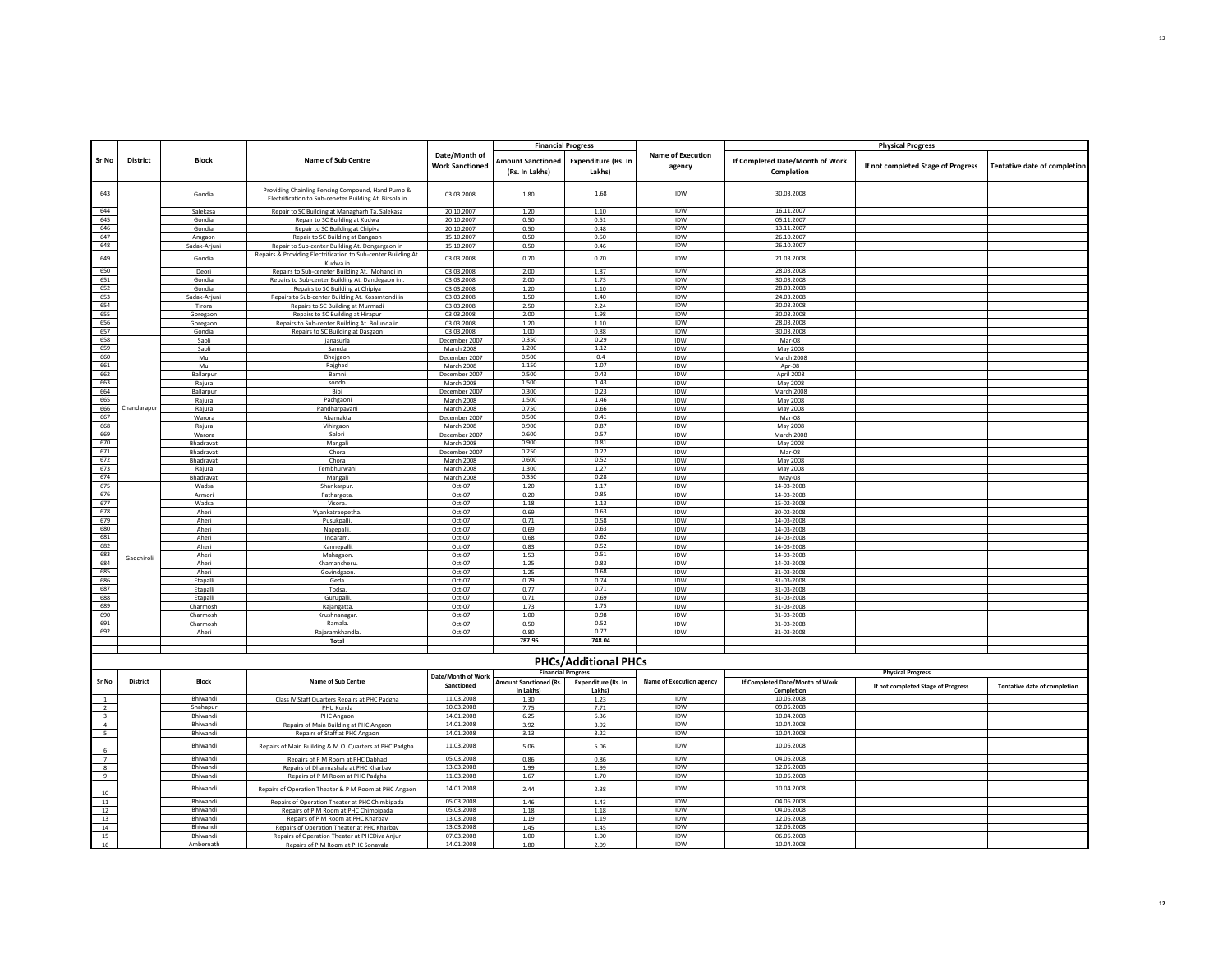|                                                |                 |                             |                                                                                                             |                                         | <b>Financial Progress</b>                  |                               |                                    |                                               | <b>Physical Progress</b>           |                                     |
|------------------------------------------------|-----------------|-----------------------------|-------------------------------------------------------------------------------------------------------------|-----------------------------------------|--------------------------------------------|-------------------------------|------------------------------------|-----------------------------------------------|------------------------------------|-------------------------------------|
| Sr No                                          | District        | <b>Block</b>                | Name of Sub Centre                                                                                          | Date/Month of<br><b>Work Sanctioned</b> | <b>Amount Sanctioned</b><br>(Rs. In Lakhs) | Expenditure (Rs. In<br>Lakhs) | <b>Name of Execution</b><br>agency | If Completed Date/Month of Work<br>Completion | If not completed Stage of Progress | <b>Tentative date of completion</b> |
| 643                                            |                 | Gondia                      | Providing Chainling Fencing Compound, Hand Pump &<br>Electrification to Sub-ceneter Building At. Birsola in | 03.03.2008                              | 1.80                                       | 1.68                          | <b>IDW</b>                         | 30.03.2008                                    |                                    |                                     |
| 644                                            |                 | Salekasa                    | Repair to SC Building at Managharh Ta. Salekasa                                                             | 20.10.2007                              | 1.20                                       | 1.10                          | IDW                                | 16.11.2007                                    |                                    |                                     |
| 645                                            |                 | Gondia                      | Repair to SC Building at Kudwa                                                                              | 20.10.2007                              | 0.50                                       | 0.51                          | <b>IDW</b>                         | 05.11.2007                                    |                                    |                                     |
| 646<br>647                                     |                 | Gondia                      | Repair to SC Building at Chipiya                                                                            | 20.10.2007                              | 0.50                                       | 0.48                          | IDW<br>IDW                         | 13.11.2007<br>26.10.2007                      |                                    |                                     |
| 648                                            |                 | Amgaon<br>Sadak-Arjuni      | Repair to SC Building at Bangaon<br>Repair to Sub-center Building At. Dongargaon in                         | 15.10.2007<br>15.10.2007                | 0.50<br>0.50                               | 0.50<br>0.46                  | IDW                                | 26.10.2007                                    |                                    |                                     |
| 649                                            |                 |                             | Repairs & Providing Electrification to Sub-center Building At.                                              |                                         |                                            |                               | IDW                                | 21.03.2008                                    |                                    |                                     |
|                                                |                 | Gondia                      | Kudwa in                                                                                                    | 03.03.2008                              | 0.70                                       | 0.70                          |                                    |                                               |                                    |                                     |
| 650                                            |                 | Deori                       | Repairs to Sub-ceneter Building At. Mohandi in                                                              | 03.03.2008                              | 2.00                                       | 1.87                          | IDW                                | 28.03.2008                                    |                                    |                                     |
| 651<br>652                                     |                 | Gondia<br>Gondia            | Repairs to Sub-center Building At. Dandegaon in<br>Repairs to SC Building at Chipiya                        | 03.03.2008<br>03.03.2008                | 2.00<br>1.20                               | 1.73<br>1.10                  | <b>IDW</b><br>IDW                  | 30.03.2008<br>28.03.2008                      |                                    |                                     |
| 653                                            |                 | Sadak-Arjun                 | Repairs to Sub-center Building At. Kosamtondi in                                                            | 03.03.2008                              | 1.50                                       | 1.40                          | IDW                                | 24.03.2008                                    |                                    |                                     |
| 654                                            |                 | Tirora                      | Repairs to SC Building at Murmadi                                                                           | 03.03.2008                              | 2.50                                       | 2.24                          | <b>IDW</b>                         | 30.03.2008                                    |                                    |                                     |
| 655                                            |                 | Goregaor                    | Repairs to SC Building at Hirapur                                                                           | 03.03.2008                              | 2.00                                       | 1.98                          | IDW                                | 30.03.2008                                    |                                    |                                     |
| 656<br>657                                     |                 | Goregaon                    | Repairs to Sub-center Building At. Bolunda in                                                               | 03.03.2008                              | 1.20                                       | 1.10                          | IDW<br><b>IDW</b>                  | 28.03.2008<br>30.03.2008                      |                                    |                                     |
| 658                                            |                 | Gondia<br>Saoli             | Repairs to SC Building at Dasgaon<br>ianasurla                                                              | 03.03.2008<br>December 2007             | 1.00<br>0.350                              | 0.88<br>0.29                  | IDW                                | Mar-08                                        |                                    |                                     |
| 659                                            |                 | Saoli                       | Samda                                                                                                       | March 2008                              | 1.200                                      | 1.12                          | IDW                                | May 2008                                      |                                    |                                     |
| 660                                            |                 | Mul                         | Bhejgaon                                                                                                    | December 2007                           | 0.500                                      | 0.4                           | IDW                                | March 2008                                    |                                    |                                     |
| 661                                            |                 | Mul                         | Rajghad                                                                                                     | March 2008                              | 1.150                                      | 1.07                          | <b>IDW</b>                         | Apr-08                                        |                                    |                                     |
| 662<br>663                                     |                 | Ballarpur                   | Ramni                                                                                                       | December 2007                           | 0.500                                      | 0.43                          | <b>IDW</b>                         | April 2008                                    |                                    |                                     |
| 664                                            |                 | Rajura<br>Ballarpur         | sondo<br>Bibi                                                                                               | March 2008<br>December 2007             | 1.500<br>0.300                             | 1.43<br>0.23                  | <b>IDW</b><br>IDW                  | May 2008<br>March 2008                        |                                    |                                     |
| 665                                            |                 | Rajura                      | Pachgaoni                                                                                                   | March 2008                              | 1.500                                      | 1.46                          | <b>IDW</b>                         | May 2008                                      |                                    |                                     |
| 666                                            | Chandarapur     | Rajura                      | Pandharpavani                                                                                               | March 2008                              | 0.750                                      | 0.66                          | IDW                                | May 2008                                      |                                    |                                     |
| 667                                            |                 | Warora                      | Abamakta                                                                                                    | December 2007                           | 0.500                                      | 0.41                          | IDW                                | Mar-08                                        |                                    |                                     |
| 668                                            |                 | Rajura                      | Vihirgaon                                                                                                   | March 2008                              | 0.900                                      | 0.87                          | <b>IDW</b>                         | May 2008                                      |                                    |                                     |
| 669<br>670                                     |                 | Warora                      | Salori                                                                                                      | December 2007                           | 0.600<br>0.900                             | 0.57<br>0.81                  | IDW                                | March 2008                                    |                                    |                                     |
| 671                                            |                 | Bhadravati<br>Bhadravati    | Mangali<br>Chora                                                                                            | <b>March 2008</b><br>December 2007      | 0.250                                      | 0.22                          | <b>IDW</b><br>IDW                  | May 2008<br>Mar-08                            |                                    |                                     |
| 672                                            |                 | Bhadravati                  | Chora                                                                                                       | March 2008                              | 0.600                                      | 0.52                          | IDW                                | May 2008                                      |                                    |                                     |
| 673                                            |                 | Rajura                      | Tembhurwahi                                                                                                 | <b>March 2008</b>                       | 1.300                                      | 1.27                          | IDW                                | May 2008                                      |                                    |                                     |
| 674                                            |                 | Bhadravati                  | Mangali                                                                                                     | March 2008                              | 0.350                                      | 0.28                          | IDW                                | May-08                                        |                                    |                                     |
| 675                                            |                 | Wadsa                       | Shankarpur                                                                                                  | Oct-07                                  | 1.20                                       | 1.17                          | IDW                                | 14-03-2008                                    |                                    |                                     |
| 676<br>677                                     |                 | Armori                      | Pathargota.                                                                                                 | Oct-07                                  | 0.20<br>1.18                               | 0.85<br>1.13                  | IDW<br>IDW                         | 14-03-2008                                    |                                    |                                     |
| 678                                            |                 | Wadsa<br>Aheri              | Visora.<br>Vyankatraopetha                                                                                  | Oct-07<br>Oct-07                        | 0.69                                       | 0.63                          | <b>IDW</b>                         | 15-02-2008<br>30-02-2008                      |                                    |                                     |
| 679                                            |                 | Aheri                       | Pusukpalli                                                                                                  | Oct-07                                  | 0.71                                       | 0.58                          | IDW                                | 14-03-2008                                    |                                    |                                     |
| 680                                            |                 | Aheri                       | Nagepalli.                                                                                                  | Oct-07                                  | 0.69                                       | 0.63                          | IDW                                | 14-03-2008                                    |                                    |                                     |
| 681                                            |                 | Aheri                       | Indaram                                                                                                     | Oct-07                                  | 0.68                                       | 0.62                          | IDW                                | 14-03-2008                                    |                                    |                                     |
| 682<br>683                                     |                 | Aheri                       | Kannepalli.                                                                                                 | Oct-07                                  | 0.83                                       | 0.52<br>0.51                  | IDW                                | 14-03-2008                                    |                                    |                                     |
| 684                                            | Gadchiroli      | Aheri<br>Aheri              | Mahagaon.<br>Khamancheru                                                                                    | $Oct-07$<br>Oct-07                      | 1.53<br>1.25                               | 0.83                          | <b>IDW</b><br>IDW                  | 14-03-2008<br>14-03-2008                      |                                    |                                     |
| 685                                            |                 | Aheri                       | Govindgaor                                                                                                  | Oct-07                                  | 1.25                                       | 0.68                          | IDW                                | 31-03-2008                                    |                                    |                                     |
| 686                                            |                 | Etapalli                    | Geda                                                                                                        | $Oct-07$                                | 0.79                                       | 0.74                          | <b>IDW</b>                         | 31-03-2008                                    |                                    |                                     |
| 687                                            |                 | Etapalli                    | Todsa.                                                                                                      | Oct-07                                  | 0.77                                       | 0.71                          | IDW                                | 31-03-2008                                    |                                    |                                     |
| 688                                            |                 | Etapalli                    | Gurupalli                                                                                                   | Oct-07                                  | 0.71                                       | 0.69                          | <b>IDW</b>                         | 31-03-2008                                    |                                    |                                     |
| 689<br>690                                     |                 | Charmoshi<br>Charmoshi      | Raiangatta<br>Krushnanagar                                                                                  | Oct-07<br>Oct-07                        | 1.73<br>1.00                               | 1.75<br>0.98                  | IDW<br>IDW                         | 31-03-2008<br>31-03-2008                      |                                    |                                     |
| 691                                            |                 | Charmoshi                   | Ramala.                                                                                                     | Oct-07                                  | 0.50                                       | 0.52                          | IDW                                | 31-03-2008                                    |                                    |                                     |
| 692                                            |                 | Aheri                       | Rajaramkhandla.                                                                                             | Oct-07                                  | 0.80                                       | 0.77                          | IDW                                | 31-03-2008                                    |                                    |                                     |
|                                                |                 |                             | Total                                                                                                       |                                         | 787.95                                     | 748.04                        |                                    |                                               |                                    |                                     |
|                                                |                 |                             |                                                                                                             |                                         |                                            |                               |                                    |                                               |                                    |                                     |
|                                                |                 |                             |                                                                                                             |                                         |                                            | <b>PHCs/Additional PHCs</b>   |                                    |                                               |                                    |                                     |
|                                                |                 |                             |                                                                                                             | Date/Month of Work                      | <b>Financial Progress</b>                  |                               |                                    |                                               | <b>Physical Progress</b>           |                                     |
| Sr No                                          | <b>District</b> | <b>Block</b>                | Name of Sub Centre                                                                                          | Sanctioned                              | <b>Amount Sanctioned (Rs.</b>              | <b>Expenditure (Rs. In</b>    | <b>Name of Execution agency</b>    | If Completed Date/Month of Work               | If not completed Stage of Progress | <b>Tentative date of completion</b> |
|                                                |                 |                             |                                                                                                             | 11.03.2008                              | In Lakhs                                   | Lakhsl                        | IDW                                | Completion                                    |                                    |                                     |
| $\mathbf{1}$<br>$\overline{2}$                 |                 | Bhiwandi<br>Shahanur        | Class IV Staff Quarters Repairs at PHC Padgha<br>PHU Kunda                                                  | 10.03.2008                              | 1.30<br>7.75                               | 1.23<br>7.71                  | <b>IDW</b>                         | 10.06.2008<br>09.06.2008                      |                                    |                                     |
| $\overline{\mathbf{3}}$                        |                 | Bhiwandi                    | PHC Angaon                                                                                                  | 14.01.2008                              | 6.25                                       | 6.36                          | IDW                                | 10.04.2008                                    |                                    |                                     |
| $\begin{array}{c} 4 \\ 5 \end{array}$          |                 | Bhiwandi                    | Repairs of Main Building at PHC Angaon                                                                      | 14.01.2008                              | 3.92                                       | 3.92                          | IDW                                | 10.04.2008                                    |                                    |                                     |
|                                                |                 | Bhiwandi                    | Repairs of Staff at PHC Angaor                                                                              | 14.01.2008                              | 3.13                                       | 3.22                          | IDW                                | 10.04.2008                                    |                                    |                                     |
| 6                                              |                 | Bhiwandi                    | Repairs of Main Building & M.O. Quarters at PHC Padgha                                                      | 11.03.2008                              | 5.06                                       | 5.06                          | IDW                                | 10.06.2008                                    |                                    |                                     |
| $\begin{array}{c c}\n7 \\ 8 \\ 9\n\end{array}$ |                 | Bhiwandi<br>Bhiwandi        | Repairs of P M Room at PHC Dabhad                                                                           | 05.03.2008<br>13.03.2008                | 0.86                                       | 0.86                          | <b>IDW</b><br>IDW                  | 04.06.2008<br>12.06.2008                      |                                    |                                     |
|                                                |                 | <b>Bhiwandi</b>             | Repairs of Dharmashala at PHC Kharbav<br>Repairs of P M Room at PHC Padgha                                  | 11.03.2008                              | 1.99<br>1.67                               | 1.99<br>1.70                  | <b>IDW</b>                         | 10.06.2008                                    |                                    |                                     |
| 10                                             |                 | Bhiwandi                    | Repairs of Operation Theater & P M Room at PHC Angaon                                                       | 14.01.2008                              | 2.44                                       | 2.38                          | IDW                                | 10.04.2008                                    |                                    |                                     |
| 11                                             |                 | Bhiwandi                    | Repairs of Operation Theater at PHC Chimbipada                                                              | 05.03.2008                              | 1.46                                       | 1.43                          | IDW                                | 04.06.2008                                    |                                    |                                     |
| 12                                             |                 | Bhiwandi                    | Repairs of P M Room at PHC Chimbipada                                                                       | 05.03.2008                              | 1.18                                       | 1.18                          | <b>IDW</b>                         | 04.06.2008                                    |                                    |                                     |
| 13                                             |                 | Bhiwandi                    | Repairs of P M Room at PHC Kharbav                                                                          | 13.03.2008                              | 1.19                                       | 1.19                          | IDW                                | 12.06.2008                                    |                                    |                                     |
| 14<br>15                                       |                 | Bhiwandi<br><b>Bhiwandi</b> | Repairs of Operation Theater at PHC Kharbav                                                                 | 13.03.2008<br>07.03.2008                | 1.45<br>1.00                               | 1.45                          | IDW<br><b>IDW</b>                  | 12.06.2008<br>06.06.2008                      |                                    |                                     |
| 16                                             |                 | Ambernati                   | Repairs of Operation Theater at PHCDiva Anjur<br>Renairs of P M Room at PHC Sonavala                        | 14.01.2008                              | 1.80                                       | 1.00<br>2.09                  | <b>IDW</b>                         | 10.04.2008                                    |                                    |                                     |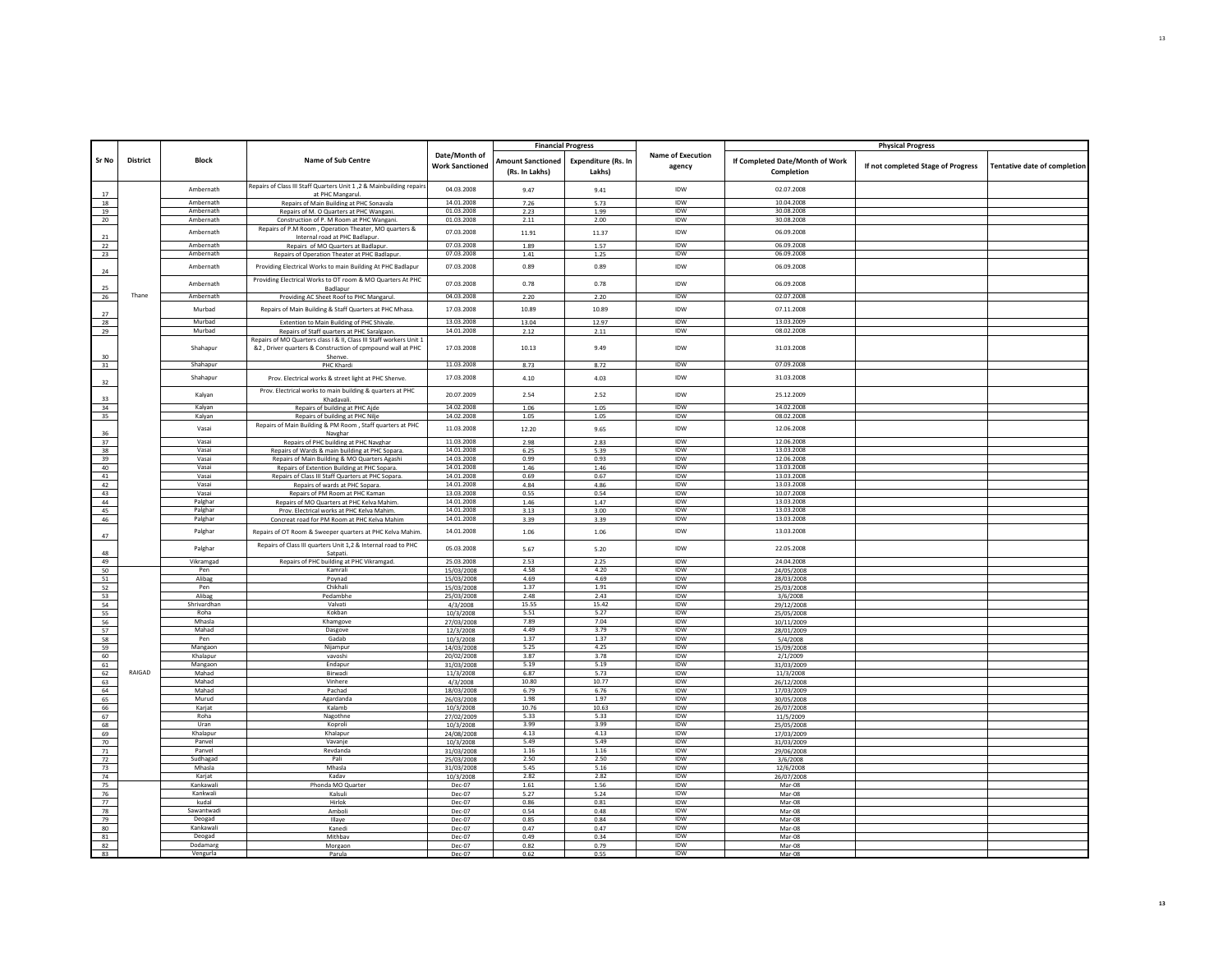|                 |                 |                       |                                                                                                                                   |                                         |                                            | <b>Financial Progress</b>            |                                    |                                               | <b>Physical Progress</b>           |                              |
|-----------------|-----------------|-----------------------|-----------------------------------------------------------------------------------------------------------------------------------|-----------------------------------------|--------------------------------------------|--------------------------------------|------------------------------------|-----------------------------------------------|------------------------------------|------------------------------|
| Sr No           | <b>District</b> | <b>Block</b>          | <b>Name of Sub Centre</b>                                                                                                         | Date/Month of<br><b>Work Sanctioned</b> | <b>Amount Sanctioned</b><br>(Rs. In Lakhs) | <b>Expenditure (Rs. In</b><br>Lakhs) | <b>Name of Execution</b><br>agency | If Completed Date/Month of Work<br>Completion | If not completed Stage of Progress | Tentative date of completion |
| 17              |                 | Ambernath             | Repairs of Class III Staff Quarters Unit 1,2 & Mainbuilding repairs<br>at PHC Mangarul.                                           | 04.03.2008                              | 9.47                                       | 9.41                                 | <b>IDW</b>                         | 02.07.2008                                    |                                    |                              |
| 18              |                 | Ambernath             | Repairs of Main Building at PHC Sonavala                                                                                          | 14.01.2008                              | 7.26                                       | 5.73                                 | IDW                                | 10.04.2008                                    |                                    |                              |
| 19              |                 | Ambernath             | Repairs of M. O Quarters at PHC Wangani                                                                                           | 01.03.2008                              | 2.23                                       | 1.99                                 | <b>IDW</b>                         | 30.08.2008                                    |                                    |                              |
| 20              |                 | Ambernath             | Construction of P. M Room at PHC Wangani.                                                                                         | 01.03.2008                              | 2.11                                       | 2.00                                 | IDW                                | 30.08.2008                                    |                                    |                              |
| 21              |                 | Ambernath             | Repairs of P.M Room, Operation Theater, MO quarters &<br>Internal road at PHC Badlapur.                                           | 07.03.2008                              | 11.91                                      | 11.37                                | IDW                                | 06.09.2008                                    |                                    |                              |
| 22              |                 | Ambernath             | Repairs of MO Quarters at Badlapur.                                                                                               | 07.03.2008                              | 1.89                                       | 1.57                                 | <b>IDW</b>                         | 06.09.2008                                    |                                    |                              |
| 23              |                 | Ambernath             | Repairs of Operation Theater at PHC Badlapur                                                                                      | 07.03.2008                              | 1.41                                       | 1.25                                 | IDW                                | 06.09.2008                                    |                                    |                              |
|                 |                 | Ambernath             | Providing Electrical Works to main Building At PHC Badlapur                                                                       | 07.03.2008                              | 0.89                                       | 0.89                                 | <b>IDW</b>                         | 06.09.2008                                    |                                    |                              |
| 24              |                 | Ambernath             | Providing Electrical Works to OT room & MO Quarters At PHC                                                                        | 07.03.2008                              | 0.78                                       | 0.78                                 | <b>IDW</b>                         | 06.09.2008                                    |                                    |                              |
| 25              | Thane           |                       | Badlapur                                                                                                                          | 04.03.2008                              |                                            |                                      |                                    |                                               |                                    |                              |
| 26              |                 | Ambernath             | Providing AC Sheet Roof to PHC Mangarul.                                                                                          |                                         | 2.20                                       | 2.20                                 | IDW                                | 02.07.2008                                    |                                    |                              |
| 27              |                 | Murbad                | Repairs of Main Building & Staff Quarters at PHC Mhasa.                                                                           | 17.03.2008                              | 10.89                                      | 10.89                                | IDW                                | 07.11.2008                                    |                                    |                              |
| 28              |                 | Murbad                | Extention to Main Building of PHC Shivale                                                                                         | 13.03.2008                              | 13.04                                      | 12.97                                | <b>IDW</b>                         | 13.03.2009                                    |                                    |                              |
| 29              |                 | Murbad                | Repairs of Staff quarters at PHC Saralgaon.                                                                                       | 14.01.2008                              | 2.12                                       | 2.11                                 | IDW                                | 08.02.2008                                    |                                    |                              |
|                 |                 | Shahapur              | Repairs of MO Quarters class I & II, Class III Staff workers Unit 1<br>&2, Driver quarters & Construction of cpmpound wall at PHC | 17.03.2008                              | 10.13                                      | 9.49                                 | IDW                                | 31.03.2008                                    |                                    |                              |
| 30<br>31        |                 | Shahapur              | Shenve<br>PHC Khardi                                                                                                              | 11.03.2008                              | 8.73                                       | 8.72                                 | IDW                                | 07.09.2008                                    |                                    |                              |
| 32              |                 | Shahapur              | Prov. Electrical works & street light at PHC Shenve.                                                                              | 17.03.2008                              | 4.10                                       | 4.03                                 | <b>IDW</b>                         | 31.03.2008                                    |                                    |                              |
|                 |                 | Kalyan                | Prov. Electrical works to main building & quarters at PHC                                                                         | 20.07.2009                              | 2.54                                       | 2.52                                 | <b>IDW</b>                         | 25.12.2009                                    |                                    |                              |
| 33<br>34        |                 | Kalyan                | Khadavali.<br>Repairs of building at PHC Ajde                                                                                     | 14.02.2008                              | 1.06                                       | 1.05                                 | IDW                                | 14.02.2008                                    |                                    |                              |
| 35              |                 | Kalyan                | Repairs of building at PHC Nilje                                                                                                  | 14.02.2008                              | 1.05                                       | 1.05                                 | <b>IDW</b>                         | 08.02.2008                                    |                                    |                              |
| 36              |                 | Vasai                 | Repairs of Main Building & PM Room, Staff quarters at PHC<br>Navghar                                                              | 11.03.2008                              | 12.20                                      | 9.65                                 | IDW                                | 12.06.2008                                    |                                    |                              |
| 37              |                 | Vasai                 | Repairs of PHC building at PHC Navghar                                                                                            | 11.03.2008                              | 2.98                                       | 2.83                                 | IDW                                | 12.06.2008                                    |                                    |                              |
| 38              |                 | Vasai                 | Repairs of Wards & main building at PHC Sopara                                                                                    | 14.01.2008                              | 6.25                                       | 5.39                                 | <b>IDW</b>                         | 13.03.2008                                    |                                    |                              |
| 39              |                 | Vasai                 | Repairs of Main Building & MO Quarters Agashi                                                                                     | 14.03.2008                              | 0.99                                       | 0.93                                 | IDW                                | 12.06.2008                                    |                                    |                              |
| 40              |                 | Vasai                 | Repairs of Extention Building at PHC Sopara.                                                                                      | 14.01.2008                              | 1.46                                       | 1.46                                 | IDW                                | 13.03.2008                                    |                                    |                              |
| 41              |                 | Vasai                 | Repairs of Class III Staff Quarters at PHC Sopara.                                                                                | 14.01.2008                              | 0.69                                       | 0.67                                 | <b>IDW</b>                         | 13.03.2008                                    |                                    |                              |
| 42              |                 | Vasai                 | Repairs of wards at PHC Sopara.                                                                                                   | 14.01.2008                              | 4.84                                       | 4.86                                 | <b>IDW</b>                         | 13.03.2008                                    |                                    |                              |
| 43              |                 | Vasai                 | Repairs of PM Room at PHC Kaman                                                                                                   | 13.03.2008                              | 0.55                                       | 0.54                                 | <b>IDW</b>                         | 10.07.2008                                    |                                    |                              |
| 44              |                 | Palghar               | Repairs of MO Quarters at PHC Kelva Mahim                                                                                         | 14.01.2008                              | 1.46                                       | 1.47                                 | IDW                                | 13.03.2008                                    |                                    |                              |
| 45              |                 | Palghar               | Prov. Electrical works at PHC Kelva Mahim                                                                                         | 14.01.2008                              | 3.13                                       | 3.00                                 | <b>IDW</b>                         | 13.03.2008                                    |                                    |                              |
| 46              |                 | Palghar               | Concreat road for PM Room at PHC Kelva Mahim                                                                                      | 14.01.2008                              | 3.39                                       | 3.39                                 | IDW                                | 13.03.2008                                    |                                    |                              |
| 47              |                 | Palghar               | Repairs of OT Room & Sweeper quarters at PHC Kelva Mahim.                                                                         | 14.01.2008                              | 1.06                                       | 1.06                                 | <b>IDW</b>                         | 13.03.2008                                    |                                    |                              |
| 48              |                 | Palghar               | Repairs of Class III quarters Unit 1,2 & Internal road to PHC<br>Satpati.                                                         | 05.03.2008                              | 5.67                                       | 5.20                                 | <b>IDW</b>                         | 22.05.2008                                    |                                    |                              |
| 49              |                 | Vikramgad             | Repairs of PHC building at PHC Vikramgad.                                                                                         | 25.03.2008                              | 2.53                                       | 2.25                                 | <b>IDW</b>                         | 24.04.2008                                    |                                    |                              |
| 50              |                 | Pen                   | Kamrali                                                                                                                           | 15/03/2008                              | 4.58                                       | 4.20                                 | <b>IDW</b>                         | 24/05/2008                                    |                                    |                              |
|                 |                 | Alibag                | Poynad                                                                                                                            | 15/03/2008                              | 4.69                                       | 4.69                                 | IDW                                | 28/03/2008                                    |                                    |                              |
| $\frac{51}{52}$ |                 | Pen                   | Chikhali                                                                                                                          | 15/03/2008                              | 1.37                                       | 1.91                                 | <b>IDW</b>                         | 25/03/2008                                    |                                    |                              |
| 53              |                 | Alibag                | Pedambhe                                                                                                                          | 25/03/2008                              | 2.48                                       | 2.43                                 | IDW                                | 3/6/2008                                      |                                    |                              |
| 54              |                 | Shrivardhan           | Valvati                                                                                                                           | 4/3/2008                                | 15.55                                      | 15.42                                | <b>IDW</b>                         | 29/12/2008                                    |                                    |                              |
| 55              |                 | Roha                  | Kokban                                                                                                                            | 10/3/2008                               | 5.51                                       | 5.27                                 | <b>IDW</b>                         | 25/05/2008                                    |                                    |                              |
| 56              |                 | Mhasla                | Khamgove                                                                                                                          | 27/03/2008                              | 7.89                                       | 7.04                                 | IDW                                | 10/11/2009                                    |                                    |                              |
| 57<br>58        |                 | Mahad                 | Dasgove<br>Gadab                                                                                                                  | 12/3/2008                               | 4.49<br>1.37                               | 3.79<br>1.37                         | <b>IDW</b><br>IDW                  | 28/01/2009                                    |                                    |                              |
| 59              |                 | Pen<br>Mangaon        | Nijampur                                                                                                                          | 10/3/2008<br>14/03/2008                 | 5.25                                       | 4.25                                 | <b>IDW</b>                         | 5/4/2008<br>15/09/2008                        |                                    |                              |
| 60              |                 | Khalapur              | vavoshi                                                                                                                           | 20/02/2008                              | 3.87                                       | 3.78                                 | IDW                                | 2/1/2009                                      |                                    |                              |
| 61              |                 | Mangaon               | Endapur                                                                                                                           | 31/03/2008                              | 5.19                                       | 5.19                                 | <b>IDW</b>                         | 31/03/2009                                    |                                    |                              |
| 62              | RAIGAD          | Mahad                 | Birwadi                                                                                                                           | 11/3/2008                               | 6.87                                       | 5.73                                 | IDW                                | 11/3/2008                                     |                                    |                              |
| 63              |                 | Mahad                 | Vinhere                                                                                                                           | 4/3/2008                                | 10.80                                      | 10.77                                | <b>IDW</b>                         | 26/12/2008                                    |                                    |                              |
| 64              |                 | Mahad                 | Pachad                                                                                                                            | 18/03/2008                              | 6.79                                       | 6.76                                 | IDW                                | 17/03/2009                                    |                                    |                              |
| 65              |                 | Murud                 | Agardanda                                                                                                                         | 26/03/2008                              | 1.98                                       | 1.97                                 | IDW                                | 30/05/2008                                    |                                    |                              |
| 66              |                 | Karjat                | Kalamb                                                                                                                            | 10/3/2008                               | 10.76                                      | 10.63                                | <b>IDW</b>                         | 26/07/2008                                    |                                    |                              |
| 67              |                 | Roha                  | Nagothne                                                                                                                          | 27/02/2009                              | 5.33                                       | 5.33                                 | <b>IDW</b>                         | 11/5/2009                                     |                                    |                              |
| 68              |                 | Uran                  | Koproli                                                                                                                           | 10/3/2008                               | 3.99                                       | 3.99                                 | <b>IDW</b>                         | 25/05/2008                                    |                                    |                              |
| 69              |                 | Khalapur              | Khalapur                                                                                                                          | 24/08/2008                              | 4.13                                       | 4.13                                 | IDW                                | 17/03/2009                                    |                                    |                              |
| 70              |                 | Panyel                | Vavanje                                                                                                                           | 10/3/2008                               | 5.49                                       | 5.49                                 | <b>IDW</b>                         | 31/03/2009                                    |                                    |                              |
| 71              |                 | Panyel                | Revdanda                                                                                                                          | 31/03/2008                              | 1.16                                       | 1.16                                 | <b>IDW</b>                         | 29/06/2008                                    |                                    |                              |
| 72              |                 | Sudhagad              | Pali                                                                                                                              | 25/03/2008                              | 2.50                                       | 2.50                                 | IDW                                | 3/6/2008                                      |                                    |                              |
| 73              |                 | Mhasla                | Mhasla                                                                                                                            | 31/03/2008                              | 5.45                                       | 5.16                                 | <b>IDW</b>                         | 12/6/2008                                     |                                    |                              |
| 74              |                 | Karjat                | Kaday                                                                                                                             | 10/3/2008                               | 2.82                                       | 2.82                                 | IDW                                | 26/07/2008                                    |                                    |                              |
| 75              |                 | Kankawali<br>Kankwali | Phonda MO Quarter                                                                                                                 | Dec-07                                  | 1.61<br>5.27                               | 1.56                                 | <b>IDW</b><br>IDW                  | Mar-08<br>$Mar-08$                            |                                    |                              |
| 76<br>77        |                 | kudal                 | Kalsuli<br>Hirlok                                                                                                                 | Dec-07<br>Dec-07                        | 0.86                                       | 5.24<br>0.81                         | <b>IDW</b>                         | Mar-08                                        |                                    |                              |
|                 |                 | Sawantwad             | Amboli                                                                                                                            | Dec-07                                  | 0.54                                       | 0.48                                 | <b>IDW</b>                         | $Mar-08$                                      |                                    |                              |
| 78<br>79        |                 | Deogad                | Illaye                                                                                                                            | Dec-07                                  | 0.85                                       | 0.84                                 | IDW                                | Mar-08                                        |                                    |                              |
| 80              |                 | Kankawali             | Kanedi                                                                                                                            | Dec-07                                  | 0.47                                       | 0.47                                 | <b>IDW</b>                         | Mar-08                                        |                                    |                              |
| 81              |                 | Deogad                | Mithbav                                                                                                                           | Dec-07                                  | 0.49                                       | 0.34                                 | IDW                                | Mar-08                                        |                                    |                              |
| 82              |                 | Dodamare              | Morgaon                                                                                                                           | Dec-07                                  | 0.82                                       | 0.79                                 | <b>IDW</b>                         | Mar-08                                        |                                    |                              |
| 83              |                 | Vengurla              | Parula                                                                                                                            | Dec-07                                  | 0.62                                       | 0.55                                 | IDW                                | Mar-02                                        |                                    |                              |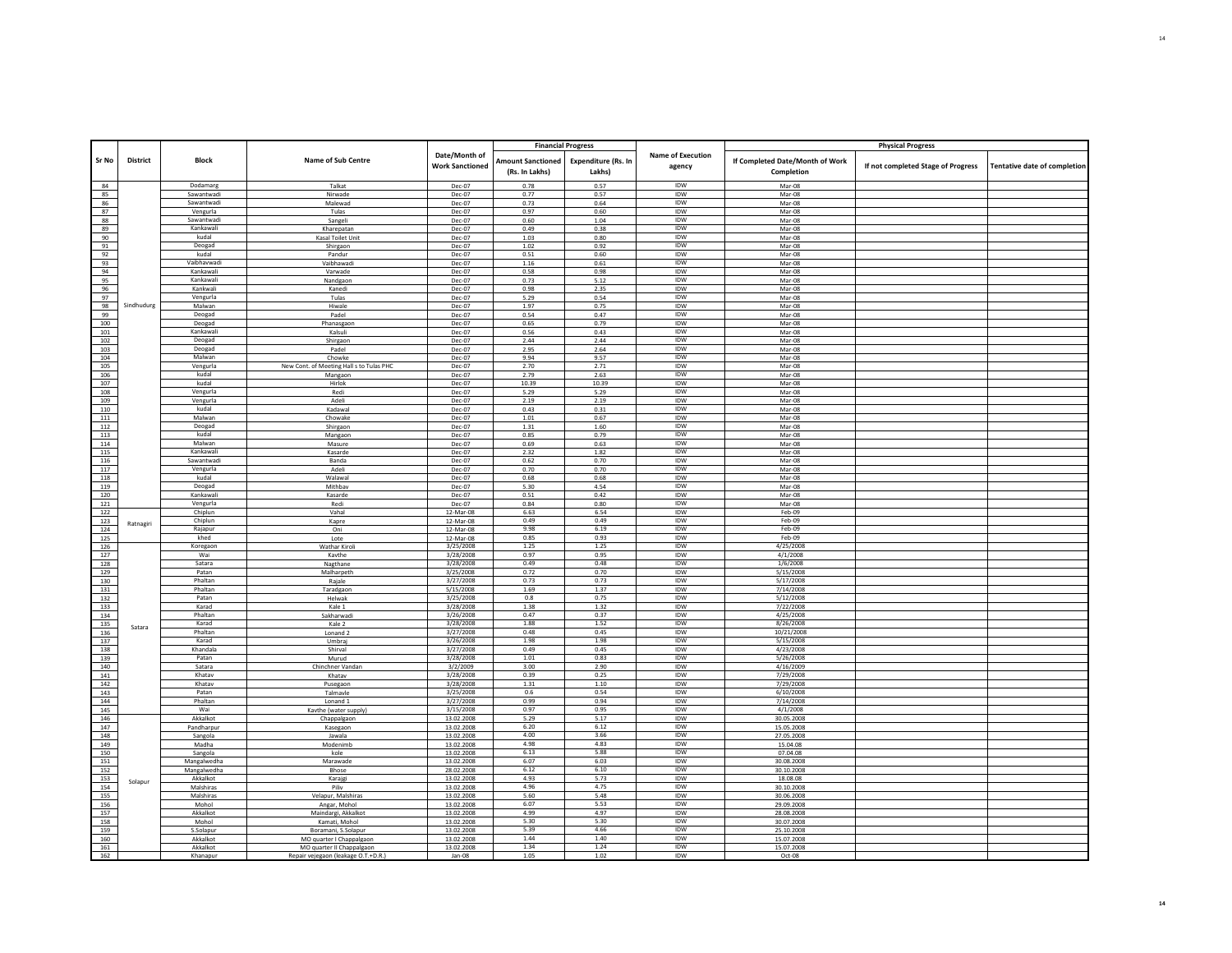|            |                 |                       |                                                       |                                         | <b>Financial Progress</b>                  |                               |                                    |                                               | <b>Physical Progress</b>           |                                     |
|------------|-----------------|-----------------------|-------------------------------------------------------|-----------------------------------------|--------------------------------------------|-------------------------------|------------------------------------|-----------------------------------------------|------------------------------------|-------------------------------------|
| Sr No      | <b>District</b> | <b>Block</b>          | Name of Sub Centre                                    | Date/Month of<br><b>Work Sanctioned</b> | <b>Amount Sanctioned</b><br>(Rs. In Lakhs) | Expenditure (Rs. In<br>Lakhs) | <b>Name of Execution</b><br>agency | If Completed Date/Month of Work<br>Completion | If not completed Stage of Progress | <b>Tentative date of completion</b> |
| 84         |                 | Dodamarg              | Talkat                                                | Dec-07                                  | 0.78                                       | 0.57                          | <b>IDW</b>                         | Mar-08                                        |                                    |                                     |
| 85         |                 | Sawantwad             | Nirwade                                               | Dec-07                                  | 0.77                                       | 0.57                          | IDW                                | Mar-08                                        |                                    |                                     |
| 86         |                 | Sawantwadi            | Malewad                                               | Dec-07                                  | 0.73                                       | 0.64                          | <b>IDW</b>                         | Mar-08                                        |                                    |                                     |
| 87         |                 | Vengurla              | Tulas                                                 | Dec-07                                  | 0.97                                       | 0.60                          | IDW                                | $Mar-08$                                      |                                    |                                     |
| 88         |                 | Sawantwadi            | Sangeli                                               | Dec-07                                  | 0.60                                       | 1.04                          | IDW                                | Mar-08                                        |                                    |                                     |
| 89         |                 | Kankawali             | Kharepatan                                            | Dec-07                                  | 0.49                                       | 0.38                          | <b>IDW</b>                         | Mar-08                                        |                                    |                                     |
| 90         |                 | kudal                 | Kasal Toilet Unit                                     | Dec-07                                  | 1.03                                       | 0.80                          | IDW                                | Mar-08                                        |                                    |                                     |
| 91         |                 | Deogad                | Shirgaon                                              | Dec-07                                  | 1.02                                       | 0.92                          | IDW                                | Mar-08                                        |                                    |                                     |
| 92         |                 | kudal                 | Pandur                                                | Dec-07                                  | 0.51                                       | 0.60                          | IDW                                | $Mar-08$                                      |                                    |                                     |
| 93         |                 | Vaibhavwadi           | Vaibhawadi                                            | Dec-07                                  | $1.16\,$                                   | 0.61                          | <b>IDW</b>                         | Mar-08                                        |                                    |                                     |
| 94         |                 | Kankawal              | Varwade                                               | Dec-07                                  | 0.58                                       | 0.98                          | IDW                                | Mar-08                                        |                                    |                                     |
| 95         |                 | Kankawali<br>Kankwali | Nandgaon<br>Kanedi                                    | Dec-07                                  | 0.73<br>0.98                               | 5.12                          | IDW<br><b>IDW</b>                  | Mar-08<br>Mar-08                              |                                    |                                     |
| 96<br>97   |                 | Vengurla              | Tulas                                                 | Dec-07<br>Dec-07                        | 5.29                                       | 2.35<br>0.54                  | IDW                                | Mar-08                                        |                                    |                                     |
| 98         | Sindhudurg      | Malwan                | Hiwale                                                | Dec-07                                  | 1.97                                       | 0.75                          | IDW                                | Mar-08                                        |                                    |                                     |
| 99         |                 | Deogad                | Padel                                                 | Dec-07                                  | 0.54                                       | 0.47                          | <b>IDW</b>                         | Mar-08                                        |                                    |                                     |
| 100        |                 | Deogad                | Phanasgaon                                            | Dec-07                                  | 0.65                                       | 0.79                          | IDW                                | Mar-08                                        |                                    |                                     |
| 101        |                 | Kankawali             | Kalsuli                                               | Dec-07                                  | 0.56                                       | 0.43                          | IDW                                | Mar-08                                        |                                    |                                     |
| 102        |                 | Deogad                | Shirgaon                                              | Dec-07                                  | 2.44                                       | 2.44                          | IDW                                | Mar-08                                        |                                    |                                     |
| 103        |                 | Deogad                | Padel                                                 | Dec-07                                  | 2.95                                       | 2.64                          | IDW                                | Mar-08                                        |                                    |                                     |
| 104        |                 | Malwan                | Chowke                                                | Dec-07                                  | 9.94                                       | 9.57                          | IDW                                | Mar-08                                        |                                    |                                     |
| 105        |                 | Vengurla              | New Cont. of Meeting Hall s to Tulas PHC              | Dec-07                                  | 2.70                                       | 2.71                          | IDW                                | Mar-08                                        |                                    |                                     |
| 106        |                 | kudal                 | Mangaon                                               | Dec-07                                  | 2.79                                       | 2.63                          | IDW                                | Mar-08                                        |                                    |                                     |
| 107        |                 | kudal                 | Hirlok                                                | Dec-07                                  | 10.39                                      | 10.39                         | <b>IDW</b>                         | Mar-08                                        |                                    |                                     |
| 108        |                 | Vengurla              | Redi                                                  | Dec-07                                  | 5.29                                       | 5.29                          | IDW                                | Mar-08                                        |                                    |                                     |
| 109        |                 | Vengurla              | Adeli                                                 | Dec-07                                  | 2.19                                       | 2.19                          | IDW                                | Mar-08                                        |                                    |                                     |
| 110        |                 | kudal<br>Malwan       | Kadawal                                               | Dec-07                                  | 0.43                                       | 0.31                          | IDW<br>IDW                         | $Mar-08$                                      |                                    |                                     |
| 111<br>112 |                 | Deogad                | Chowake                                               | Dec-07<br>Dec-07                        | $1.01\,$<br>1.31                           | 0.67<br>1.60                  | IDW                                | Mar-08<br>$Mar-08$                            |                                    |                                     |
| 113        |                 | kudal                 | Shirgaon<br>Mangaon                                   | Dec-07                                  | 0.85                                       | 0.79                          | IDW                                | Mar-08                                        |                                    |                                     |
| 114        |                 | Malwan                | Masure                                                | Dec-07                                  | 0.69                                       | 0.63                          | <b>IDW</b>                         | Mar-08                                        |                                    |                                     |
| 115        |                 | Kankawali             | Kasarde                                               | Dec-07                                  | 2.32                                       | 1.82                          | IDW                                | Mar-08                                        |                                    |                                     |
| 116        |                 | Sawantwadi            | Banda                                                 | Dec-07                                  | 0.62                                       | 0.70                          | <b>IDW</b>                         | Mar-08                                        |                                    |                                     |
| 117        |                 | Vengurla              | Adeli                                                 | Dec-07                                  | 0.70                                       | 0.70                          | IDW                                | Mar-08                                        |                                    |                                     |
| 118        |                 | kudal                 | Walawal                                               | Dec-07                                  | 0.68                                       | 0.68                          | IDW                                | Mar-08                                        |                                    |                                     |
| 119        |                 | Deogad                | Mithbav                                               | Dec-07                                  | 5.30                                       | 4.54                          | IDW                                | Mar-08                                        |                                    |                                     |
| 120        |                 | Kankawali             | Kasarde                                               | Dec-07                                  | 0.51                                       | 0.42                          | IDW                                | Mar-08                                        |                                    |                                     |
| 121        |                 | Vengurla              | Redi                                                  | Dec-07                                  | 0.84                                       | 0.80                          | <b>IDW</b>                         | $Mar-08$                                      |                                    |                                     |
| 122        |                 | Chiplun               | Vahal                                                 | 12-Mar-08                               | 6.63                                       | 6.54                          | IDW                                | Feb-09                                        |                                    |                                     |
| 123        | Ratnagiri       | Chiplun               | Kapre                                                 | 12-Mar-08                               | 0.49                                       | 0.49                          | <b>IDW</b>                         | Feb-09                                        |                                    |                                     |
| 124        |                 | Rajapur               | Oni                                                   | 12-Mar-08                               | 9.98                                       | 6.19                          | IDW                                | Feb-09                                        |                                    |                                     |
| 125        |                 | khed                  | Lote                                                  | 12-Mar-08                               | 0.85                                       | 0.93<br>1.25                  | IDW<br>IDW                         | Feb-09<br>4/25/2008                           |                                    |                                     |
| 126<br>127 |                 | Koregaon<br>Wai       | <b>Wathar Kiroli</b><br>Kavthe                        | 3/25/2008<br>3/28/2008                  | 1.25<br>0.97                               | 0.95                          | IDW                                | 4/1/2008                                      |                                    |                                     |
| 128        |                 | Satara                |                                                       | 3/28/2008                               | 0.49                                       | 0.48                          | IDW                                | 1/6/2008                                      |                                    |                                     |
| 129        |                 | Patan                 | Nagthane<br>Malharpeth                                | 3/25/2008                               | 0.72                                       | 0.70                          | IDW                                | 5/15/2008                                     |                                    |                                     |
| 130        |                 | Phaltan               | Rajale                                                | 3/27/2008                               | 0.73                                       | 0.73                          | <b>IDW</b>                         | 5/17/2008                                     |                                    |                                     |
| 131        |                 | Phaltan               | Taradgaon                                             | 5/15/2008                               | 1.69                                       | 1.37                          | IDW                                | 7/14/2008                                     |                                    |                                     |
| 132        |                 | Patan                 | Helwak                                                | 3/25/2008                               | 0.8                                        | 0.75                          | <b>IDW</b>                         | 5/12/2008                                     |                                    |                                     |
| 133        |                 | Karad                 | Kale 1                                                | 3/28/2008                               | 1.38                                       | 1.32                          | <b>IDW</b>                         | 7/22/2008                                     |                                    |                                     |
| 134        |                 | Phaltan               | Sakharwadi                                            | 3/26/2008                               | 0.47                                       | 0.37                          | <b>IDW</b>                         | 4/25/2008                                     |                                    |                                     |
| 135        | Satara          | Karad                 | Kale 2                                                | 3/28/2008                               | 1.88                                       | 1.52                          | IDW                                | 8/26/2008                                     |                                    |                                     |
| 136        |                 | Phaltan               | Lonand <sub>2</sub>                                   | 3/27/2008                               | 0.48                                       | 0.45                          | IDW                                | 10/21/2008                                    |                                    |                                     |
| 137        |                 | Karad                 | Umbrai                                                | 3/26/2008                               | 1.98                                       | 1.98                          | IDW                                | 5/15/2008                                     |                                    |                                     |
| 138        |                 | Khandala              | Shirval                                               | 3/27/2008                               | 0.49                                       | 0.45                          | IDW                                | 4/23/2008                                     |                                    |                                     |
| 139        |                 | Patan                 | Murud                                                 | 3/28/2008                               | 1.01                                       | 0.83                          | <b>IDW</b>                         | 5/26/2008                                     |                                    |                                     |
| 140        |                 | Satara<br>Khatav      | Chinchner Vandan<br>Khatay                            | 3/2/2009<br>3/28/2008                   | 3.00<br>0.39                               | 2.90<br>0.25                  | IDW<br><b>IDW</b>                  | 4/16/2009<br>7/29/2008                        |                                    |                                     |
| 141<br>142 |                 | Khatav                |                                                       | 3/28/2008                               | 1.31                                       | 1.10                          | <b>IDW</b>                         | 7/29/2008                                     |                                    |                                     |
| 143        |                 | Patan                 | Pusegaon<br>Talmavle                                  | 3/25/2008                               | 0.6                                        | 0.54                          | <b>IDW</b>                         | 6/10/2008                                     |                                    |                                     |
| 144        |                 | Phaltan               | Lonand <sub>1</sub>                                   | 3/27/2008                               | 0.99                                       | 0.94                          | <b>IDW</b>                         | 7/14/2008                                     |                                    |                                     |
| 145        |                 | Wai                   | Kavthe (water supply)                                 | 3/15/2008                               | 0.97                                       | 0.95                          | IDW                                | 4/1/2008                                      |                                    |                                     |
| 146        |                 | Akkalkot              | Chappalgaon                                           | 13.02.2008                              | 5.29                                       | 5.17                          | <b>IDW</b>                         | 30.05.2008                                    |                                    |                                     |
| 147        |                 | Pandharpur            | Kasegaon                                              | 13.02.2008                              | 6.20                                       | 6.12                          | IDW                                | 15.05.2008                                    |                                    |                                     |
| 148        |                 | Sangola               | Jawala                                                | 13.02.2008                              | 4.00                                       | 3.66                          | IDW                                | 27.05.2008                                    |                                    |                                     |
| 149        |                 | Madha                 | Modenimb                                              | 13.02.2008                              | 4.98                                       | 4.83                          | IDW                                | 15.04.08                                      |                                    |                                     |
| 150        |                 | Sangola               | kole                                                  | 13.02.2008                              | 6.13                                       | 5.88                          | IDW                                | 07.04.08                                      |                                    |                                     |
| 151        |                 | Mangalwedha           | Marawade                                              | 13.02.2008                              | 6.07                                       | 6.03                          | IDW                                | 30.08.2008                                    |                                    |                                     |
| 152        |                 | Mangalwedha           | Bhose                                                 | 28.02.2008                              | 6.12                                       | 6.10                          | IDW                                | 30.10.2008                                    |                                    |                                     |
| 153        | Solapur         | Akkalkot              | Karajgi                                               | 13.02.2008                              | 4.93                                       | 5.73                          | IDW                                | 18.08.08                                      |                                    |                                     |
| 154        |                 | Malshiras             | Piliv                                                 | 13.02.2008                              | 4.96                                       | 4.75                          | IDW                                | 30.10.2008                                    |                                    |                                     |
| 155        |                 | Malshiras             | Velapur, Malshiras                                    | 13.02.2008                              | 5.60                                       | 5.48                          | IDW                                | 30.06.2008                                    |                                    |                                     |
| 156        |                 | Mohol                 | Angar, Mohol                                          | 13.02.2008                              | 6.07                                       | 5.53                          | IDW                                | 29.09.2008                                    |                                    |                                     |
| 157<br>158 |                 | Akkalkot              | Maindargi, Akkalkot<br>Kamati, Mohol                  | 13.02.2008                              | 4.99<br>5.30                               | 4.97<br>5.30                  | <b>IDW</b><br>IDW                  | 28.08.2008                                    |                                    |                                     |
|            |                 | Mohol<br>S.Solapur    | Boramani, S.Solapur                                   | 13.02.2008<br>13.02.2008                | 5.39                                       | 4.66                          | <b>IDW</b>                         | 30.07.2008<br>25.10.2008                      |                                    |                                     |
| 159<br>160 |                 | Akkalkot              |                                                       | 13.02.2008                              | 1.44                                       | 1.40                          | IDW                                | 15.07.2008                                    |                                    |                                     |
| 161        |                 | Akkalkot              | MO quarter I Chappalgaon<br>MO quarter II Chappalgaon | 13.02.2008                              | 1.34                                       | 1.24                          | IDW                                | 15.07.2008                                    |                                    |                                     |
| 162        |                 | Khanapu               | Renair veiegaon (leakage O.T.+D.R.                    | Jan-08                                  | 1.05                                       | 1.02                          | <b>IDW</b>                         | Oct-08                                        |                                    |                                     |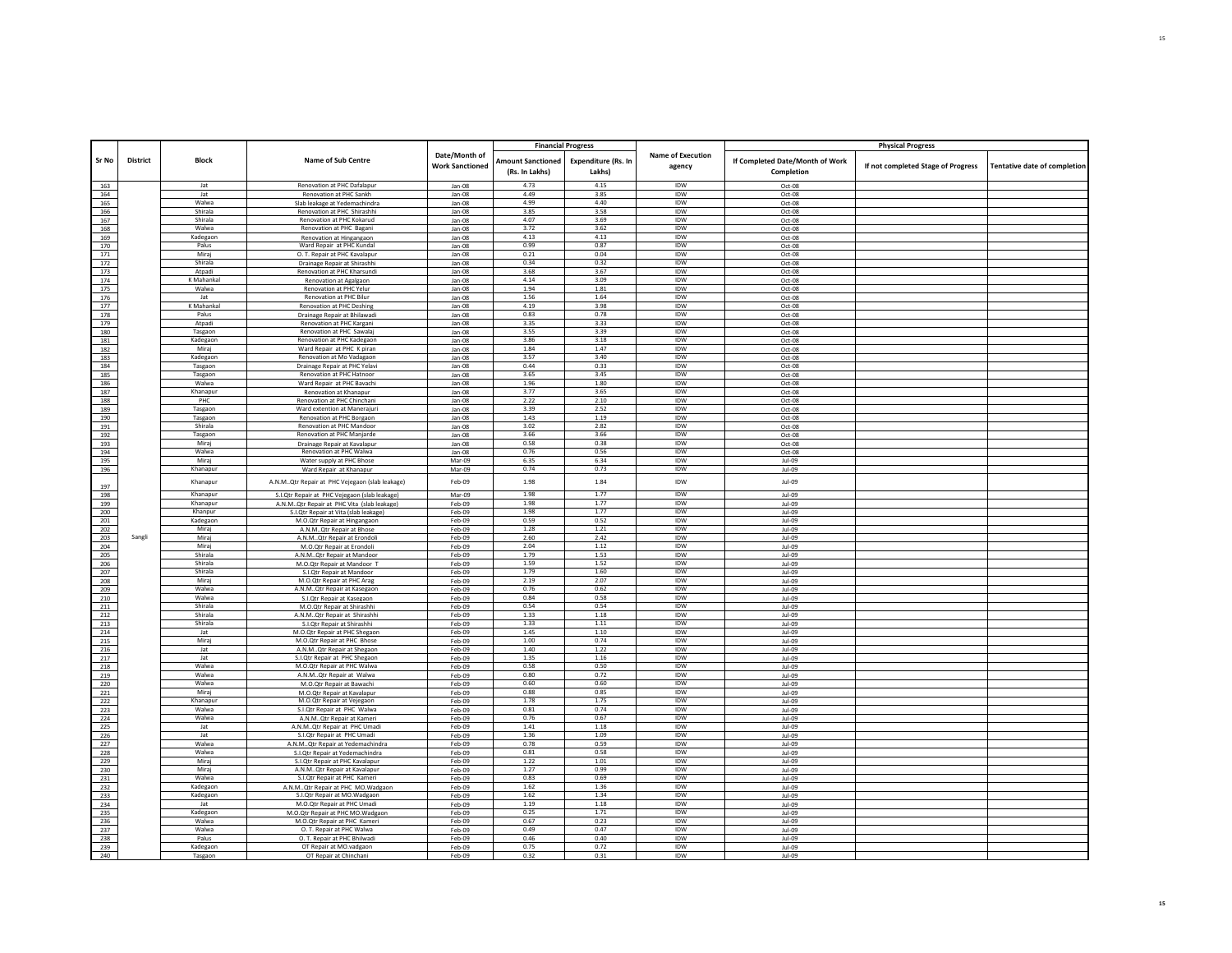|            |          |                      |                                                                       |                        | <b>Financial Progress</b> |                            |                          |                                 | <b>Physical Progress</b>           |                                     |
|------------|----------|----------------------|-----------------------------------------------------------------------|------------------------|---------------------------|----------------------------|--------------------------|---------------------------------|------------------------------------|-------------------------------------|
|            |          |                      |                                                                       | Date/Month of          |                           |                            | <b>Name of Execution</b> |                                 |                                    |                                     |
| Sr No      | District | <b>Block</b>         | Name of Sub Centre                                                    | <b>Work Sanctioned</b> | <b>Amount Sanctioned</b>  | <b>Expenditure (Rs. In</b> |                          | If Completed Date/Month of Work |                                    |                                     |
|            |          |                      |                                                                       |                        | (Rs. In Lakhs)            | Lakhs)                     | agency                   | Completion                      | If not completed Stage of Progress | <b>Tentative date of completion</b> |
|            |          | Jat                  | Renovation at PHC Dafalapur                                           | Jan-08                 | 4.73                      | 4.15                       | <b>IDW</b>               |                                 |                                    |                                     |
| 163<br>164 |          | Jat                  | Renovation at PHC Sankh                                               | Jan-08                 | 4.49                      | 3.85                       | IDW                      | Oct-08<br>Oct-08                |                                    |                                     |
| 165        |          | Walwa                | Slab leakage at Yedemachindra                                         | Jan-08                 | 4.99                      | 4.40                       | <b>IDW</b>               | Oct-08                          |                                    |                                     |
| 166        |          | Shirala              | Renovation at PHC Shirashhi                                           | Jan-08                 | 3.85                      | 3.58                       | IDW                      | Oct-08                          |                                    |                                     |
| 167        |          | Shirala              | Renovation at PHC Kokarud                                             | Jan-08                 | 4.07                      | 3.69                       | <b>IDW</b>               | Oct-08                          |                                    |                                     |
| 168        |          | Walwa                | Renovation at PHC Bagani                                              | $lan-08$               | 3.72                      | 3.62                       | IDW                      | $Ort-0.8$                       |                                    |                                     |
| 169        |          | Kadegaon             | Renovation at Hingangaon                                              | Jan-08                 | 4.13                      | 4.13                       | <b>IDW</b>               | Oct-08                          |                                    |                                     |
| 170        |          | Palus                | Ward Repair at PHC Kundal                                             | Jan-08                 | 0.99                      | 0.87                       | IDW                      | $Oct-08$                        |                                    |                                     |
| 171        |          | Miraj                | O. T. Repair at PHC Kavalapur                                         | Jan-08                 | 0.21                      | 0.04                       | IDW                      | Oct-08                          |                                    |                                     |
| 172        |          | Shirala              | Drainage Repair at Shirashhi                                          | $lan-08$               | 0.34                      | 0.32                       | IDW                      | $Oct-08$                        |                                    |                                     |
| 173        |          | Atpadi               | Renovation at PHC Kharsundi                                           | Jan-08                 | 3.68                      | 3.67                       | IDW                      | Oct-08                          |                                    |                                     |
| 174        |          | K Mahankal           | Renovation at Agalgaon                                                | Jan-08                 | 4.14                      | 3.09                       | <b>IDW</b>               | Oct-08                          |                                    |                                     |
| 175        |          | Walwa<br>Jat         | Renovation at PHC Yelur<br><b>Renovation at PHC Bilur</b>             | Jan-08                 | 1.94<br>1.56              | 1.81<br>1.64               | IDW<br><b>IDW</b>        | Oct-08                          |                                    |                                     |
| 176<br>177 |          | K Mahankal           |                                                                       | Jan-08                 | 4.19                      | 3.98                       | <b>IDW</b>               | Oct-08                          |                                    |                                     |
|            |          | Palus                | Renovation at PHC Deshing                                             | Jan-08                 | 0.83                      | 0.78                       | <b>IDW</b>               | Oct-08                          |                                    |                                     |
| 178<br>179 |          | Atpadi               | Drainage Repair at Bhilawadi<br>Renovation at PHC Kargan              | Jan-08<br>Jan-08       | 3.35                      | 3.33                       | IDW                      | Oct-08<br>Oct-08                |                                    |                                     |
| 180        |          | Tasgaon              | Renovation at PHC Sawala                                              | Jan-08                 | 3.55                      | 3.39                       | <b>IDW</b>               | Oct-08                          |                                    |                                     |
| 181        |          | Kadegaon             | Renovation at PHC Kadegaon                                            | Jan-08                 | 3.86                      | 3.18                       | IDW                      | Oct-08                          |                                    |                                     |
| 182        |          | Miraj                | Ward Repair at PHC K piran                                            | Jan-08                 | 1.84                      | 1.47                       | IDW                      | Oct-08                          |                                    |                                     |
| 183        |          | Kadegaor             | Renovation at Mo Vadagaon                                             | Jan-08                 | 3.57                      | 3.40                       | <b>IDW</b>               | $Oct-08$                        |                                    |                                     |
| 184        |          | Tasgaon              | Drainage Repair at PHC Yelav                                          | Jan-08                 | 0.44                      | 0.33                       | IDW                      | Oct-08                          |                                    |                                     |
| 185        |          | Tasgaon              | Renovation at PHC Hatnoor                                             | Jan-08                 | 3.65                      | 3.45                       | <b>IDW</b>               | Oct-08                          |                                    |                                     |
| 186        |          | Walwa                | Ward Repair at PHC Bavachi                                            | Jan-08                 | 1.96                      | 1.80                       | IDW                      | Oct-08                          |                                    |                                     |
| 187        |          | Khanapur             | Renovation at Khanapur                                                | Jan-08                 | 3.77                      | 3.65                       | <b>IDW</b>               | Oct-08                          |                                    |                                     |
| 188        |          | PHC                  | Renovation at PHC Chinchan                                            | Jan-08                 | 2.22                      | 2.10                       | IDW                      | Oct-08                          |                                    |                                     |
| 189        |          | Tasgaon              | Ward extention at Manerajuri                                          | Jan-08                 | 3.39                      | 2.52                       | <b>IDW</b>               | Oct-08                          |                                    |                                     |
| 190        |          | Tasgaon              | Renovation at PHC Borgaon                                             | Jan-08                 | 1.43                      | 1.19                       | <b>IDW</b>               | Oct-08                          |                                    |                                     |
| 191        |          | Shirala              | Renovation at PHC Mandoor                                             | Jan-08                 | 3.02                      | 2.82                       | <b>IDW</b>               | Oct-08                          |                                    |                                     |
| 192        |          | Tasgaon              | <b>Renovation at PHC Maniarde</b>                                     | Jan-08                 | 3.66                      | 3.66                       | IDW                      | Oct-08                          |                                    |                                     |
| 193        |          | Miraj                | Drainage Repair at Kavalapur                                          | Jan-08                 | 0.58                      | 0.38                       | IDW                      | Oct-08                          |                                    |                                     |
| 194        |          | Walwa                | <b>Renovation at PHC Walwa</b>                                        | Jan-08                 | 0.76                      | 0.56                       | IDW                      | Oct-08                          |                                    |                                     |
| 195        |          | Miraj                | Water supply at PHC Bhose                                             | Mar-09                 | 6.35                      | 6.34                       | IDW                      | Jul-09                          |                                    |                                     |
| 196        |          | Khanapur             | Ward Repair at Khanapur                                               | Mar-09                 | 0.74                      | 0.73                       | IDW                      | Jul-09                          |                                    |                                     |
|            |          | Khanapur             | A.N.MQtr Repair at PHC Vejegaon (slab leakage)                        | Feb-09                 | 1.98                      | 1.84                       | IDW                      | Jul-09                          |                                    |                                     |
| 197        |          |                      |                                                                       |                        |                           | 1.77                       |                          |                                 |                                    |                                     |
| 198        |          | Khanapur<br>Khanapur | S.I.Qtr Repair at PHC Vejegaon (slab leakage)                         | Mar-09                 | 1.98<br>1.98              | 1.77                       | <b>IDW</b><br><b>IDW</b> | Jul-09                          |                                    |                                     |
| 199<br>200 |          | Khanpur              | A.N.MQtr Repair at PHC Vita (slab leakage)                            | Feb-09<br>Feb-09       | 1.98                      | 1.77                       | IDW                      | Jul-09<br>Jul-09                |                                    |                                     |
| 201        |          | Kadegaor             | S.I.Qtr Repair at Vita (slab leakage)<br>M.O.Qtr Repair at Hingangaon | Feb-09                 | 0.59                      | 0.52                       | IDW                      | Jul-09                          |                                    |                                     |
| 202        |          | Mirai                | A.N.MQtr Repair at Bhose                                              | Feb-09                 | 1.28                      | 1.21                       | IDW                      | $\ln L$                         |                                    |                                     |
| 203        | Sangli   | Miraj                | A.N.MQtr Repair at Erondoli                                           | Feb-09                 | 2.60                      | 2.42                       | IDW                      | Jul-09                          |                                    |                                     |
| 204        |          | Miraj                | M.O.Qtr Repair at Erondoli                                            | Feb-09                 | 2.04                      | 1.12                       | <b>IDW</b>               | Jul-09                          |                                    |                                     |
| 205        |          | Shirala              | A.N.MQtr Repair at Mandoor                                            | Feb-09                 | 1.79                      | 1.53                       | IDW                      | Jul-09                          |                                    |                                     |
| 206        |          | Shirala              | M.O.Qtr Repair at Mandoor T                                           | Feb-09                 | 1.59                      | 1.52                       | <b>IDW</b>               | Jul-09                          |                                    |                                     |
| 207        |          | Shirala              | S.I.Otr Repair at Mandoor                                             | Feb-09                 | 1.79                      | 1.60                       | IDW                      | Jul-09                          |                                    |                                     |
| 208        |          | Miraj                | M.O.Qtr Repair at PHC Arag                                            | Feb-09                 | 2.19                      | 2.07                       | <b>IDW</b>               | Jul-09                          |                                    |                                     |
| 209        |          | Walwa                | A.N.MQtr Repair at Kasegaon                                           | Feb-09                 | 0.76                      | 0.62                       | IDW                      | $\ln L$                         |                                    |                                     |
| 210        |          | Walwa                | S.I.Qtr Repair at Kasegaon                                            | Feb-09                 | 0.84                      | 0.58                       | IDW                      | Jul-09                          |                                    |                                     |
| 211        |          | Shirala              | M.O.Qtr Repair at Shirashhi                                           | $Feh-09$               | 0.54                      | 0.54                       | <b>IDW</b>               | $\ln L$                         |                                    |                                     |
| 212        |          | Shirala              | A.N.MQtr Repair at Shirashhi                                          | Feb-09                 | 1.33                      | $1.18\,$                   | IDW                      | Jul-09                          |                                    |                                     |
| 213        |          | Shirala              | S.LOtr Renair at Shirashhi                                            | Feb-09                 | 1.33                      | 1.11                       | <b>IDW</b>               | $1$ $1$ $0$ $9$                 |                                    |                                     |
| 214        |          | Jat<br>Mirai         | M.O.Qtr Repair at PHC Shegaon                                         | Feb-09                 | 1.45<br>1.00              | 1.10<br>0.74               | IDW<br><b>IDW</b>        | Jul-09                          |                                    |                                     |
| 215        |          |                      | M.O.Otr Repair at PHC Bhose                                           | Feb-09                 | 1.40                      | 1.22                       | <b>IDW</b>               | Jul-09                          |                                    |                                     |
| 216        |          | Jat<br>lat           | A.N.MQtr Repair at Shegaon<br>S.I.Otr Repair at PHC Shegaon           | Feb-09                 | 1.35                      | 1.16                       | <b>IDW</b>               | Jul-09<br>$Jul-09$              |                                    |                                     |
| 217<br>218 |          | Walwa                | M.O.Qtr Repair at PHC Walwa                                           | Feb-09<br>Feb-09       | 0.58                      | 0.50                       | IDW                      | Jul-09                          |                                    |                                     |
| 219        |          | Walwa                | A.N.MQtr Repair at Walwa                                              | Feb-09                 | 0.80                      | 0.72                       | IDW                      | Jul-09                          |                                    |                                     |
| 220        |          | Walwa                | M.O.Qtr Repair at Bawachi                                             | Feb-09                 | 0.60                      | 0.60                       | IDW                      | $\ln L$                         |                                    |                                     |
| 221        |          | Miraj                | M.O.Qtr Repair at Kavalapur                                           | Feb-09                 | 0.88                      | 0.85                       | <b>IDW</b>               | Jul-09                          |                                    |                                     |
| 222        |          | Khanapur             | M.O.Otr Repair at Veiegaon                                            | Feb-09                 | 1.78                      | 1.75                       | <b>IDW</b>               | $1$ $1$ $0$ $9$                 |                                    |                                     |
| 223        |          | Walwa                | S.I.Qtr Repair at PHC Walwa                                           | Feb-09                 | 0.81                      | 0.74                       | IDW                      | Jul-09                          |                                    |                                     |
| 224        |          | Walwa                | A.N.M., Otr Repair at Kameri                                          | Feb-09                 | 0.76                      | 0.67                       | <b>IDW</b>               | lul-09                          |                                    |                                     |
| 225        |          | Jat                  | A.N.MQtr Repair at PHC Umadi                                          | Feb-09                 | 1.41                      | 1.18                       | IDW                      | Jul-09                          |                                    |                                     |
| 226        |          | lat                  | S.I.Otr Repair at PHC Umadi                                           | Feb-09                 | 1.36                      | 1.09                       | <b>IDW</b>               | Jul-09                          |                                    |                                     |
| 227        |          | Walwa                | A.N.MQtr Repair at Yedemachindra                                      | Feb-09                 | 0.78                      | 0.59                       | IDW                      | $Jul-09$                        |                                    |                                     |
| 228        |          | Walwa                | S.I.Qtr Repair at Yedemachindra                                       | Feb-09                 | 0.81                      | 0.58                       | <b>IDW</b>               | Jul-09                          |                                    |                                     |
| 229        |          | Miraj                | S.I.Qtr Repair at PHC Kavalapur                                       | Feb-09                 | 1.22                      | 1.01                       | IDW                      | $Jul-09$                        |                                    |                                     |
| 230        |          | Miraj                | A.N.MQtr Repair at Kavalapur                                          | Feb-09                 | 1.27                      | 0.99                       | <b>IDW</b>               | Jul-09                          |                                    |                                     |
| 231        |          | Walwa                | S.I.Otr Repair at PHC Kameri                                          | Feb-09                 | 0.83                      | 0.69                       | <b>IDW</b>               | $Jul-09$                        |                                    |                                     |
| 232        |          | Kadegaon             | A.N.MQtr Repair at PHC MO.Wadgaon<br>S.I.Qtr Repair at MO.Wadgaon     | Feb-09                 | 1.62<br>1.62              | 1.36<br>1.34               | IDW<br><b>IDW</b>        | Jul-09<br>$Jul-09$              |                                    |                                     |
| 233<br>234 |          | Kadegaon<br>Jat      | M.O.Qtr Repair at PHC Umadi                                           | Feb-09<br>Feb-09       | 1.19                      | 1.18                       | IDW                      | Jul-09                          |                                    |                                     |
| 235        |          | Kadegaon             | M.O.Qtr Repair at PHC MO.Wadgaon                                      | Feb-09                 | 0.25                      | 1.71                       | <b>IDW</b>               | $Jul-09$                        |                                    |                                     |
| 236        |          | Walwa                | M.O.Qtr Repair at PHC Kameri                                          | Feb-09                 | 0.67                      | 0.23                       | IDW                      | PO-lul                          |                                    |                                     |
| 237        |          | Walwa                | O. T. Repair at PHC Walwa                                             | Feb-09                 | 0.49                      | 0.47                       | <b>IDW</b>               | Jul-09                          |                                    |                                     |
| 238        |          | Palus                | O. T. Repair at PHC Bhilwadi                                          | $Feh-09$               | 0.46                      | 0.40                       | IDW                      | $\ln L$                         |                                    |                                     |
| 239        |          | Kadegaon             | OT Repair at MO.vadgaon                                               | Feb-09                 | 0.75                      | 0.72                       | <b>IDW</b>               | Jul-09                          |                                    |                                     |
| 240        |          | Tasgaon              | OT Repair at Chinchani                                                | $Feh-09$               | 0.32                      | 0.31                       | IDW                      | lul-09                          |                                    |                                     |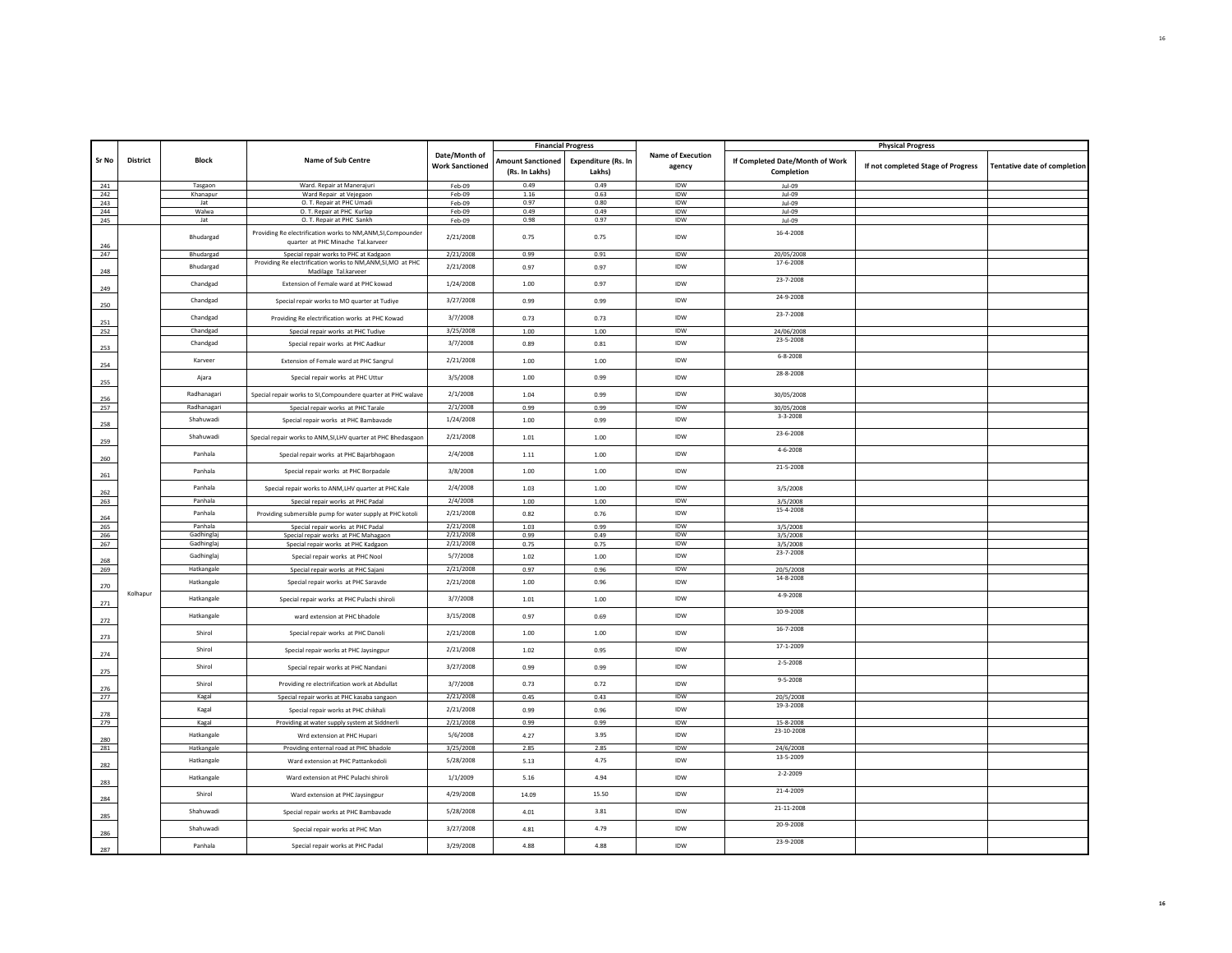|            |                 |                       |                                                                             |                        |                          | <b>Financial Progress</b> |                   |                                 | <b>Physical Progress</b>           |                              |
|------------|-----------------|-----------------------|-----------------------------------------------------------------------------|------------------------|--------------------------|---------------------------|-------------------|---------------------------------|------------------------------------|------------------------------|
|            |                 |                       |                                                                             | Date/Month of          |                          |                           | Name of Execution |                                 |                                    |                              |
| Sr No      | <b>District</b> | <b>Block</b>          | <b>Name of Sub Centre</b>                                                   | <b>Work Sanctioned</b> | <b>Amount Sanctioned</b> | Expenditure (Rs. In       | agency            | If Completed Date/Month of Work | If not completed Stage of Progress | Tentative date of completion |
|            |                 |                       |                                                                             |                        | (Rs. In Lakhs)           | Lakhs)                    |                   | Completion                      |                                    |                              |
|            |                 | Tasgaon               | Ward. Repair at Manerajuri                                                  | Feb-09                 | 0.49                     | 0.49                      | <b>IDW</b>        | Jul-09                          |                                    |                              |
| 241<br>242 |                 | Khanapur              | Ward Repair at Vejegaon                                                     | Feb-09                 | 1.16                     | 0.63                      | IDW               | $ u $ -09                       |                                    |                              |
| 243        |                 | Jat                   | O. T. Repair at PHC Umadi                                                   | Feb-09                 | 0.97                     | 0.80                      | <b>IDW</b>        | Jul-09                          |                                    |                              |
| 244        |                 | Walwa                 | O. T. Repair at PHC Kurlap                                                  | $Feh-09$               | 0.49                     | 0.49                      | <b>IDW</b>        | $11-09$                         |                                    |                              |
| 245        |                 | Jat                   | O. T. Repair at PHC Sankh                                                   | Feb-09                 | 0.98                     | 0.97                      | IDW               | Jul-09                          |                                    |                              |
|            |                 |                       | Providing Re electrification works to NM,ANM,SI,Compounder                  |                        |                          |                           |                   | 16-4-2008                       |                                    |                              |
|            |                 | Bhudargad             | quarter at PHC Minache Tal.karveer                                          | 2/21/2008              | 0.75                     | 0.75                      | IDW               |                                 |                                    |                              |
| 246        |                 |                       |                                                                             |                        |                          |                           |                   |                                 |                                    |                              |
| 247        |                 | Bhudargad             | Special repair works to PHC at Kadgaon                                      | 2/21/2008              | 0.99                     | 0.91                      | IDW               | 20/05/2008                      |                                    |                              |
| 248        |                 | Bhudaread             | Providing Re electrification works to NM,ANM,SI,MO at PHC                   | 2/21/2008              | 0.97                     | 0.97                      | <b>IDW</b>        | 17-6-2008                       |                                    |                              |
|            |                 |                       | Madilage Tal.karveer                                                        |                        |                          |                           |                   | 23-7-2008                       |                                    |                              |
| 249        |                 | Chandgad              | Extension of Female ward at PHC kowad                                       | 1/24/2008              | 1.00                     | 0.97                      | <b>IDW</b>        |                                 |                                    |                              |
|            |                 |                       |                                                                             |                        |                          |                           |                   | 24-9-2008                       |                                    |                              |
| 250        |                 | Chandgad              | Special repair works to MO quarter at Tudiye                                | 3/27/2008              | 0.99                     | 0.99                      | <b>IDW</b>        |                                 |                                    |                              |
|            |                 | Chandgad              | Providing Re electrification works at PHC Kowad                             | 3/7/2008               | 0.73                     | 0.73                      | IDW               | 23-7-2008                       |                                    |                              |
| 251        |                 |                       |                                                                             |                        |                          |                           |                   |                                 |                                    |                              |
| 252        |                 | Chandgad              | Special repair works at PHC Tudiye                                          | 3/25/2008              | 1.00                     | 1.00                      | IDW               | 24/06/2008                      |                                    |                              |
|            |                 | Chandgad              | Special repair works at PHC Aadkur                                          | 3/7/2008               | 0.89                     | 0.81                      | IDW               | 23-5-2008                       |                                    |                              |
| 253        |                 |                       |                                                                             |                        |                          |                           |                   | $6 - 8 - 2008$                  |                                    |                              |
| 254        |                 | Karveer               | Extension of Female ward at PHC Sangrul                                     | 2/21/2008              | 1.00                     | 1.00                      | IDW               |                                 |                                    |                              |
|            |                 |                       |                                                                             |                        |                          |                           |                   | 28-8-2008                       |                                    |                              |
| 255        |                 | Ajara                 | Special repair works at PHC Uttur                                           | 3/5/2008               | 1.00                     | 0.99                      | <b>IDW</b>        |                                 |                                    |                              |
|            |                 |                       |                                                                             |                        |                          |                           |                   |                                 |                                    |                              |
| 256        |                 | Radhanagari           | Special repair works to SI, Compoundere quarter at PHC walave               | 2/1/2008               | 1.04                     | 0.99                      | <b>IDW</b>        | 30/05/2008                      |                                    |                              |
| 257        |                 | Radhanagari           | Special repair works at PHC Tarale                                          | 2/1/2008               | 0.99                     | 0.99                      | IDW               | 30/05/2008                      |                                    |                              |
|            |                 | Shahuwadi             | Special repair works at PHC Bambavade                                       | 1/24/2008              | 1.00                     | 0.99                      | <b>IDW</b>        | $3 - 3 - 2008$                  |                                    |                              |
| 258        |                 |                       |                                                                             |                        |                          |                           |                   |                                 |                                    |                              |
|            |                 | Shahuwadi             | Special repair works to ANM, SI, LHV quarter at PHC Bhedasgaor              | 2/21/2008              | 1.01                     | 1.00                      | <b>IDW</b>        | 23-6-2008                       |                                    |                              |
| 259        |                 |                       |                                                                             |                        |                          |                           |                   | $4 - 6 - 2008$                  |                                    |                              |
| 260        |                 | Panhala               | Special repair works at PHC Bajarbhogaon                                    | 2/4/2008               | 1.11                     | 1.00                      | <b>IDW</b>        |                                 |                                    |                              |
|            |                 |                       |                                                                             |                        |                          |                           |                   | 21-5-2008                       |                                    |                              |
| 261        |                 | Panhala               | Special repair works at PHC Borpadale                                       | 3/8/2008               | 1.00                     | 1.00                      | <b>IDW</b>        |                                 |                                    |                              |
|            |                 | Panhala               |                                                                             | 2/4/2008               | 1.03                     |                           | <b>IDW</b>        |                                 |                                    |                              |
| 262        |                 |                       | Special repair works to ANM, LHV quarter at PHC Kale                        |                        |                          | 1.00                      |                   | 3/5/2008                        |                                    |                              |
| 263        |                 | Panhala               | Special repair works at PHC Padal                                           | 2/4/2008               | 1.00                     | 1.00                      | IDW               | 3/5/2008                        |                                    |                              |
|            |                 | Panhala               | Providing submersible pump for water supply at PHC kotoli                   | 2/21/2008              | 0.82                     | 0.76                      | <b>IDW</b>        | 15-4-2008                       |                                    |                              |
| 264        |                 |                       |                                                                             |                        |                          |                           |                   |                                 |                                    |                              |
| 265<br>266 |                 | Panhala<br>Gadhinglaj | Special repair works at PHC Padal                                           | 2/21/2008<br>2/21/2008 | 1.03<br>0.99             | 0.99<br>0.49              | IDW<br><b>IDW</b> | 3/5/2008                        |                                    |                              |
| 267        |                 | Gadhinglaj            | Special repair works at PHC Mahagaon<br>Special repair works at PHC Kadgaon | 2/21/2008              | 0.75                     | 0.75                      | IDW               | 3/5/2008<br>3/5/2008            |                                    |                              |
|            |                 |                       |                                                                             |                        |                          |                           |                   | 23-7-2008                       |                                    |                              |
| 268        |                 | Gadhinglaj            | Special repair works at PHC Nool                                            | 5/7/2008               | 1.02                     | 1.00                      | IDW               |                                 |                                    |                              |
| 269        |                 | Hatkangale            | Special repair works at PHC Sajani                                          | 2/21/2008              | 0.97                     | 0.96                      | IDW               | 20/5/2008                       |                                    |                              |
|            |                 | Hatkangale            | Special repair works at PHC Saravde                                         | 2/21/2008              | 1.00                     | 0.96                      | IDW               | 14-8-2008                       |                                    |                              |
| 270        |                 |                       |                                                                             |                        |                          |                           |                   |                                 |                                    |                              |
|            | Kolhapur        | Hatkangale            | Special repair works at PHC Pulachi shiroli                                 | 3/7/2008               | 1.01                     | 1.00                      | IDW               | 4-9-2008                        |                                    |                              |
| 271        |                 |                       |                                                                             |                        |                          |                           |                   |                                 |                                    |                              |
| 272        |                 | Hatkangale            | ward extension at PHC bhadole                                               | 3/15/2008              | 0.97                     | 0.69                      | IDW               | 10-9-2008                       |                                    |                              |
|            |                 |                       |                                                                             |                        |                          |                           |                   | $16 - 7 - 2008$                 |                                    |                              |
| 273        |                 | Shirol                | Special repair works at PHC Danoli                                          | 2/21/2008              | 1.00                     | 1.00                      | <b>IDW</b>        |                                 |                                    |                              |
|            |                 | Shirol                |                                                                             |                        |                          |                           | <b>IDW</b>        | 17-1-2009                       |                                    |                              |
| 274        |                 |                       | Special repair works at PHC Jaysingpur                                      | 2/21/2008              | 1.02                     | 0.95                      |                   |                                 |                                    |                              |
|            |                 | Shirol                | Special repair works at PHC Nandani                                         | 3/27/2008              | 0.99                     | 0.99                      | <b>IDW</b>        | $2 - 5 - 2008$                  |                                    |                              |
| 275        |                 |                       |                                                                             |                        |                          |                           |                   |                                 |                                    |                              |
|            |                 | Shirol                | Providing re electriifcation work at Abdullat                               | 3/7/2008               | 0.73                     | 0.72                      | <b>IDW</b>        | $9 - 5 - 2008$                  |                                    |                              |
| 276        |                 |                       |                                                                             | 2/21/2008              |                          |                           | IDW               |                                 |                                    |                              |
| 277        |                 | Kagal                 | Special repair works at PHC kasaba sangaon                                  |                        | 0.45                     | 0.43                      |                   | 20/5/2008<br>19-3-2008          |                                    |                              |
| 278        |                 | Kagal                 | Special repair works at PHC chikhali                                        | 2/21/2008              | 0.99                     | 0.96                      | IDW               |                                 |                                    |                              |
| 279        |                 | Kagal                 | Providing at water supply system at Siddnerli                               | 2/21/2008              | 0.99                     | 0.99                      | <b>IDW</b>        | 15-8-2008                       |                                    |                              |
|            |                 |                       |                                                                             |                        |                          |                           |                   | 23-10-2008                      |                                    |                              |
| 280        |                 | Hatkangale            | Wrd extension at PHC Hupari                                                 | 5/6/2008               | 4.27                     | 3.95                      | IDW               |                                 |                                    |                              |
| 281        |                 | Hatkangale            | Providing enternal road at PHC bhadole                                      | 3/25/2008              | 2.85                     | 2.85                      | IDW               | 24/6/2008                       |                                    |                              |
|            |                 | Hatkangale            | Ward extension at PHC Pattankodoli                                          | 5/28/2008              | 5.13                     | 4.75                      | <b>IDW</b>        | 13-5-2009                       |                                    |                              |
| 282        |                 |                       |                                                                             |                        |                          |                           |                   |                                 |                                    |                              |
| 283        |                 | Hatkangale            | Ward extension at PHC Pulachi shiroli                                       | 1/1/2009               | 5.16                     | 4.94                      | <b>IDW</b>        | $2 - 2 - 2009$                  |                                    |                              |
|            |                 |                       |                                                                             |                        |                          |                           |                   | 21-4-2009                       |                                    |                              |
| 284        |                 | Shirol                | Ward extension at PHC Jaysingpur                                            | 4/29/2008              | 14.09                    | 15.50                     | IDW               |                                 |                                    |                              |
|            |                 |                       |                                                                             |                        |                          |                           |                   | 21-11-2008                      |                                    |                              |
| 285        |                 | Shahuwadi             | Special repair works at PHC Bambavade                                       | 5/28/2008              | 4.01                     | 3.81                      | IDW               |                                 |                                    |                              |
|            |                 | Shahuwadi             | Special repair works at PHC Man                                             | 3/27/2008              | 4.81                     | 4.79                      | IDW               | 20-9-2008                       |                                    |                              |
| 286        |                 |                       |                                                                             |                        |                          |                           |                   |                                 |                                    |                              |
| 287        |                 | Panhala               | Special repair works at PHC Padal                                           | 3/29/2008              | 4.88                     | 4.88                      | IDW               | 23-9-2008                       |                                    |                              |
|            |                 |                       |                                                                             |                        |                          |                           |                   |                                 |                                    |                              |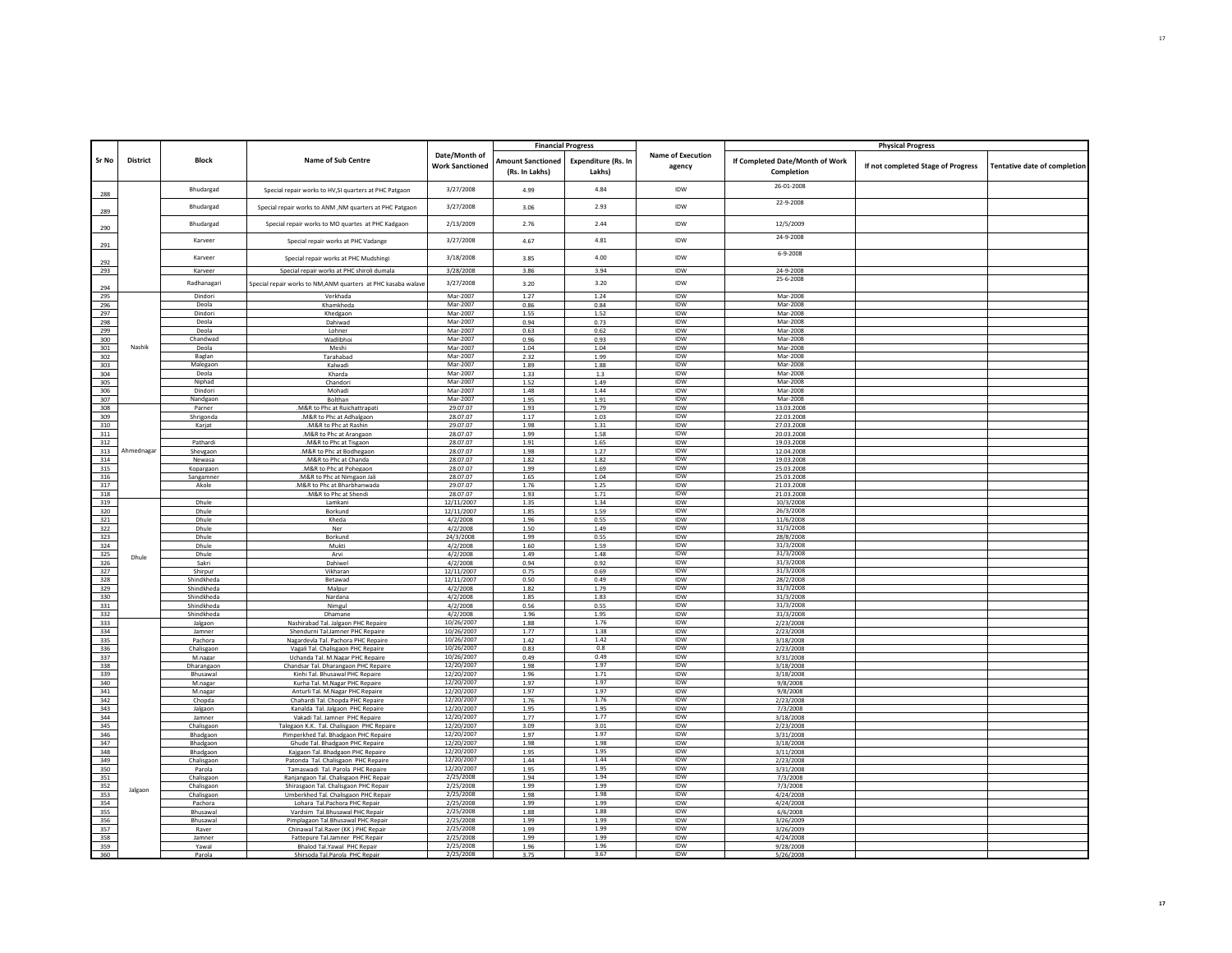|                                 |            |                      |                                                                         |                                         |                                            | <b>Financial Progress</b>            |                                    |                                               | <b>Physical Progress</b>           |                              |
|---------------------------------|------------|----------------------|-------------------------------------------------------------------------|-----------------------------------------|--------------------------------------------|--------------------------------------|------------------------------------|-----------------------------------------------|------------------------------------|------------------------------|
| Sr No                           | District   | <b>Block</b>         | Name of Sub Centre                                                      | Date/Month of<br><b>Work Sanctioned</b> | <b>Amount Sanctioned</b><br>(Rs. In Lakhs) | <b>Expenditure (Rs. In</b><br>Lakhs) | <b>Name of Execution</b><br>agency | If Completed Date/Month of Work<br>Completion | If not completed Stage of Progress | Tentative date of completion |
| 288                             |            | Bhudargad            | Special repair works to HV, SI quarters at PHC Patgaon                  | 3/27/2008                               | 4.99                                       | 4.84                                 | IDW                                | 26-01-2008                                    |                                    |                              |
| 289                             |            | Bhudargad            | Special repair works to ANM .NM quarters at PHC Patgaor                 | 3/27/2008                               | 3.06                                       | 2.93                                 | IDW                                | 22-9-2008                                     |                                    |                              |
| 290                             |            | Bhudargad            | Special repair works to MO quartes at PHC Kadgaon                       | 2/13/2009                               | 2.76                                       | 2.44                                 | IDW                                | 12/5/2009                                     |                                    |                              |
| 291                             |            | Karveer              | Special repair works at PHC Vadange                                     | 3/27/2008                               | 4.67                                       | 4.81                                 | IDW                                | 24-9-2008                                     |                                    |                              |
| 292                             |            | Karveer              | Special repair works at PHC Mudshingi                                   | 3/18/2008                               | 3.85                                       | 4.00                                 | IDW                                | $6 - 9 - 2008$                                |                                    |                              |
| 293                             |            | Karveer              | Special repair works at PHC shiroli dumala                              | 3/28/2008                               | 3.86                                       | 3.94                                 | <b>IDW</b>                         | 24-9-2008<br>25-6-2008                        |                                    |                              |
| 294                             |            | Radhanagari          | Special repair works to NM,ANM quarters at PHC kasaba walave            | 3/27/2008                               | 3.20                                       | 3.20                                 | IDW                                |                                               |                                    |                              |
| 295                             |            | Dindori              | Verkhada                                                                | Mar-2007                                | 1.27                                       | 1.24                                 | IDW                                | Mar-2008                                      |                                    |                              |
| 296                             |            | Deola<br>Dindori     | Khamkheda                                                               | Mar-2007<br>Mar-2007                    | 0.86<br>1.55                               | 0.84<br>1.52                         | IDW<br>IDW                         | Mar-2008<br>Mar-2008                          |                                    |                              |
| 297<br>298                      |            | Deola                | Khedgaon<br>Dahiwad                                                     | Mar-2007                                | 0.94                                       | 0.73                                 | IDW                                | Mar-2008                                      |                                    |                              |
| 299                             |            | Deola                | Lohner                                                                  | Mar-2007                                | 0.63                                       | 0.62                                 | <b>IDW</b>                         | Mar-2008                                      |                                    |                              |
| 300                             |            | Chandwad             | Wadlibhoi                                                               | Mar-2007                                | 0.96                                       | 0.93                                 | IDW                                | Mar-2008                                      |                                    |                              |
| 301                             | Nashik     | Deola                | Meshi                                                                   | Mar-2007                                | 1.04                                       | 1.04                                 | <b>IDW</b>                         | Mar-2008                                      |                                    |                              |
| 302                             |            | Baglan               | Tarahabad                                                               | Mar-2007                                | 2.32                                       | 1.99                                 | IDW                                | Mar-2008                                      |                                    |                              |
| 303                             |            | Malegaon             | Kalwadi                                                                 | Mar-2007                                | 1.89                                       | 1.88                                 | <b>IDW</b>                         | Mar-2008                                      |                                    |                              |
| 304                             |            | Deola                | Kharda                                                                  | Mar-2007                                | 1.33                                       | 1.3                                  | IDW                                | Mar-2008                                      |                                    |                              |
| 305                             |            | Niphad               | Chandori                                                                | Mar-2007                                | 1.52                                       | 1.49                                 | IDW                                | Mar-2008                                      |                                    |                              |
| 306                             |            | Dindori              | Mohadi                                                                  | Mar-2007                                | 1.48                                       | 1.44                                 | <b>IDW</b>                         | Mar-2008                                      |                                    |                              |
| 307                             |            | Nandgaon             | Bolthan                                                                 | Mar-2007                                | 1.95                                       | 1.91                                 | IDW                                | Mar-2008                                      |                                    |                              |
| 308                             |            | Parner               | .M&R to Phc at Ruichattrapati                                           | 29.07.07                                | 1.93                                       | 1.79                                 | <b>IDW</b>                         | 13.03.2008                                    |                                    |                              |
| 309                             |            | Shrigonda            | .M&R to Phc at Adhalgaon                                                | 28.07.07<br>29.07.07                    | 1.17<br>1.98                               | 1.03<br>1.31                         | IDW<br><b>IDW</b>                  | 22.03.2008<br>27.03.2008                      |                                    |                              |
| 310                             |            | Karjat               | M&R to Phc at Rashin<br>.M&R to Phc at Arangaon                         | 28.07.07                                | 1.99                                       | 1.58                                 | IDW                                |                                               |                                    |                              |
| 311<br>312                      |            | Pathardi             | .M&R to Phc at Tisgaon                                                  | 28.07.07                                | 1.91                                       | 1.65                                 | IDW                                | 20.03.2008<br>19.03.2008                      |                                    |                              |
| 313                             | Ahmednagar | Shevgaon             | .M&R to Phc at Bodhegaon                                                | 28.07.07                                | 1.98                                       | 1.27                                 | IDW                                | 12.04.2008                                    |                                    |                              |
| 314                             |            | Newasa               | .M&R to Phc at Chanda                                                   | 28.07.07                                | 1.82                                       | 1.82                                 | IDW                                | 19.03.2008                                    |                                    |                              |
| 315                             |            | Kopargaon            | .M&R to Phc at Pohegaon                                                 | 28.07.07                                | 1.99                                       | 1.69                                 | <b>IDW</b>                         | 25.03.2008                                    |                                    |                              |
| 316                             |            | Sangamner            | M&R to Phc at Nimgaon Jali                                              | 28.07.07                                | 1.65                                       | 1.04                                 | IDW                                | 25.03.2008                                    |                                    |                              |
| 317                             |            | Akole                | .M&R to Phc at Bharbhanwada                                             | 29.07.07                                | 1.76                                       | 1.25                                 | <b>IDW</b>                         | 21.03.2008                                    |                                    |                              |
| 318                             |            |                      | .M&R to Phc at Shendi                                                   | 28.07.07                                | 1.93                                       | 1.71                                 | IDW                                | 21.03.2008                                    |                                    |                              |
| 319                             |            | Dhule                | Lamkani                                                                 | 12/11/2007                              | 1.35                                       | 1.34                                 | IDW                                | 10/3/2008                                     |                                    |                              |
| 320                             |            | Dhule                | Borkund                                                                 | 12/11/2007                              | 1.85                                       | 1.59                                 | <b>IDW</b>                         | 26/3/2008                                     |                                    |                              |
| 321                             |            | Dhule                | Kheda                                                                   | 4/2/2008                                | 1.96                                       | 0.55                                 | IDW<br><b>IDW</b>                  | 11/6/2008                                     |                                    |                              |
| 322                             |            | Dhule                | Ner                                                                     | 4/2/2008                                | 1.50                                       | 1.49                                 | IDW                                | 31/3/2008<br>28/8/2008                        |                                    |                              |
| 323<br>324                      |            | Dhule<br>Dhule       | Borkund<br>Mukti                                                        | 24/3/2008<br>4/2/2008                   | 1.99<br>1.60                               | 0.55<br>1.59                         | IDW                                | 31/3/2008                                     |                                    |                              |
| 325                             |            | Dhule                | Arvi                                                                    | 4/2/2008                                | 1.49                                       | 1.48                                 | IDW                                | 31/3/2008                                     |                                    |                              |
| 326                             | Dhule      | Sakri                | Dahiwel                                                                 | 4/2/2008                                | 0.94                                       | 0.92                                 | IDW                                | 31/3/2008                                     |                                    |                              |
| 327                             |            | Shirpur              | Vikharan                                                                | 12/11/2007                              | 0.75                                       | 0.69                                 | <b>IDW</b>                         | 31/3/2008                                     |                                    |                              |
| 328                             |            | Shindkheda           | Betawad                                                                 | 12/11/2007                              | 0.50                                       | 0.49                                 | IDW                                | 28/2/2008                                     |                                    |                              |
| 329                             |            | Shindkheda           | Malpur                                                                  | 4/2/2008                                | 1.82                                       | 1.79                                 | <b>IDW</b>                         | 31/3/2008                                     |                                    |                              |
| 330                             |            | Shindkheda           | Nardana                                                                 | 4/2/2008                                | 1.85                                       | 1.83                                 | IDW                                | 31/3/2008                                     |                                    |                              |
| 331                             |            | Shindkheda           | Nimgul                                                                  | 4/2/2008                                | 0.56                                       | 0.55                                 | <b>IDW</b>                         | 31/3/2008                                     |                                    |                              |
| 332                             |            | Shindkheda           | Dhamane                                                                 | 4/2/2008                                | 1.96                                       | 1.95                                 | IDW                                | 31/3/2008                                     |                                    |                              |
| 333                             |            | Jalgaon              | Nashirabad Tal. Jalgaon PHC Repaire                                     | 10/26/2007                              | 1.88                                       | 1.76                                 | IDW                                | 2/23/2008                                     |                                    |                              |
| 334<br>335                      |            | Jamner<br>Pachora    | Shendurni Tal.Jamner PHC Repaire<br>Nagardevla Tal, Pachora PHC Repaire | 10/26/2007<br>10/26/2007                | 1.77<br>1.42                               | 1.38<br>1.42                         | <b>IDW</b><br>IDW                  | 2/23/2008<br>3/18/2008                        |                                    |                              |
| 336                             |            | Chalisgaon           | Vagali Tal. Chalisgaon PHC Repaire                                      | 10/26/2007                              | 0.83                                       | 0.8                                  | <b>IDW</b>                         | 2/23/2008                                     |                                    |                              |
| 337                             |            | M.nagar              | Uchanda Tal, M.Nagar PHC Repaire                                        | 10/26/2007                              | 0.49                                       | 0.49                                 | IDW                                | 3/31/2008                                     |                                    |                              |
| 338                             |            | Dharangaon           | Chandsar Tal. Dharangaon PHC Repaire                                    | 12/20/2007                              | 1.98                                       | 1.97                                 | IDW                                | 3/18/2008                                     |                                    |                              |
| 339                             |            | Bhusawal             | Kinhi Tal. Bhusawal PHC Repaire                                         | 12/20/2007                              | 1.96                                       | 1.71                                 | IDW                                | 3/18/2008                                     |                                    |                              |
| 340                             |            | M.nagar              | Kurha Tal. M.Nagar PHC Repaire                                          | 12/20/2007                              | 1.97                                       | 1.97                                 | IDW                                | 9/8/2008                                      |                                    |                              |
| 341                             |            | M.nagar              | Anturli Tal. M.Nagar PHC Repaire                                        | 12/20/2007                              | 1.97                                       | 1.97                                 | <b>IDW</b>                         | 9/8/2008                                      |                                    |                              |
| 342                             |            | Chopda               | Chahardi Tal. Chopda PHC Repaire                                        | 12/20/2007                              | 1.76                                       | 1.76                                 | IDW                                | 2/23/2008                                     |                                    |                              |
| 343                             |            | Jalgaon              | Kanalda Tal. Jalgaon PHC Repaire                                        | 12/20/2007                              | 1.95                                       | 1.95                                 | <b>IDW</b>                         | 7/3/2008                                      |                                    |                              |
| 344                             |            | lamner               | Vakadi Tal. Jamner PHC Repaire                                          | 12/20/2007                              | 1.77                                       | 1.77                                 | IDW                                | 3/18/2008                                     |                                    |                              |
| 345<br>346                      |            | Chalisgaon           | Talegaon K.K. Tal. Chalisgaon PHC Repaire                               | 12/20/2007<br>12/20/2007                | 3.09<br>1.97                               | 3.01<br>1.97                         | IDW<br>IDW                         | 2/23/2008<br>3/31/2008                        |                                    |                              |
| 347                             |            | Bhadgaon<br>Bhadgaon | Pimperkhed Tal, Bhadgaon PHC Repaire<br>Ghude Tal. Bhadgaon PHC Repaire | 12/20/2007                              | 1.98                                       | 1.98                                 | IDW                                | 3/18/2008                                     |                                    |                              |
| 348                             |            | Bhadgaon             | Kajgaon Tal. Bhadgaon PHC Repaire                                       | 12/20/2007                              | 1.95                                       | 1.95                                 | <b>IDW</b>                         | 3/11/2008                                     |                                    |                              |
| 349                             |            | Chalisgaon           | Patonda Tal. Chalisgaon PHC Repaire                                     | 12/20/2007                              | 1.44                                       | 1.44                                 | IDW                                | 2/23/2008                                     |                                    |                              |
| 350                             |            | Parola               | Tamaswadi Tal. Parola PHC Repaire                                       | 12/20/2007                              | 1.95                                       | 1.95                                 | <b>IDW</b>                         | 3/31/2008                                     |                                    |                              |
| 351                             |            | Chalisgaon           | Ranjangaon Tal, Chalisgaon PHC Repai                                    | 2/25/2008                               | 1.94                                       | 1.94                                 | IDW                                | 7/3/2008                                      |                                    |                              |
| 352                             | Jalgaon    | Chalisgaon           | Shirasgaon Tal. Chalisgaon PHC Repair                                   | 2/25/2008                               | 1.99                                       | 1.99                                 | IDW                                | 7/3/2008                                      |                                    |                              |
| 353                             |            | Chalisgaon           | Umberkhed Tal. Chalisgaon PHC Repair                                    | 2/25/2008                               | 1.98                                       | 1.98                                 | IDW                                | 4/24/2008                                     |                                    |                              |
| 354                             |            | Pachora              | Lohara Tal.Pachora PHC Repair                                           | 2/25/2008                               | 1.99                                       | 1.99                                 | IDW                                | 4/24/2008                                     |                                    |                              |
| 355                             |            | Bhusawal             | Vardsim Tal.Bhusawal PHC Repair                                         | 2/25/2008                               | 1.88                                       | 1.88                                 | <b>IDW</b>                         | 6/6/2008                                      |                                    |                              |
| 356                             |            | Bhusawa              | Pimplagaon Tal.Bhusawal PHC Repair                                      | 2/25/2008                               | 1.99                                       | 1.99                                 | IDW                                | 3/26/2009                                     |                                    |                              |
| 357                             |            | Raver                | Chinawal Tal.Raver (KK) PHC Repair                                      | 2/25/2008<br>2/25/2008                  | 1.99<br>1.99                               | 1.99<br>1.99                         | <b>IDW</b><br>IDW                  | 3/26/2009                                     |                                    |                              |
| 358<br>359                      |            | Jamner               | Fattepure Tal.Jamner PHC Repair                                         | 2/25/2008                               |                                            | 1.96                                 | IDW                                | 4/24/2008                                     |                                    |                              |
| $\overline{\phantom{a}}$<br>360 |            | Yawal<br>Parola      | Bhalod Tal.Yawal PHC Repair<br>Shirsoda Tal Parola, PHC Repai           | 2/25/2008                               | 1.96<br>3.75                               | 3.67                                 | IDW                                | 9/28/2008<br>5/26/2008                        |                                    |                              |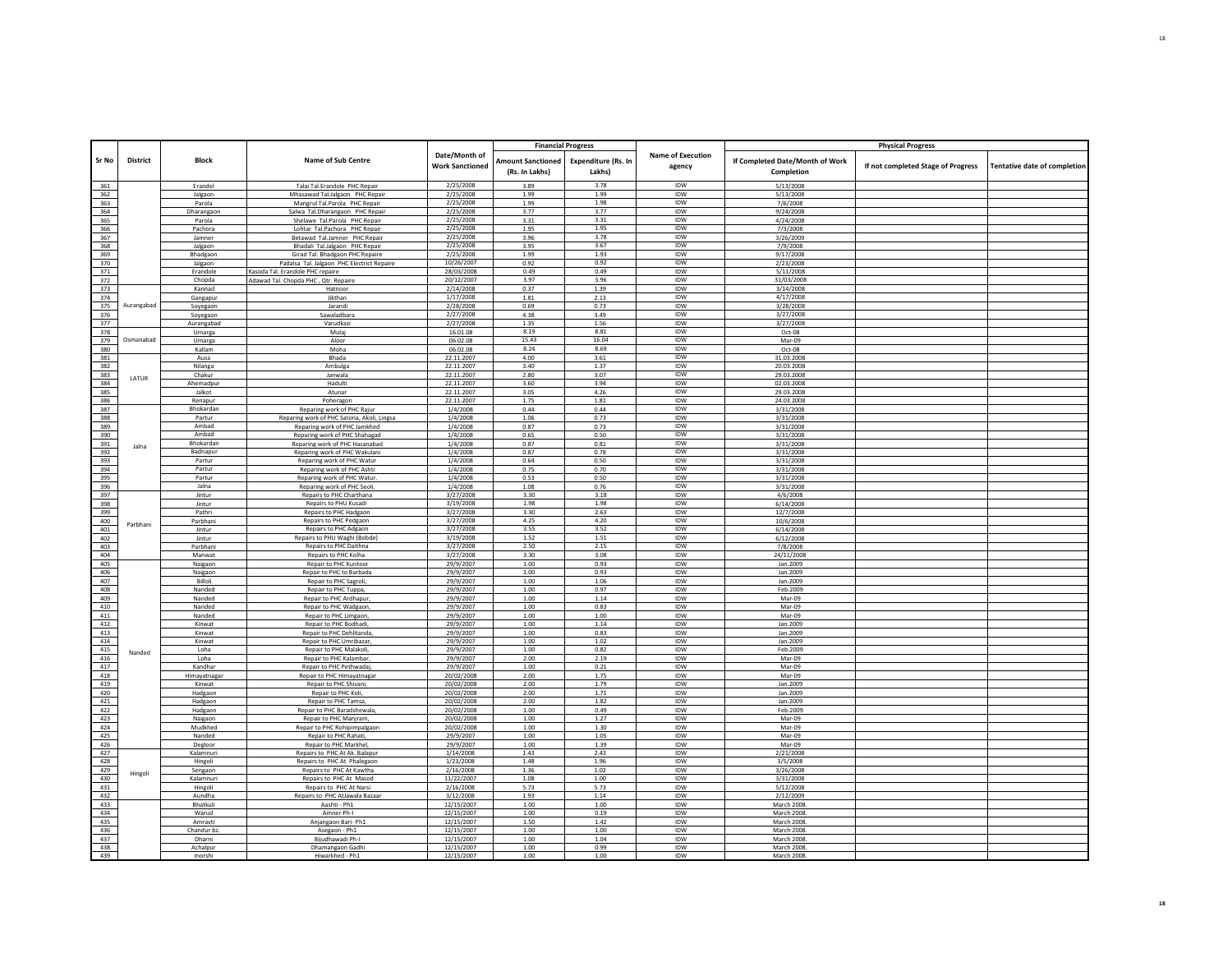|            |            |                      |                                                                   |                                         |                                            | <b>Financial Progress</b>            |                                    |                                               | <b>Physical Progress</b>           |                                     |
|------------|------------|----------------------|-------------------------------------------------------------------|-----------------------------------------|--------------------------------------------|--------------------------------------|------------------------------------|-----------------------------------------------|------------------------------------|-------------------------------------|
| Sr No      | District   | <b>Block</b>         | Name of Sub Centre                                                | Date/Month of<br><b>Work Sanctioned</b> | <b>Amount Sanctioned</b><br>(Rs. In Lakhs) | <b>Expenditure (Rs. In</b><br>Lakhs) | <b>Name of Execution</b><br>agency | If Completed Date/Month of Work<br>Completion | If not completed Stage of Progress | <b>Tentative date of completion</b> |
| 361        |            | Erandol              | Talai Tal.Erandole PHC Repair                                     | 2/25/2008                               | 3.89                                       | 3.78                                 | <b>IDW</b>                         | 5/13/2008                                     |                                    |                                     |
| 362        |            | Jalgaon              | Mhasawad Tal.Jalgaon PHC Repair                                   | 2/25/2008                               | 1.99                                       | 1.99                                 | <b>IDW</b>                         | 5/13/2008                                     |                                    |                                     |
| 363        |            | Parola               | Mangrul Tal.Parola PHC Repair                                     | 2/25/2008                               | 1.99                                       | 1.98                                 | <b>IDW</b>                         | 7/6/2008                                      |                                    |                                     |
| 364        |            | Dharangaon           | Salwa Tal.Dharangaon PHC Repair                                   | 2/25/2008                               | 3.77                                       | 3.77                                 | IDW                                | 9/24/2008                                     |                                    |                                     |
| 365        |            | Parola               | Shelawe Tal, Parola PHC Repair                                    | 2/25/2008                               | 3.31                                       | 3.31                                 | IDW                                | 4/24/2008                                     |                                    |                                     |
| 366        |            | Pachora              | Lohtar Tal.Pachora PHC Repair                                     | 2/25/2008                               | 1.95                                       | 1.95<br>3.78                         | <b>IDW</b><br>IDW                  | 7/3/2008                                      |                                    |                                     |
| 367        |            | Jamner               | Betawad Tal.Jamner PHC Repair                                     | 2/25/2008<br>2/25/2008                  | 3.96                                       | 3.67                                 | <b>IDW</b>                         | 3/26/2009                                     |                                    |                                     |
| 368<br>369 |            | Jalgaon<br>Bhadgaon  | Bhadali Tal.Jalgaon PHC Repair<br>Girad Tal, Bhadgaon PHC Repaire | 2/25/2008                               | 3.95<br>1.99                               | 1.93                                 | IDW                                | 7/9/2008<br>9/17/2008                         |                                    |                                     |
| 370        |            | Jalgaon              | Padalsa Tal. Jalgaon PHC Electrict Repaire                        | 10/26/2007                              | 0.92                                       | 0.92                                 | <b>IDW</b>                         | 2/23/2008                                     |                                    |                                     |
| 371        |            | Erandole             | Kasoda Tal. Erandole PHC repaire                                  | 28/03/2008                              | 0.49                                       | 0.49                                 | IDW                                | 5/11/2008                                     |                                    |                                     |
| 372        |            | Chopda               | Adawad Tal. Chopda PHC, Qtr. Repaire                              | 20/12/2007                              | 3.97                                       | 3.96                                 | IDW                                | 31/03/2008                                    |                                    |                                     |
| 373        |            | Kannad               | Hatnoor                                                           | 2/14/2008                               | 0.37                                       | 1.39                                 | <b>IDW</b>                         | 3/14/2008                                     |                                    |                                     |
| 374        |            | Gangapur             | Jikthan                                                           | 1/17/2008                               | 1.81                                       | 2.13                                 | IDW                                | 4/17/2008                                     |                                    |                                     |
| 375        | Aurangabad | Soyegaon             | Jarandi                                                           | 2/28/2008                               | 0.69                                       | 0.73                                 | <b>IDW</b>                         | 3/28/2008                                     |                                    |                                     |
| 376        |            | Soyegaon             | Sawaladbara                                                       | 2/27/2008                               | 4.38                                       | 3.49                                 | IDW                                | 3/27/2008                                     |                                    |                                     |
| 377        |            | Aurangabad           | Varudkazi                                                         | 2/27/2008                               | 1.35                                       | 1.56                                 | <b>IDW</b>                         | 3/27/2008                                     |                                    |                                     |
| 378        |            | Umarga               | Mulai                                                             | 16.01.08                                | 8.19                                       | 8.81                                 | IDW                                | Oct-08                                        |                                    |                                     |
| 379        | Osmanabad  | Umarga               | Aloor                                                             | 06.02.08                                | 15.43                                      | 16.04                                | <b>IDW</b>                         | Mar-09                                        |                                    |                                     |
| 380        |            | Kallam               | Moha                                                              | 06.02.08                                | 8.24                                       | 8.69                                 | <b>IDW</b>                         | Oct-08                                        |                                    |                                     |
| 381        |            | Ausa                 | Bhada                                                             | 22.11.2007                              | 4.00                                       | 3.61                                 | IDW<br><b>IDW</b>                  | 31.03.2008                                    |                                    |                                     |
| 382        |            | Nilanga              | Ambulga                                                           | 22.11.2007                              | 3.40                                       | 1.37                                 |                                    | 20.03.2008                                    |                                    |                                     |
| 383        | LATUR      | Chakur               | Janwala                                                           | 22.11.2007                              | 2.80                                       | 3.07                                 | <b>IDW</b><br><b>IDW</b>           | 29.03.2008                                    |                                    |                                     |
| 384<br>385 |            | Ahemadpur<br>Jalkot  | Hadulti<br>Atunar                                                 | 22.11.2007<br>22.11.2007                | 3.60<br>3.05                               | 3.94<br>4.26                         | IDW                                | 02.03.2008<br>29.03.2008                      |                                    |                                     |
| 386        |            | Renapur              | Poheragon                                                         | 22.11.2007                              | 1.75                                       | 1.81                                 | <b>IDW</b>                         | 24.03.2008                                    |                                    |                                     |
| 387        |            | Bhokardan            | Reparing work of PHC Rajur                                        | 1/4/2008                                | 0.44                                       | 0.44                                 | IDW                                | 3/31/2008                                     |                                    |                                     |
| 388        |            | Partur               | Reparing work of PHC Satona, Akoli, Lingsa                        | 1/4/2008                                | 1.06                                       | 0.73                                 | <b>IDW</b>                         | 3/31/2008                                     |                                    |                                     |
| 389        |            | Ambad                | Reparing work of PHC Jamkhed                                      | 1/4/2008                                | 0.87                                       | 0.73                                 | IDW                                | 3/31/2008                                     |                                    |                                     |
| 390        |            | Ambad                | Reparing work of PHC Shahagad                                     | 1/4/2008                                | 0.65                                       | 0.50                                 | IDW                                | 3/31/2008                                     |                                    |                                     |
| 391        | Jalna      | Bhokardan            | Reparing work of PHC Hasanabad                                    | 1/4/2008                                | 0.87                                       | 0.81                                 | <b>IDW</b>                         | 3/31/2008                                     |                                    |                                     |
| 392        |            | Badnapur             | Reparing work of PHC Wakulani                                     | 1/4/2008                                | 0.87                                       | 0.78                                 | IDW                                | 3/31/2008                                     |                                    |                                     |
| 393        |            | Partur               | Reparing work of PHC Watur                                        | 1/4/2008                                | 0.64                                       | 0.50                                 | <b>IDW</b>                         | 3/31/2008                                     |                                    |                                     |
| 394        |            | Partur               | Reparing work of PHC Ashti                                        | 1/4/2008                                | 0.75                                       | 0.70                                 | IDW                                | 3/31/2008                                     |                                    |                                     |
| 395        |            | Partur               | Reparing work of PHC Watur                                        | 1/4/2008                                | 0.53                                       | 0.50                                 | IDW                                | 3/31/2008                                     |                                    |                                     |
| 396        |            | Jalna                | Reparing work of PHC Seoli.                                       | 1/4/2008                                | 1.08                                       | 0.76                                 | IDW                                | 3/31/2008                                     |                                    |                                     |
| 397        |            | Jintur               | Repairs to PHC Charthana<br><b>Renairs to PHU Kusadi</b>          | 3/27/2008<br>3/19/2008                  | 3.30<br>1.98                               | 3.18<br>1.98                         | IDW<br><b>IDW</b>                  | 4/6/2008                                      |                                    |                                     |
| 398<br>399 |            | lintur<br>Pathri     | Repairs to PHC Hadgaon                                            | 3/27/2008                               | 3.30                                       | 2.63                                 | IDW                                | 6/14/2008                                     |                                    |                                     |
| 400        |            | Parbhani             | Repairs to PHC Pedgaon                                            | 3/27/2008                               | 4.25                                       | 4.20                                 | <b>IDW</b>                         | 12/7/2008<br>10/6/2008                        |                                    |                                     |
| 401        | Parbhani   | Jintur               | Repairs to PHC Adgaon                                             | 3/27/2008                               | 3.55                                       | 3.52                                 | <b>IDW</b>                         | 6/14/2008                                     |                                    |                                     |
| 402        |            | Jintur               | Repairs to PHU Waghi (Bobde)                                      | 3/19/2008                               | 1.52                                       | 1.51                                 | <b>IDW</b>                         | 6/12/2008                                     |                                    |                                     |
| 403        |            | Parbhani             | Repairs to PHC Daithna                                            | 3/27/2008                               | 2.50                                       | 2.15                                 | IDW                                | 7/8/2008                                      |                                    |                                     |
| 404        |            | Manwat               | Repairs to PHC Kolha                                              | 3/27/2008                               | 3.30                                       | 3.08                                 | <b>IDW</b>                         | 24/11/2008                                    |                                    |                                     |
| 405        |            | Naigaon              | Repair to PHC Kuntoor                                             | 29/9/2007                               | 1.00                                       | 0.93                                 | IDW                                | Jan.2009                                      |                                    |                                     |
| 406        |            | Naigaon              | Repair to PHC to Barbada                                          | 29/9/2007                               | 1.00                                       | 0.93                                 | IDW                                | Jan.2009                                      |                                    |                                     |
| 407        |            | Billoli              | Repair to PHC Sagroli,                                            | 29/9/2007                               | 1.00                                       | 1.06                                 | <b>IDW</b>                         | Jan.2009                                      |                                    |                                     |
| 408        |            | Nanded               | Repair to PHC Tuppa,                                              | 29/9/2007                               | 1.00                                       | 0.97                                 | IDW                                | Feb.2009                                      |                                    |                                     |
| 409        |            | Nanded               | Repair to PHC Ardhapur                                            | 29/9/2007                               | 1.00                                       | 1.14                                 | IDW                                | Mar-09                                        |                                    |                                     |
| 410        |            | Nanded               | Repair to PHC Wadgaon                                             | 29/9/2007                               | 1.00                                       | 0.83                                 | IDW                                | Mar-09                                        |                                    |                                     |
| 411        |            | Nanded               | Repair to PHC Limgaon,                                            | 29/9/2007                               | 1.00                                       | 1.00                                 | IDW                                | Mar-09                                        |                                    |                                     |
| 412        |            | Kinwat               | Repair to PHC Bodhad                                              | 29/9/2007                               | 1.00                                       | 1.14                                 | IDW                                | Jan.2009                                      |                                    |                                     |
| 413<br>414 |            | Kinwat<br>Kinwat     | Repair to PHC Dehlitanda                                          | 29/9/2007                               | 1.00<br>1.00                               | 0.83<br>1.02                         | IDW<br><b>IDW</b>                  | Jan.2009                                      |                                    |                                     |
| 415        |            | Loha                 | Repair to PHC Umribazar<br>Repair to PHC Malakoli,                | 29/9/2007<br>29/9/2007                  | 1.00                                       | 0.82                                 | IDW                                | Jan.2009<br>Feb.2009                          |                                    |                                     |
| 416        | Nanded     | Loha                 | Repair to PHC Kalambar                                            | 29/9/2007                               | 2.00                                       | 2.19                                 | <b>IDW</b>                         | Mar-09                                        |                                    |                                     |
| 417        |            | Kandhar              | Repair to PHC Pethwadaj                                           | 29/9/2007                               | 1.00                                       | 0.21                                 | IDW                                | Mar-09                                        |                                    |                                     |
| 418        |            | Himayatnagar         | Repair to PHC Himayatnagar                                        | 20/02/2008                              | 2.00                                       | 1.75                                 | <b>IDW</b>                         | Mar-09                                        |                                    |                                     |
| 419        |            | Kinwat               | Repair to PHC Shivani                                             | 20/02/2008                              | 2.00                                       | 1.79                                 | IDW                                | Jan.2009                                      |                                    |                                     |
| 420        |            | Hadgaon              | Repair to PHC Koli,                                               | 20/02/2008                              | 2.00                                       | 1.71                                 | IDW                                | Jan.2009                                      |                                    |                                     |
| 421        |            | Hadgaon              | Repair to PHC Tamsa                                               | 20/02/2008                              | 2.00                                       | 1.82                                 | <b>IDW</b>                         | Jan.2009                                      |                                    |                                     |
| 422        |            | Hadgaon              | Repair to PHC Baradshewala                                        | 20/02/2008                              | 1.00                                       | 0.49                                 | IDW                                | Feb.2009                                      |                                    |                                     |
| 423        |            | Naigaon              | Repair to PHC Manjram                                             | 20/02/2008                              | 1.00                                       | 1.27                                 | <b>IDW</b>                         | Mar-09                                        |                                    |                                     |
| 424        |            | Mudkhed              | Repair to PHC Rohipimpalgaon                                      | 20/02/2008                              | 1.00                                       | 1.30                                 | IDW                                | Mar-09                                        |                                    |                                     |
| 425        |            | Nanded               | Repair to PHC Rahati                                              | 29/9/2007                               | 1.00                                       | 1.05                                 | <b>IDW</b>                         | Mar-09                                        |                                    |                                     |
| 426        |            | Degloor              | Repair to PHC Markhel                                             | 29/9/2007                               | 1.00                                       | 1.39                                 | IDW                                | Mar-09                                        |                                    |                                     |
| 427        |            | Kalamnuri            | Repairs to PHC At Ak. Balapu                                      | 1/14/2008                               | 1.43                                       | 2.43                                 | IDW                                | 2/21/2008                                     |                                    |                                     |
| 428        |            | Hingoli              | Repairs to PHC At Phalegaon                                       | 1/23/2008                               | 1.48                                       | 1.96                                 | IDW                                | 3/5/2008                                      |                                    |                                     |
| 429<br>430 | Hingoli    | Sengaon              | Repairs to PHC At Kawtha                                          | 2/16/2008                               | 1.36                                       | 1.02                                 | IDW<br>IDW                         | 3/26/2008                                     |                                    |                                     |
| 431        |            | Kalamnuri<br>Hingoli | Repairs to PHC At Masod<br>Repairs to PHC At Narsi                | 11/22/2007<br>2/16/2008                 | 1.08<br>5.73                               | 1.00<br>5.73                         | IDW                                | 3/31/2008<br>5/12/2008                        |                                    |                                     |
| 432        |            | Aundha               | Repairs to PHC AtJawala Bazaar                                    | 3/12/2008                               | 1.93                                       | 1.14                                 | <b>IDW</b>                         | 2/12/2009                                     |                                    |                                     |
| 433        |            | Bhatkuli             | Aashti - Ph1                                                      | 12/15/2007                              | 1.00                                       | 1.00                                 | IDW                                | March 2008.                                   |                                    |                                     |
| 434        |            | Warud                | Amner Ph-I                                                        | 12/15/2007                              | 1.00                                       | 0.19                                 | IDW                                | March 2008.                                   |                                    |                                     |
| 435        |            | Amravti              | Aniangaon Bari- Ph1                                               | 12/15/2007                              | 1.50                                       | 1.42                                 | IDW                                | March 2008                                    |                                    |                                     |
| 436        |            | Chandur ba           | Asegaon - Ph1                                                     | 12/15/2007                              | 1.00                                       | 1.00                                 | IDW                                | March 2008                                    |                                    |                                     |
| 437        |            | Dharni               | Bijudhawadi Ph-I                                                  | 12/15/2007                              | 1.00                                       | 1.04                                 | <b>IDW</b>                         | March 2008                                    |                                    |                                     |
| 438        |            | Achalpur             | Dhamangaon Gadhi                                                  | 12/15/2007                              | 1.00                                       | 0.99                                 | IDW                                | March 2008.                                   |                                    |                                     |
| Г<br>439   |            | morshi               | Hiwarkhed - Ph1                                                   | 12/15/2007                              | 1.00                                       | 1.00                                 | <b>IDW</b>                         | <b>March 2008</b>                             |                                    |                                     |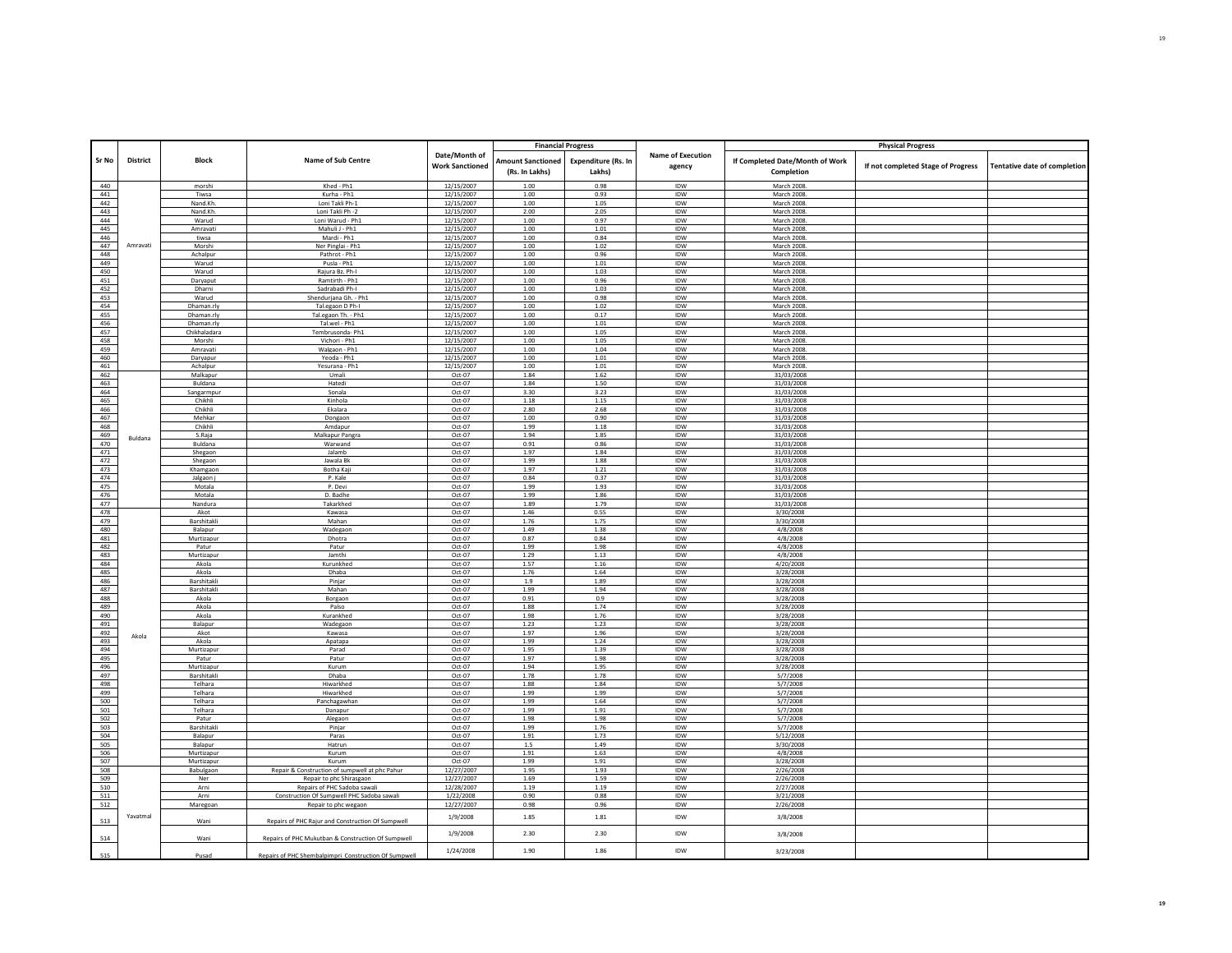|            |                 |                      |                                                                            |                                         | <b>Financial Progress</b>                  |                                      |                                    |                                               | <b>Physical Progress</b>           |                              |
|------------|-----------------|----------------------|----------------------------------------------------------------------------|-----------------------------------------|--------------------------------------------|--------------------------------------|------------------------------------|-----------------------------------------------|------------------------------------|------------------------------|
| Sr No      | <b>District</b> | <b>Block</b>         | Name of Sub Centre                                                         | Date/Month of<br><b>Work Sanctioned</b> | <b>Amount Sanctioned</b><br>(Rs. In Lakhs) | <b>Expenditure (Rs. In</b><br>Lakhs) | <b>Name of Execution</b><br>agency | If Completed Date/Month of Work<br>Completion | If not completed Stage of Progress | Tentative date of completion |
| 440        |                 | morshi               | Khed - Ph1                                                                 | 12/15/2007                              | 1.00                                       | 0.98                                 | IDW                                | March 2008.                                   |                                    |                              |
| 441        |                 | Tiwsa                | Kurha - Ph1                                                                | 12/15/2007                              | 1.00                                       | 0.93                                 | <b>IDW</b>                         | March 2008                                    |                                    |                              |
| 442        |                 | Nand.Kh.             | Loni Takli Ph-1                                                            | 12/15/2007                              | 1.00                                       | 1.05                                 | IDW                                | March 2008.                                   |                                    |                              |
| 443        |                 | Nand Kh              | Loni Takli Ph -2                                                           | 12/15/2007                              | 2.00                                       | 2.05                                 | IDW                                | March 2008                                    |                                    |                              |
| 444        |                 | Warud                | Loni Warud - Ph1                                                           | 12/15/2007                              | 1.00                                       | 0.97                                 | IDW                                | March 2008                                    |                                    |                              |
| 445<br>446 |                 | Amravati<br>tiwsa    | Mahuli J - Ph1<br>Mardi - Ph1                                              | 12/15/2007                              | 1.00<br>1.00                               | 1.01<br>0.84                         | IDW<br>IDW                         | March 2008.<br>March 2008                     |                                    |                              |
| 447        | Amravati        | Morshi               | Ner Pinglai - Ph1                                                          | 12/15/2007<br>12/15/2007                | 1.00                                       | 1.02                                 | IDW                                | March 2008                                    |                                    |                              |
| 448        |                 | Achalpur             | Pathrot - Ph1                                                              | 12/15/2007                              | 1.00                                       | 0.96                                 | IDW                                | March 2008.                                   |                                    |                              |
| 449        |                 | Warud                | Pusla - Ph1                                                                | 12/15/2007                              | 1.00                                       | $1.01\,$                             | IDW                                | March 2008.                                   |                                    |                              |
| 450        |                 | Warud                | Raiura Bz, Ph-I                                                            | 12/15/2007                              | 1.00                                       | 1.03                                 | <b>IDW</b>                         | <b>March 2008</b>                             |                                    |                              |
| 451        |                 | Daryaput             | Ramtirth - Ph1                                                             | 12/15/2007                              | 1.00                                       | 0.96                                 | IDW                                | March 2008.                                   |                                    |                              |
| 452<br>453 |                 | Dharni<br>Warud      | Sadrabadi Ph-I<br>Shendurjana Gh. - Ph1                                    | 12/15/2007<br>12/15/2007                | 1.00<br>1.00                               | 1.03<br>0.98                         | IDW<br>IDW                         | March 2008.<br>March 2008.                    |                                    |                              |
| 454        |                 | Dhaman.rly           | Tal.egaon D Ph-I                                                           | 12/15/2007                              | 1.00                                       | 1.02                                 | IDW                                | March 2008.                                   |                                    |                              |
| 455        |                 | Dhaman.rly           | Tal.egaon Th. - Ph1                                                        | 12/15/2007                              | 1.00                                       | 0.17                                 | IDW                                | March 2008                                    |                                    |                              |
| 456        |                 | Dhaman.rly           | Tal.wel - Ph1                                                              | 12/15/2007                              | 1.00                                       | 1.01                                 | IDW                                | March 2008.                                   |                                    |                              |
| 457        |                 | Chikhaladara         | Tembrusonda- Ph1                                                           | 12/15/2007                              | 1.00                                       | 1.05                                 | IDW                                | March 2008                                    |                                    |                              |
| 458        |                 | Morshi               | Vichori - Ph1                                                              | 12/15/2007                              | 1.00                                       | 1.05                                 | IDW                                | March 2008.                                   |                                    |                              |
| 459        |                 | Amravati             | Walgaon - Ph1                                                              | 12/15/2007                              | 1.00                                       | 1.04                                 | <b>IDW</b>                         | March 2008                                    |                                    |                              |
| 460        |                 | Daryapur             | Yeoda - Ph1                                                                | 12/15/2007                              | 1.00                                       | 1.01                                 | IDW                                | March 2008.                                   |                                    |                              |
| 461<br>462 |                 | Achalpur<br>Malkapur | Yesurana - Ph1<br>Umali                                                    | 12/15/2007<br>Oct-07                    | 1.00<br>1.84                               | 1.01<br>1.62                         | IDW<br><b>IDW</b>                  | March 2008.<br>31/03/2008                     |                                    |                              |
| 463        |                 | Buldana              | Hatedi                                                                     | Oct-07                                  | 1.84                                       | 1.50                                 | IDW                                | 31/03/2008                                    |                                    |                              |
| 464        |                 | Sangarmpur           | Sonala                                                                     | Oct-07                                  | 3.30                                       | 3.23                                 | IDW                                | 31/03/2008                                    |                                    |                              |
| 465        |                 | Chikhli              | Kinhola                                                                    | Oct-07                                  | $1.18\,$                                   | $1.15\,$                             | IDW                                | 31/03/2008                                    |                                    |                              |
| 466        |                 | Chikhli              | Ekalara                                                                    | Oct-07                                  | 2.80                                       | 2.68                                 | IDW                                | 31/03/2008                                    |                                    |                              |
| 467        |                 | Mehkar               | Dongaon                                                                    | Oct-07                                  | 1.00                                       | 0.90                                 | IDW                                | 31/03/2008                                    |                                    |                              |
| 468        |                 | Chikhli              | Amdapur                                                                    | Oct-07                                  | 1.99                                       | $1.18\,$                             | <b>IDW</b>                         | 31/03/2008                                    |                                    |                              |
| 469        | Buldana         | S.Raia               | Malkapur Pangra                                                            | Oct-07                                  | 1.94                                       | 1.85                                 | IDW                                | 31/03/2008                                    |                                    |                              |
| 470<br>471 |                 | Buldana<br>Shegaon   | Warwand<br>Jalamb                                                          | Oct-07<br>Oct-07                        | 0.91<br>1.97                               | 0.86<br>1.84                         | IDW<br>IDW                         | 31/03/2008<br>31/03/2008                      |                                    |                              |
| 472        |                 | Shegaon              | Jawala Bk                                                                  | $Oct-07$                                | 1.99                                       | 1.88                                 | IDW                                | 31/03/2008                                    |                                    |                              |
| 473        |                 | Khamgaon             | Botha Kaj                                                                  | Oct-07                                  | 1.97                                       | 1.21                                 | IDW                                | 31/03/2008                                    |                                    |                              |
| 474        |                 | Jalgaon j            | P. Kale                                                                    | Oct-07                                  | 0.84                                       | 0.37                                 | IDW                                | 31/03/2008                                    |                                    |                              |
| 475        |                 | Motala               | P. Devi                                                                    | Oct-07                                  | 1.99                                       | 1.93                                 | IDW                                | 31/03/2008                                    |                                    |                              |
| 476        |                 | Motala               | D. Badhe                                                                   | Oct-07                                  | 1.99                                       | 1.86                                 | IDW                                | 31/03/2008                                    |                                    |                              |
| 477<br>478 |                 | Nandura<br>Akot      | Takarkhed<br>Kawasa                                                        | Oct-07<br>Oct-07                        | 1.89<br>1.46                               | 1.79<br>0.55                         | IDW<br>IDW                         | 31/03/2008<br>3/30/2008                       |                                    |                              |
| 479        |                 | Barshitakli          | Mahan                                                                      | Oct-07                                  | 1.76                                       | 1.75                                 | IDW                                | 3/30/2008                                     |                                    |                              |
| 480        |                 | Balapur              | Wadegaon                                                                   | $Oct-07$                                | 1.49                                       | 1.38                                 | IDW                                | 4/8/2008                                      |                                    |                              |
| 481        |                 | Murtizapur           | Dhotra                                                                     | Oct-07                                  | 0.87                                       | 0.84                                 | IDW                                | 4/8/2008                                      |                                    |                              |
| 482        |                 | Patur                | Patur                                                                      | $Oct-07$                                | 1.99                                       | 1.98                                 | <b>IDW</b>                         | 4/8/2008                                      |                                    |                              |
| 483        |                 | Murtizapur           | Jamthi                                                                     | Oct-07                                  | 1.29                                       | 1.13                                 | IDW                                | 4/8/2008                                      |                                    |                              |
| 484<br>485 |                 | Akola                | Kurunkhed                                                                  | Oct-07                                  | 1.57                                       | 1.16                                 | <b>IDW</b>                         | 4/20/2008                                     |                                    |                              |
| 486        |                 | Akola<br>Barshitakli | Dhaba<br>Pinjar                                                            | Oct-07<br>Oct-07                        | 1.76<br>1.9                                | 1.64<br>1.89                         | IDW<br>IDW                         | 3/28/2008<br>3/28/2008                        |                                    |                              |
| 487        |                 | Barshitakli          | Mahan                                                                      | Oct-07                                  | 1.99                                       | 1.94                                 | IDW                                | 3/28/2008                                     |                                    |                              |
| 488        |                 | Akola                | Borgaon                                                                    | Oct-07                                  | 0.91                                       | 0.9                                  | IDW                                | 3/28/2008                                     |                                    |                              |
| 489        |                 | Akola                | Palso                                                                      | Oct-07                                  | 1.88                                       | 1.74                                 | <b>IDW</b>                         | 3/28/2008                                     |                                    |                              |
| 490        |                 | Akola                | Kurankhed                                                                  | Oct-07                                  | 1.98                                       | 1.76                                 | IDW                                | 3/28/2008                                     |                                    |                              |
| 491        |                 | Balapur              | Wadegaon                                                                   | Oct-07                                  | 1.23                                       | 1.23                                 | IDW                                | 3/28/2008                                     |                                    |                              |
| 492<br>493 | Akola           | Akot<br>Akola        | Kawasa                                                                     | Oct-07<br>Oct-07                        | 1.97<br>1.99                               | 1.96                                 | IDW<br>IDW                         | 3/28/2008                                     |                                    |                              |
| 494        |                 | Murtizapur           | Apatapa<br>Parad                                                           | Oct-07                                  | 1.95                                       | 1.24<br>1.39                         | IDW                                | 3/28/2008<br>3/28/2008                        |                                    |                              |
| 495        |                 | Patur                | Patur                                                                      | Oct-07                                  | 1.97                                       | 1.98                                 | IDW                                | 3/28/2008                                     |                                    |                              |
| 496        |                 | Murtizapu            | Kurum                                                                      | Oct-07                                  | 1.94                                       | 1.95                                 | IDW                                | 3/28/2008                                     |                                    |                              |
| 497        |                 | Barshitakli          | Dhaba                                                                      | Oct-07                                  | 1.78                                       | 1.78                                 | IDW                                | 5/7/2008                                      |                                    |                              |
| 498        |                 | Telhara              | Hiwarkhed                                                                  | Oct-07                                  | 1.88                                       | 1.84                                 | IDW                                | 5/7/2008                                      |                                    |                              |
| 499        |                 | Telhara              | Hiwarkhed                                                                  | Oct-07                                  | 1.99                                       | 1.99                                 | IDW<br><b>IDW</b>                  | 5/7/2008                                      |                                    |                              |
| 500<br>501 |                 | Telhara<br>Telhara   | Panchagawhan<br>Danapur                                                    | Oct-07<br>Oct-07                        | 1.99<br>1.99                               | 1.64<br>1.91                         | IDW                                | 5/7/2008<br>5/7/2008                          |                                    |                              |
| 502        |                 | Patur                | Alegaon                                                                    | Oct-07                                  | 1.98                                       | 1.98                                 | IDW                                | 5/7/2008                                      |                                    |                              |
| 503        |                 | Barshitakli          | Piniar                                                                     | Oct-07                                  | 1.99                                       | 1.76                                 | IDW                                | 5/7/2008                                      |                                    |                              |
| 504        |                 | Balapur              | Paras                                                                      | Oct-07                                  | 1.91                                       | 1.73                                 | IDW                                | 5/12/2008                                     |                                    |                              |
| 505        |                 | Balapur              | Hatrun                                                                     | Oct-07                                  | 1.5                                        | 1.49                                 | <b>IDW</b>                         | 3/30/2008                                     |                                    |                              |
| 506        |                 | Murtizapur           | Kurum                                                                      | Oct-07                                  | 1.91                                       | 1.63                                 | IDW                                | 4/8/2008                                      |                                    |                              |
| 507        |                 | Murtizanur           | Kurum                                                                      | $Oct-07$                                | 1.99                                       | 1.91                                 | <b>IDW</b>                         | 3/28/2008                                     |                                    |                              |
| 508<br>509 |                 | Babulgaon<br>Ner     | Repair & Construction of sumpwell at phc Pahur<br>Repair to phc Shirasgaon | 12/27/2007<br>12/27/2007                | 1.95<br>1.69                               | 1.93<br>1.59                         | IDW<br><b>IDW</b>                  | 2/26/2008<br>2/26/2008                        |                                    |                              |
| 510        |                 | Arni                 | Repairs of PHC Sadoba sawal                                                | 12/28/2007                              | 1.19                                       | 1.19                                 | IDW                                | 2/27/2008                                     |                                    |                              |
| 511        |                 | Arni                 | Construction Of Sumpwell PHC Sadoba sawali                                 | 1/22/2008                               | 0.90                                       | 0.88                                 | IDW                                | 3/21/2008                                     |                                    |                              |
| 512        |                 | Maregoan             | Repair to phc wegaon                                                       | 12/27/2007                              | 0.98                                       | 0.96                                 | IDW                                | 2/26/2008                                     |                                    |                              |
| 513        | Yavatmal        | Wani                 | Repairs of PHC Rajur and Construction Of Sumpwell                          | 1/9/2008                                | 1.85                                       | 1.81                                 | <b>IDW</b>                         | 3/8/2008                                      |                                    |                              |
| 514        |                 | Wani                 | Repairs of PHC Mukutban & Construction Of Sumpwell                         | 1/9/2008                                | 2.30                                       | 2.30                                 | <b>IDW</b>                         | 3/8/2008                                      |                                    |                              |
| 515        |                 | Pusad                | Repairs of PHC Shembalpimpri Construction Of Sumpwell                      | 1/24/2008                               | 1.90                                       | 1.86                                 | <b>IDW</b>                         | 3/23/2008                                     |                                    |                              |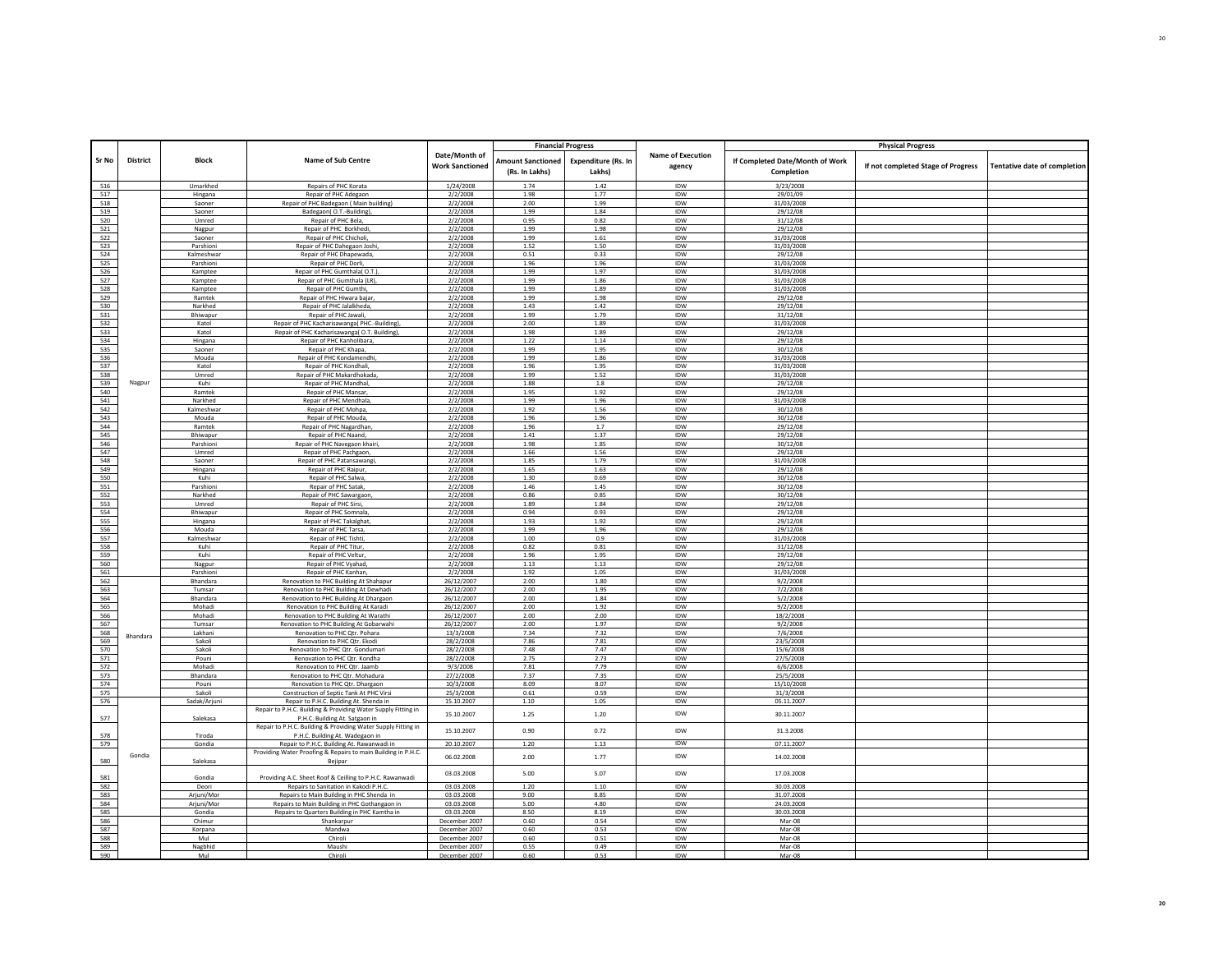| <b>Sr No</b> | <b>District</b> | <b>Block</b>      | Name of Sub Centre                                                       | Date/Month of<br><b>Work Sanctioned</b> | <b>Amount Sanctioned</b><br>(Rs. In Lakhs) | <b>Financial Progress</b><br><b>Expenditure (Rs. In</b><br>Lakhs) | Name of Execution<br>agency | If Completed Date/Month of Work<br>Completion | <b>Physical Progress</b><br>If not completed Stage of Progress | <b>Tentative date of completion</b> |
|--------------|-----------------|-------------------|--------------------------------------------------------------------------|-----------------------------------------|--------------------------------------------|-------------------------------------------------------------------|-----------------------------|-----------------------------------------------|----------------------------------------------------------------|-------------------------------------|
|              |                 |                   |                                                                          |                                         | 1.74                                       |                                                                   |                             | 3/23/2008                                     |                                                                |                                     |
| 516<br>517   |                 | Umarkhed          | Repairs of PHC Korata<br>Repair of PHC Adegaon                           | 1/24/2008<br>2/2/2008                   | 1.98                                       | 1.42<br>1.77                                                      | IDW<br>IDW                  | 29/01/09                                      |                                                                |                                     |
| 518          |                 | Hingana<br>Saoner | Repair of PHC Badegaon ( Main building)                                  | 2/2/2008                                | 2.00                                       | 1.99                                                              | IDW                         | 31/03/2008                                    |                                                                |                                     |
| 519          |                 | Saoner            | Badegaon(O.T.-Building)                                                  | 2/2/2008                                | 1.99                                       | 1.84                                                              | IDW                         | 29/12/08                                      |                                                                |                                     |
| 520          |                 | Umred             | Repair of PHC Bela                                                       | 2/2/2008                                | 0.95                                       | 0.82                                                              | <b>IDW</b>                  | 31/12/08                                      |                                                                |                                     |
| 521          |                 | Nagpur            | Repair of PHC Borkhedi,                                                  | 2/2/2008                                | 1.99                                       | 1.98                                                              | IDW                         | 29/12/08                                      |                                                                |                                     |
| 522          |                 | Saoner            | Repair of PHC Chicholi                                                   | 2/2/2008                                | 1.99                                       | 1.61                                                              | <b>IDW</b>                  | 31/03/2008                                    |                                                                |                                     |
| 523          |                 | Parshioni         | Repair of PHC Dahegaon Josh                                              | 2/2/2008                                | 1.52                                       | 1.50                                                              | IDW                         | 31/03/2008                                    |                                                                |                                     |
| 524          |                 | Kalmeshwar        | Repair of PHC Dhapewada                                                  | 2/2/2008                                | 0.51                                       | 0.33                                                              | IDW                         | 29/12/08                                      |                                                                |                                     |
| 525          |                 | Parshioni         | Repair of PHC Dorli,                                                     | 2/2/2008                                | 1.96                                       | 1.96                                                              | IDW                         | 31/03/2008                                    |                                                                |                                     |
| 526          |                 | Kamptee           | Repair of PHC Gumthala(O.T.)                                             | 2/2/2008                                | 1.99                                       | 1.97                                                              | <b>IDW</b>                  | 31/03/2008                                    |                                                                |                                     |
| 527          |                 | Kamptee           | Repair of PHC Gumthala (LR),                                             | 2/2/2008                                | 1.99                                       | 1.86                                                              | IDW                         | 31/03/2008                                    |                                                                |                                     |
| 528<br>529   |                 | Kamptee           | Repair of PHC Gumthi.                                                    | 2/2/2008<br>2/2/2008                    | 1.99<br>1.99                               | 1.89<br>1.98                                                      | IDW                         | 31/03/2008<br>29/12/08                        |                                                                |                                     |
|              |                 | Ramtek            | Repair of PHC Hiwara bajar                                               |                                         | 1.43                                       | 1.42                                                              | <b>IDW</b><br>IDW           |                                               |                                                                |                                     |
| 530          |                 | Narkhed           | Repair of PHC Jalalkheda,                                                | 2/2/2008                                |                                            |                                                                   | <b>IDW</b>                  | 29/12/08                                      |                                                                |                                     |
| 531<br>532   |                 | Bhiwapur<br>Katol | Repair of PHC Jawali<br>Repair of PHC Kacharisawanga( PHC .- Building)   | 2/2/2008<br>2/2/2008                    | 1.99<br>2.00                               | 1.79<br>1.89                                                      | IDW                         | 31/12/08<br>31/03/2008                        |                                                                |                                     |
| 533          |                 | Katol             | Repair of PHC Kacharisawanga(O.T. Building),                             | 2/2/2008                                | 1.98                                       | 1.89                                                              | <b>IDW</b>                  | 29/12/08                                      |                                                                |                                     |
| 534          |                 | Hingana           | Repair of PHC Kanholibara                                                | 2/2/2008                                | 1.22                                       | 1.14                                                              | IDW                         | 29/12/08                                      |                                                                |                                     |
| 535          |                 | Saoner            | Repair of PHC Khapa,                                                     | 2/2/2008                                | 1.99                                       | 1.95                                                              | IDW                         | 30/12/08                                      |                                                                |                                     |
| 536          |                 | Mouda             | Repair of PHC Kondamendhi                                                | 2/2/2008                                | 1.99                                       | 1.86                                                              | <b>IDW</b>                  | 31/03/2008                                    |                                                                |                                     |
| 537          |                 | Katol             | Repair of PHC Kondhali                                                   | 2/2/2008                                | 1.96                                       | 1.95                                                              | IDW                         | 31/03/2008                                    |                                                                |                                     |
| 538          |                 | Umred             | Repair of PHC Makardhokada                                               | 2/2/2008                                | 1.99                                       | 1.52                                                              | <b>IDW</b>                  | 31/03/2008                                    |                                                                |                                     |
| 539          | Nagpur          | Kuhi              | Repair of PHC Mandhal                                                    | 2/2/2008                                | 1.88                                       | $1.8\,$                                                           | IDW                         | 29/12/08                                      |                                                                |                                     |
| 540          |                 | Ramtek            | <b>Renair of PHC Mansar</b>                                              | 2/2/2008                                | 1.95                                       | 1.92                                                              | <b>IDW</b>                  | 29/12/08                                      |                                                                |                                     |
| 541          |                 | Narkhed           | Repair of PHC Mendhala                                                   | 2/2/2008                                | 1.99                                       | 1.96                                                              | IDW                         | 31/03/2008                                    |                                                                |                                     |
| 542          |                 | Kalmeshwar        | Repair of PHC Mohpa                                                      | 2/2/2008                                | 1.92                                       | 1.56                                                              | IDW                         | 30/12/08                                      |                                                                |                                     |
| 543          |                 | Mouda             | Repair of PHC Mouda,                                                     | 2/2/2008                                | 1.96                                       | 1.96                                                              | IDW                         | 30/12/08                                      |                                                                |                                     |
| 544          |                 | Ramtek            | Repair of PHC Nagardhan                                                  | 2/2/2008                                | 1.96                                       | 1.7                                                               | IDW                         | 29/12/08                                      |                                                                |                                     |
| 545          |                 | Bhiwapur          | Repair of PHC Naand                                                      | 2/2/2008                                | 1.41                                       | 1.37                                                              | IDW                         | 29/12/08                                      |                                                                |                                     |
| 546          |                 | Parshioni         | Repair of PHC Navegaon khair                                             | 2/2/2008                                | 1.98                                       | 1.85                                                              | IDW                         | 30/12/08                                      |                                                                |                                     |
| 547          |                 | Umred             | Repair of PHC Pachgaon                                                   | 2/2/2008                                | 1.66                                       | 1.56                                                              | IDW                         | 29/12/08                                      |                                                                |                                     |
| 548          |                 | Saoner            | Repair of PHC Patansawangi                                               | 2/2/2008                                | 1.85                                       | 1.79                                                              | IDW                         | 31/03/2008                                    |                                                                |                                     |
| 549          |                 | Hingana           | Repair of PHC Raipur,                                                    | 2/2/2008                                | 1.65                                       | 1.63                                                              | IDW                         | 29/12/08                                      |                                                                |                                     |
| 550          |                 | Kuhi              | Repair of PHC Salwa,                                                     | 2/2/2008                                | 1.30                                       | 0.69                                                              | IDW                         | 30/12/08                                      |                                                                |                                     |
| 551          |                 | Parshion          | Repair of PHC Satak                                                      | 2/2/2008                                | 1.46                                       | 1.45                                                              | IDW                         | 30/12/08                                      |                                                                |                                     |
| 552          |                 | Narkhed           | Repair of PHC Sawargaon                                                  | 2/2/2008                                | 0.86                                       | 0.85                                                              | IDW                         | 30/12/08                                      |                                                                |                                     |
| 553<br>554   |                 | Umred<br>Bhiwapur | Repair of PHC Sirsi,                                                     | 2/2/2008                                | 1.89<br>0.94                               | 1.84<br>0.93                                                      | IDW<br>IDW                  | 29/12/08<br>29/12/08                          |                                                                |                                     |
| 555          |                 |                   | Repair of PHC Somnala                                                    | 2/2/2008<br>2/2/2008                    | 1.93                                       | 1.92                                                              | IDW                         | 29/12/08                                      |                                                                |                                     |
| 556          |                 | Hingana<br>Mouda  | Repair of PHC Takalghat<br>Repair of PHC Tarsa,                          | 2/2/2008                                | 1.99                                       | 1.96                                                              | IDW                         | 29/12/08                                      |                                                                |                                     |
| 557          |                 | Kalmeshwar        | Repair of PHC Tishti,                                                    | 2/2/2008                                | 1.00                                       | 0.9                                                               | IDW                         | 31/03/2008                                    |                                                                |                                     |
| 558          |                 | Kuhi              | Repair of PHC Titur                                                      | 2/2/2008                                | 0.82                                       | 0.81                                                              | <b>IDW</b>                  | 31/12/08                                      |                                                                |                                     |
| 559          |                 | Kuhi              | Repair of PHC Veltur                                                     | 2/2/2008                                | 1.96                                       | 1.95                                                              | IDW                         | 29/12/08                                      |                                                                |                                     |
| 560          |                 | Nagpur            | Repair of PHC Vyahad                                                     | 2/2/2008                                | 1.13                                       | 1.13                                                              | IDW                         | 29/12/08                                      |                                                                |                                     |
| 561          |                 | Parshioni         | Repair of PHC Kanhan                                                     | 2/2/2008                                | 1.92                                       | 1.05                                                              | IDW                         | 31/03/2008                                    |                                                                |                                     |
| 562          |                 | Bhandara          | Renovation to PHC Building At Shahapur                                   | 26/12/2007                              | 2.00                                       | 1.80                                                              | IDW                         | 9/2/2008                                      |                                                                |                                     |
| 563          |                 | Tumsar            | Renovation to PHC Building At Dewhadi                                    | 26/12/2007                              | 2.00                                       | 1.95                                                              | <b>IDW</b>                  | 7/2/2008                                      |                                                                |                                     |
| 564          |                 | Bhandara          | Renovation to PHC Building At Dhargaon                                   | 26/12/2007                              | 2.00                                       | 1.84                                                              | IDW                         | 5/2/2008                                      |                                                                |                                     |
| 565          |                 | Mohadi            | Renovation to PHC Building At Karadi                                     | 26/12/2007                              | 2.00                                       | 1.92                                                              | <b>IDW</b>                  | 9/2/2008                                      |                                                                |                                     |
| 566          |                 | Mohadi            | Renovation to PHC Building At Warathi                                    | 26/12/2007                              | 2.00                                       | 2.00                                                              | IDW                         | 18/2/2008                                     |                                                                |                                     |
| 567          |                 | Tumsar            | Renovation to PHC Building At Gobarwahi                                  | 26/12/2007                              | 2.00                                       | 1.97                                                              | <b>IDW</b>                  | 9/2/2008                                      |                                                                |                                     |
| 568          | Bhandara        | Lakhani           | Renovation to PHC Otr. Pohara                                            | 13/3/2008                               | 7.34                                       | 7.32                                                              | IDW                         | 7/6/2008                                      |                                                                |                                     |
| 569          |                 | Sakoli            | Renovation to PHC Qtr. Ekodi                                             | 28/2/2008                               | 7.86                                       | 7.81                                                              | IDW                         | 23/5/2008                                     |                                                                |                                     |
| 570          |                 | Sakoli            | Renovation to PHC Qtr. Gondumari                                         | 28/2/2008                               | 7.48                                       | 7.47                                                              | IDW                         | 15/6/2008                                     |                                                                |                                     |
| 571<br>572   |                 | Pouni<br>Mohadi   | Renovation to PHC Qtr. Kondha<br>Renovation to PHC Qtr. Jaamb            | 28/2/2008<br>9/3/2008                   | 2.75<br>7.81                               | 2.73<br>7.79                                                      | IDW<br>IDW                  | 27/5/2008<br>6/6/2008                         |                                                                |                                     |
| 573          |                 | Bhandara          | Renovation to PHC Qtr. Mohadura                                          | 27/2/2008                               | 7.37                                       | 7.35                                                              | IDW                         | 25/5/2008                                     |                                                                |                                     |
| 574          |                 | Pouni             | Renovation to PHC Qtr. Dhargaon                                          | 10/3/2008                               | 8.09                                       | 8.07                                                              | IDW                         | 15/10/2008                                    |                                                                |                                     |
| 575          |                 | Sakoli            | Construction of Septic Tank At PHC Virsi                                 | 25/3/2008                               | 0.61                                       | 0.59                                                              | IDW                         | 31/3/2008                                     |                                                                |                                     |
| 576          |                 | Sadak/Arjun       | Repair to P.H.C. Building At. Shenda in                                  | 15.10.2007                              | 1.10                                       | 1.05                                                              | <b>IDW</b>                  | 05.11.2007                                    |                                                                |                                     |
|              |                 |                   | Repair to P.H.C. Building & Providing Water Supply Fitting in            |                                         |                                            |                                                                   |                             |                                               |                                                                |                                     |
| 577          |                 | Salekasa          | P.H.C. Building At. Satgaon in                                           | 15.10.2007                              | 1.25                                       | 1.20                                                              | IDW                         | 30.11.2007                                    |                                                                |                                     |
|              |                 |                   | Repair to P.H.C. Building & Providing Water Supply Fitting in            | 15.10.2007                              | 0.90                                       | 0.72                                                              | IDW                         | 31.3.2008                                     |                                                                |                                     |
| 578          |                 | Tiroda            | P.H.C. Building At. Wadegaon in                                          |                                         |                                            |                                                                   |                             |                                               |                                                                |                                     |
| 579          |                 | Gondia            | Repair to P.H.C. Building At. Rawanwadi in                               | 20.10.2007                              | 1.20                                       | 1.13                                                              | IDW                         | 07.11.2007                                    |                                                                |                                     |
| 580          | Gondia          | Salekasa          | Providing Water Proofing & Repairs to main Building in P.H.C.<br>Bejipar | 06.02.2008                              | 2.00                                       | 1.77                                                              | IDW                         | 14.02.2008                                    |                                                                |                                     |
| 581          |                 | Gondia            | Providing A.C. Sheet Roof & Ceilling to P.H.C. Rawanwadi                 | 03.03.2008                              | 5.00                                       | 5.07                                                              | IDW                         | 17.03.2008                                    |                                                                |                                     |
| 582          |                 | Deori             | Repairs to Sanitation in Kakodi P.H.C.                                   | 03.03.2008                              | 1.20                                       | 1.10                                                              | IDW                         | 30.03.2008                                    |                                                                |                                     |
| 583          |                 | Arjuni/Mor        | Repairs to Main Building in PHC Shenda in                                | 03.03.2008                              | 9.00                                       | 8.85                                                              | IDW                         | 31.07.2008                                    |                                                                |                                     |
| 584          |                 | Arjuni/Mor        | Repairs to Main Building in PHC Gothangaon in                            | 03.03.2008                              | 5.00                                       | 4.80                                                              | IDW                         | 24.03.2008                                    |                                                                |                                     |
| 585          |                 | Gondia            | Repairs to Quarters Building in PHC Kamtha in                            | 03.03.2008                              | 8.50                                       | 8.19                                                              | <b>IDW</b>                  | 30.03.2008                                    |                                                                |                                     |
| 586          |                 | Chimur            | Shankarpur                                                               | December 2007                           | 0.60                                       | 0.54                                                              | IDW                         | Mar-08                                        |                                                                |                                     |
| 587<br>588   |                 | Korpana<br>Mul    | Mandwa<br>Chiroli                                                        | December 2007<br>December 2007          | 0.60<br>0.60                               | 0.53                                                              | IDW<br><b>IDW</b>           | Mar-08<br>$Mar-08$                            |                                                                |                                     |
| 589          |                 | Nagbhid           | Maushi                                                                   | December 2007                           | 0.55                                       | 0.51<br>0.49                                                      | IDW                         | Mar-08                                        |                                                                |                                     |
| 590          |                 | Mu                | Chirol                                                                   | December 2007                           | 0.60                                       | 0.53                                                              | <b>IDW</b>                  | Mar-08                                        |                                                                |                                     |
|              |                 |                   |                                                                          |                                         |                                            |                                                                   |                             |                                               |                                                                |                                     |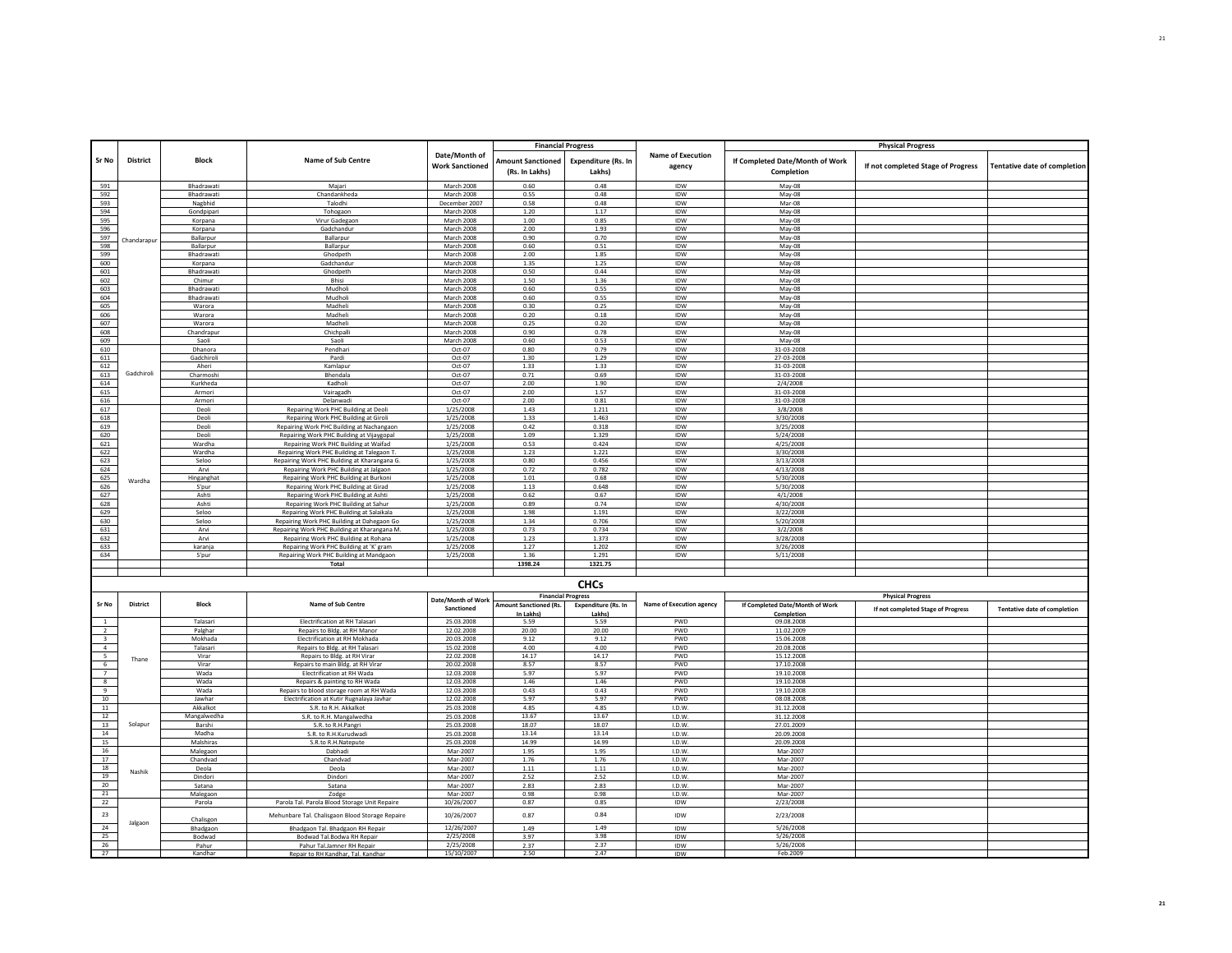| Sr No                   | <b>District</b> | <b>Block</b>          | Name of Sub Centre                                                                   | Date/Month of<br><b>Work Sanctioned</b> | <b>Amount Sanctioned</b><br>(Rs. In Lakhs) | <b>Financial Progress</b><br><b>Expenditure (Rs. In</b><br>Lakhs) | <b>Name of Execution</b><br>agency | If Completed Date/Month of Work<br>Completion | <b>Physical Progress</b><br>If not completed Stage of Progress | <b>Tentative date of completion</b> |
|-------------------------|-----------------|-----------------------|--------------------------------------------------------------------------------------|-----------------------------------------|--------------------------------------------|-------------------------------------------------------------------|------------------------------------|-----------------------------------------------|----------------------------------------------------------------|-------------------------------------|
| 591                     |                 | Bhadrawati            | Majari                                                                               | March 2008                              | 0.60                                       | 0.48                                                              | <b>IDW</b>                         | May-08                                        |                                                                |                                     |
| 592                     |                 | Bhadrawati            | Chandankheda                                                                         | March 2008                              | 0.55                                       | 0.48                                                              | IDW                                | May-08                                        |                                                                |                                     |
| 593                     |                 | Nagbhid               | Talodhi                                                                              | December 2007                           | 0.58                                       | 0.48                                                              | <b>IDW</b>                         | $Mar-08$                                      |                                                                |                                     |
| 594                     |                 | Gondpipari            | Tohogaon                                                                             | March 2008                              | 1.20                                       | 1.17                                                              | IDW                                | May-08                                        |                                                                |                                     |
| 595                     |                 | Korpana               | Virur Gadegaon                                                                       | March 2008                              | 1.00                                       | 0.85                                                              | IDW                                | May-08                                        |                                                                |                                     |
| 596                     |                 | Korpana               | Gadchandur                                                                           | March 2008                              | 2.00                                       | 1.93                                                              | IDW                                | $May-08$                                      |                                                                |                                     |
| 597                     | Chandarapur     | Ballarpur             | Ballarpur                                                                            | March 2008                              | 0.90                                       | 0.70                                                              | <b>IDW</b>                         | May-08                                        |                                                                |                                     |
| 598                     |                 | Ballarpur             | Ballarpur                                                                            | <b>March 2008</b>                       | 0.60                                       | 0.51                                                              | IDW                                | May-08                                        |                                                                |                                     |
| 599<br>600              |                 | Bhadrawati<br>Korpana | Ghodpeth<br>Gadchandur                                                               | March 2008<br>March 2008                | 2.00<br>1.35                               | 1.85<br>1.25                                                      | IDW<br>IDW                         | May-08                                        |                                                                |                                     |
| 601                     |                 | Bhadrawati            | Ghodpeth                                                                             | March 2008                              | 0.50                                       | 0.44                                                              | IDW                                | May-08<br>May-08                              |                                                                |                                     |
| 602                     |                 | Chimur                | <b>Rhisi</b>                                                                         | March 2008                              | 1.50                                       | 1.36                                                              | <b>IDW</b>                         | May-08                                        |                                                                |                                     |
| 603                     |                 | Bhadrawati            | Mudholi                                                                              | March 2008                              | 0.60                                       | 0.55                                                              | IDW                                | May-08                                        |                                                                |                                     |
| 604                     |                 | Bhadrawati            | Mudholi                                                                              | March 2008                              | 0.60                                       | 0.55                                                              | <b>IDW</b>                         | May-08                                        |                                                                |                                     |
| 605                     |                 | Warora                | Madheli                                                                              | March 2008                              | 0.30                                       | 0.25                                                              | IDW                                | May-08                                        |                                                                |                                     |
| 606                     |                 | Warora                | Madheli                                                                              | March 2008                              | 0.20                                       | 0.18                                                              | IDW                                | May-08                                        |                                                                |                                     |
| 607                     |                 | Warora                | Madheli                                                                              | March 2008                              | 0.25                                       | 0.20                                                              | <b>IDW</b>                         | May-08                                        |                                                                |                                     |
| 608                     |                 | Chandrapur            | Chichpalli                                                                           | March 2008                              | 0.90                                       | 0.78                                                              | IDW                                | May-08                                        |                                                                |                                     |
| 609                     |                 | Saoli                 | Saoli                                                                                | March 2008                              | 0.60                                       | 0.53                                                              | IDW                                | May-08                                        |                                                                |                                     |
| 610                     |                 | Dhanora               | Pendhari                                                                             | Oct-07                                  | 0.80                                       | 0.79                                                              | IDW                                | 31-03-2008                                    |                                                                |                                     |
| 611                     |                 | Gadchiroli            | Pardi                                                                                | Oct-07                                  | 1.30                                       | 1.29                                                              | <b>IDW</b>                         | 27-03-2008                                    |                                                                |                                     |
| 612                     | Gadchiroli      | Aheri                 | Kamlapur                                                                             | Oct-07                                  | 1.33                                       | 1.33                                                              | IDW                                | 31-03-2008                                    |                                                                |                                     |
| 613                     |                 | Charmoshi             | Bhendala                                                                             | Oct-07                                  | 0.71                                       | 0.69                                                              | IDW                                | 31-03-2008                                    |                                                                |                                     |
| 614                     |                 | Kurkheda              | Kadholi                                                                              | $Oct-07$                                | 2.00                                       | 1.90                                                              | <b>IDW</b>                         | 2/4/2008                                      |                                                                |                                     |
| 615<br>616              |                 | Armori<br>Armori      | Vairagadh<br>Delanwadi                                                               | Oct-07<br>Oct-07                        | 2.00<br>2.00                               | 1.57<br>0.81                                                      | IDW<br>IDW                         | 31-03-2008<br>31-03-2008                      |                                                                |                                     |
| 617                     |                 | Deoli                 | Repairing Work PHC Building at Deoli                                                 | 1/25/2008                               | 1.43                                       | 1.211                                                             | IDW                                | 3/8/2008                                      |                                                                |                                     |
| 618                     |                 | Deoli                 | Repairing Work PHC Building at Giroli                                                | 1/25/2008                               | 1.33                                       | 1.463                                                             | <b>IDW</b>                         | 3/30/2008                                     |                                                                |                                     |
| 619                     |                 | Deoli                 | Repairing Work PHC Building at Nachangaon                                            | 1/25/2008                               | 0.42                                       | 0.318                                                             | IDW                                | 3/25/2008                                     |                                                                |                                     |
| 620                     |                 | Deoli                 | Repairing Work PHC Building at Vijaygopal                                            | 1/25/2008                               | 1.09                                       | 1.329                                                             | IDW                                | 5/24/2008                                     |                                                                |                                     |
| 621                     |                 | Wardha                | Repairing Work PHC Building at Waifad                                                | 1/25/2008                               | 0.53                                       | 0.424                                                             | IDW                                | 4/25/2008                                     |                                                                |                                     |
| 622                     |                 | Wardha                | Repairing Work PHC Building at Talegaon T                                            | 1/25/2008                               | 1.23                                       | 1.221                                                             | IDW                                | 3/30/2008                                     |                                                                |                                     |
| 623                     |                 | Seloo                 | Repairing Work PHC Building at Kharangana G                                          | 1/25/2008                               | 0.80                                       | 0.456                                                             | <b>IDW</b>                         | 3/13/2008                                     |                                                                |                                     |
| 624                     |                 | Arvi                  | Repairing Work PHC Building at Jalgaon                                               | 1/25/2008                               | 0.72                                       | 0.782                                                             | IDW                                | 4/13/2008                                     |                                                                |                                     |
| 625                     | Wardha          | Hinganghat            | Repairing Work PHC Building at Burkoni                                               | 1/25/2008                               | 1.01                                       | 0.68                                                              | <b>IDW</b>                         | 5/30/2008                                     |                                                                |                                     |
| 626                     |                 | S'pur                 | Repairing Work PHC Building at Girad                                                 | 1/25/2008                               | 1.13                                       | 0.648                                                             | IDW                                | 5/30/2008                                     |                                                                |                                     |
| 627                     |                 | Ashti                 | Repairing Work PHC Building at Ashti                                                 | 1/25/2008                               | 0.62                                       | 0.67                                                              | IDW                                | 4/1/2008                                      |                                                                |                                     |
| 628                     |                 | Ashti                 | Repairing Work PHC Building at Sahur                                                 | 1/25/2008                               | 0.89                                       | 0.74                                                              | IDW                                | 4/30/2008                                     |                                                                |                                     |
| 629<br>630              |                 | Seloo<br>Seloo        | Repairing Work PHC Building at Salaikala                                             | 1/25/2008                               | 1.98<br>1.34                               | 1.191<br>0.706                                                    | <b>IDW</b><br>IDW                  | 3/22/2008                                     |                                                                |                                     |
|                         |                 | Arvi                  | Repairing Work PHC Building at Dahegaon Go                                           | 1/25/2008<br>1/25/2008                  | 0.73                                       | 0.734                                                             | IDW                                | 5/20/2008                                     |                                                                |                                     |
| 631<br>632              |                 | Arvi                  | Repairing Work PHC Building at Kharangana M<br>Repairing Work PHC Building at Rohana | 1/25/2008                               | 1.23                                       | 1.373                                                             | IDW                                | 3/2/2008                                      |                                                                |                                     |
| 633                     |                 | karanja               | Repairing Work PHC Building at 'K' gram                                              | 1/25/2008                               | 1.27                                       | 1.202                                                             | IDW                                | 3/28/2008<br>3/26/2008                        |                                                                |                                     |
| 634                     |                 | S'pur                 | Repairing Work PHC Building at Mandgaon                                              | 1/25/2008                               | 1.36                                       | 1.291                                                             | IDW                                | 5/11/2008                                     |                                                                |                                     |
|                         |                 |                       | Total                                                                                |                                         | 1398.24                                    | 1321.75                                                           |                                    |                                               |                                                                |                                     |
|                         |                 |                       |                                                                                      |                                         |                                            |                                                                   |                                    |                                               |                                                                |                                     |
|                         |                 |                       |                                                                                      |                                         |                                            | <b>CHCs</b>                                                       |                                    |                                               |                                                                |                                     |
|                         |                 |                       |                                                                                      |                                         |                                            |                                                                   |                                    |                                               |                                                                |                                     |
|                         |                 |                       |                                                                                      | Date/Month of Work                      |                                            | <b>Financial Progress</b>                                         |                                    |                                               | <b>Physical Progress</b>                                       |                                     |
| Sr No                   | District        | <b>Block</b>          | Name of Sub Centre                                                                   | Sanctioned                              | Amount Sanctioned (Rs.                     | <b>Expenditure (Rs. In</b>                                        | <b>Name of Execution agency</b>    | If Completed Date/Month of Work               | If not completed Stage of Progress                             | <b>Tentative date of completion</b> |
|                         |                 | Talasari              | Electrification at RH Talasari                                                       | 25.03.2008                              | In Lakhs)<br>5.59                          | Lakhs)<br>5.59                                                    | PWD                                | Completion<br>09.08.2008                      |                                                                |                                     |
| $\overline{2}$          |                 | Palghar               | Repairs to Bldg. at RH Manor                                                         | 12.02.2008                              | 20.00                                      | 20.00                                                             | <b>PWD</b>                         | 11.02.2009                                    |                                                                |                                     |
| $\overline{\mathbf{3}}$ |                 | Mokhada               | Electrification at RH Mokhada                                                        | 20.03.2008                              | 9.12                                       | 9.12                                                              | PWD                                | 15.06.2008                                    |                                                                |                                     |
| $\overline{4}$          |                 | Talasari              | Repairs to Bldg. at RH Talasari                                                      | 15.02.2008                              | 4.00                                       | 4.00                                                              | PWD                                | 20.08.2008                                    |                                                                |                                     |
| $5 -$                   |                 | Virar                 | Repairs to Bldg. at RH Virar                                                         | 22.02.2008                              | 14.17                                      | 14.17                                                             | <b>PWD</b>                         | 15.12.2008                                    |                                                                |                                     |
| 6                       | Thane           | Virar                 | Repairs to main Bldg. at RH Virar                                                    | 20.02.2008                              | 8.57                                       | 8.57                                                              | PWD                                | 17.10.2008                                    |                                                                |                                     |
| 7                       |                 | Wada                  | Electrification at RH Wada                                                           | 12.03.2008                              | 5.97                                       | 5.97                                                              | <b>PWD</b>                         | 19.10.2008                                    |                                                                |                                     |
| 8                       |                 | Wada                  | Repairs & painting to RH Wada                                                        | 12.03.2008                              | 1.46                                       | 1.46                                                              | PWD                                | 19.10.2008                                    |                                                                |                                     |
| 9                       |                 | Wada                  | Repairs to blood storage room at RH Wada                                             | 12.03.2008                              | 0.43                                       | 0.43                                                              | <b>PWD</b>                         | 19.10.2008                                    |                                                                |                                     |
| 10                      |                 | Jawhar                | Electrification at Kutir Rugnalaya Javhar                                            | 12.02.2008                              | 5.97                                       | 5.97                                                              | PWD                                | 08.08.2008                                    |                                                                |                                     |
| $11\,$                  |                 | Akkalkot              | S.R. to R.H. Akkalkot                                                                | 25.03.2008                              | 4.85                                       | 4.85                                                              | I.D.W.                             | 31.12.2008                                    |                                                                |                                     |
| 12                      |                 | Mangalwedha           | S.R. to R.H. Mangalwedha                                                             | 25.03.2008                              | 13.67                                      | 13.67                                                             | I.D.W.                             | 31.12.2008                                    |                                                                |                                     |
| 13                      | Solapur         | Barshi                | S.R. to R.H.Pangri                                                                   | 25.03.2008                              | 18.07                                      | 18.07                                                             | I.D.W.                             | 27.01.2009                                    |                                                                |                                     |
| 14                      |                 | Madha                 | S.R. to R.H.Kurudwadi                                                                | 25.03.2008                              | 13.14                                      | 13.14                                                             | I.D.W.                             | 20.09.2008                                    |                                                                |                                     |
| 15<br>16                |                 | Malshiras             | S.R.to R.H.Natepute<br>Dabhadi                                                       | 25.03.2008<br>Mar-2007                  | 14.99<br>1.95                              | 14.99<br>1.95                                                     | I.D.W.<br>I.D.W                    | 20.09.2008<br>Mar-2007                        |                                                                |                                     |
| 17                      |                 | Malegaon<br>Chandvad  | Chandvad                                                                             | Mar-2007                                | 1.76                                       | 1.76                                                              | I.D.W.                             | Mar-2007                                      |                                                                |                                     |
| $18\,$                  |                 | Deola                 | Deola                                                                                | Mar-2007                                | $1.11\,$                                   | $1.11\,$                                                          | I.D.W.                             | Mar-2007                                      |                                                                |                                     |
| 19                      | Nashik          | Dindori               | Dindori                                                                              | Mar-2007                                | 2.52                                       | 2.52                                                              | I.D.W.                             | Mar-2007                                      |                                                                |                                     |
| 20                      |                 | Satana                | Satana                                                                               | Mar-2007                                | 2.83                                       | 2.83                                                              | I.D.W.                             | Mar-2007                                      |                                                                |                                     |
| 21                      |                 | Malegaon              | Zodge                                                                                | Mar-2007                                | 0.98                                       | 0.98                                                              | I.D.W.                             | Mar-2007                                      |                                                                |                                     |
| ${\bf 22}$              |                 | Parola                | Parola Tal. Parola Blood Storage Unit Repaire                                        | 10/26/2007                              | 0.87                                       | 0.85                                                              | IDW                                | 2/23/2008                                     |                                                                |                                     |
| 23                      |                 |                       | Mehunbare Tal. Chalisgaon Blood Storage Repaire                                      | 10/26/2007                              | 0.87                                       | 0.84                                                              | <b>IDW</b>                         | 2/23/2008                                     |                                                                |                                     |
|                         | Jalgaon         | Chalisgon             |                                                                                      |                                         |                                            |                                                                   |                                    |                                               |                                                                |                                     |
| 24                      |                 | Bhadgaon              | Bhadgaon Tal. Bhadgaon RH Repair                                                     | 12/26/2007                              | 1.49                                       | 1.49                                                              | <b>IDW</b>                         | 5/26/2008                                     |                                                                |                                     |
| 25                      |                 | Bodwad                | Bodwad Tal.Bodwa RH Repair                                                           | 2/25/2008                               | 3.97                                       | 3.98                                                              | IDW                                | 5/26/2008                                     |                                                                |                                     |
| 26                      |                 | Pahur                 | Pahur Tal.Jamner RH Repair                                                           | 2/25/2008                               | 2.37                                       | 2.37                                                              | IDW                                | 5/26/2008                                     |                                                                |                                     |
| 27                      |                 | Kandhar               | Renair to RH Kandhar, Tal, Kandha                                                    | 15/10/2007                              | 2.50                                       | 2.47                                                              | <b>IDW</b>                         | Feb.2009                                      |                                                                |                                     |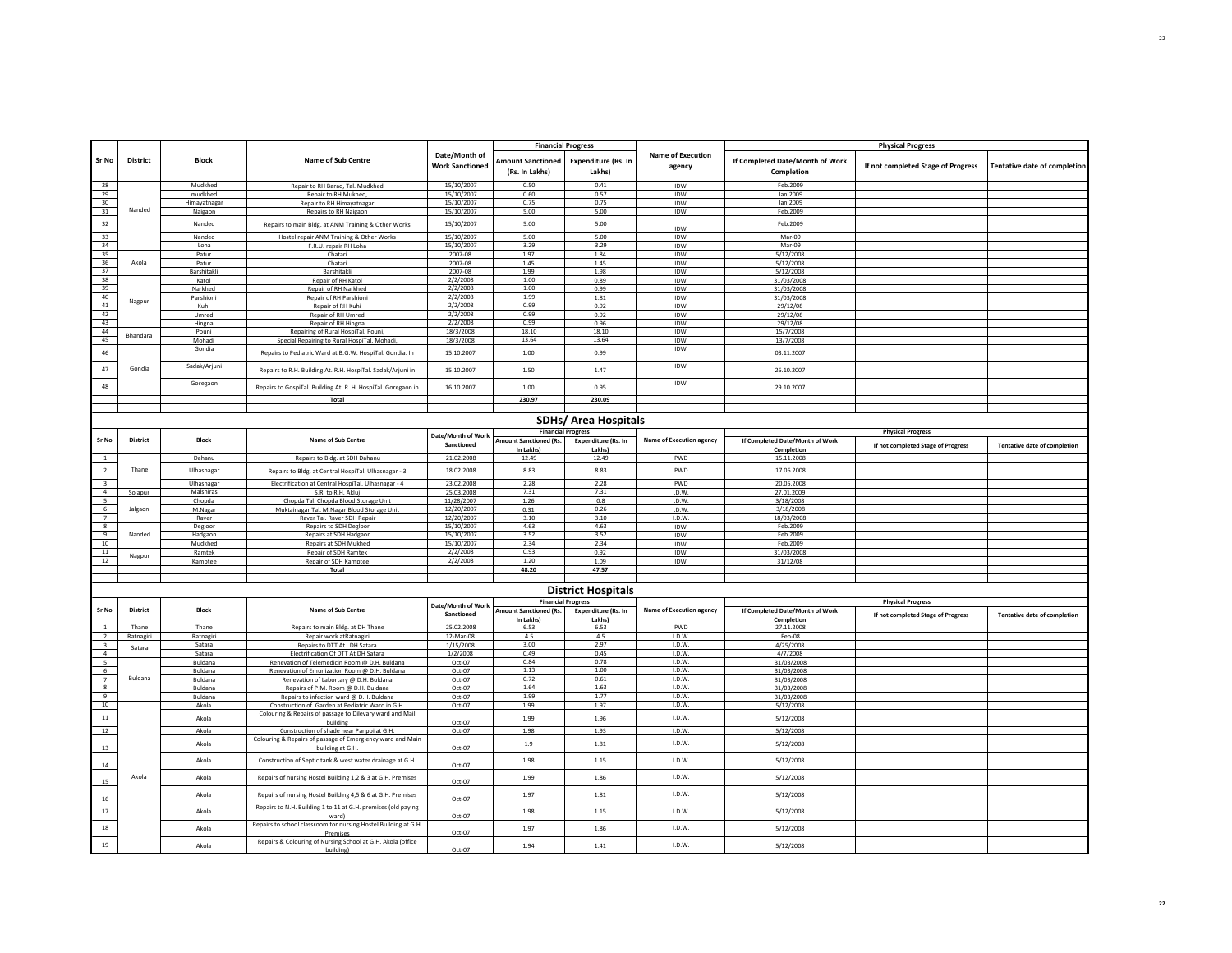| Sr No                   | <b>District</b> | <b>Block</b>   | Name of Sub Centre                                                            | Date/Month of<br><b>Work Sanctioned</b> | <b>Amount Sanctioned</b><br>(Rs. In Lakhs) | <b>Financial Progress</b><br><b>Expenditure (Rs. In</b><br>Lakhs) | <b>Name of Execution</b><br>agency | If Completed Date/Month of Work<br>Completion | <b>Physical Progress</b><br>If not completed Stage of Progress | <b>Tentative date of completion</b> |
|-------------------------|-----------------|----------------|-------------------------------------------------------------------------------|-----------------------------------------|--------------------------------------------|-------------------------------------------------------------------|------------------------------------|-----------------------------------------------|----------------------------------------------------------------|-------------------------------------|
| 28                      |                 | Mudkhed        | Repair to RH Barad, Tal. Mudkhed                                              | 15/10/2007                              | 0.50                                       | 0.41                                                              | IDW                                | Feb.2009                                      |                                                                |                                     |
| 29                      |                 | mudkhed        | Repair to RH Mukhed,                                                          | 15/10/2007                              | 0.60                                       | 0.57                                                              | IDW                                | Jan.2009                                      |                                                                |                                     |
| 30                      |                 | Himavatnaga    | Repair to RH Himayatnagar                                                     | 15/10/2007                              | 0.75                                       | 0.75                                                              | <b>IDW</b>                         | Jan.2009                                      |                                                                |                                     |
| 31                      | Nanded          | Naigaon        | Repairs to RH Naigaon                                                         | 15/10/2007                              | 5.00                                       | 5.00                                                              | IDW                                | Feb.2009                                      |                                                                |                                     |
| 32                      |                 | Nanded         | Repairs to main Bldg. at ANM Training & Other Works                           | 15/10/2007                              | 5.00                                       | 5.00                                                              | IDW                                | Feb.2009                                      |                                                                |                                     |
| 33                      |                 | Nanded         | Hostel repair ANM Training & Other Works                                      | 15/10/2007                              | 5.00                                       | 5.00                                                              | IDW                                | Mar-09                                        |                                                                |                                     |
| 34                      |                 | Loha           | F.R.U. repair RH Loha                                                         | 15/10/2007                              | 3.29                                       | 3.29                                                              | IDW                                | Mar-09                                        |                                                                |                                     |
| 35                      |                 | Patur          | Chatari                                                                       | 2007-08                                 | 1.97                                       | 1.84                                                              | IDW                                | 5/12/2008                                     |                                                                |                                     |
| 36                      | Akola           | Patur          | Chatari                                                                       | 2007-08                                 | 1.45                                       | 1.45                                                              | IDW                                | 5/12/2008                                     |                                                                |                                     |
| 37                      |                 | Barshitakli    | Barshitakli                                                                   | 2007-08                                 | 1.99                                       | 1.98                                                              | IDW                                | 5/12/2008                                     |                                                                |                                     |
| 38                      |                 | Katol          | Repair of RH Katol                                                            | 2/2/2008                                | 1.00                                       | 0.89                                                              | IDW                                | 31/03/2008                                    |                                                                |                                     |
| 39                      |                 | Narkhed        | Repair of RH Narkhed                                                          | 2/2/2008                                | 1.00                                       | 0.99                                                              | IDW                                | 31/03/2008                                    |                                                                |                                     |
| 40                      |                 | Parshioni      | Repair of RH Parshioni                                                        | 2/2/2008                                | 1.99                                       | $1.81\,$                                                          | IDW                                | 31/03/2008                                    |                                                                |                                     |
| 41                      | Nagpur          | Kuhi           | Repair of RH Kuhi                                                             | 2/2/2008                                | 0.99                                       | 0.92                                                              | IDW                                | 29/12/08                                      |                                                                |                                     |
| 42                      |                 | Umred          | Repair of RH Umred                                                            | 2/2/2008                                | 0.99                                       | 0.92                                                              | <b>IDW</b>                         | 29/12/08                                      |                                                                |                                     |
| 43                      |                 | Hingna         | Repair of RH Hingna                                                           | 2/2/2008                                | 0.99                                       | 0.96                                                              | IDW                                | 29/12/08                                      |                                                                |                                     |
| 44                      |                 | Pouni          | Repairing of Rural HospiTal. Pouni                                            | 18/3/2008                               | 18.10                                      | 18.10                                                             | IDW                                | 15/7/2008                                     |                                                                |                                     |
| 45                      | Bhandara        | Mohadi         | Special Repairing to Rural HospiTal. Mohad                                    | 18/3/2008                               | 13.64                                      | 13.64                                                             | IDW                                | 13/7/2008                                     |                                                                |                                     |
| 46                      |                 | Gondia         | Repairs to Pediatric Ward at B.G.W. HospiTal. Gondia. In                      | 15.10.2007                              | 1.00                                       | 0.99                                                              | IDW                                | 03.11.2007                                    |                                                                |                                     |
| 47                      | Gondia          | Sadak/Arjuni   | Repairs to R.H. Building At. R.H. HospiTal. Sadak/Arjuni in                   | 15.10.2007                              | 1.50                                       | 1.47                                                              | <b>IDW</b>                         | 26.10.2007                                    |                                                                |                                     |
| 48                      |                 | Goregaon       | Repairs to GospiTal. Building At. R. H. HospiTal. Goregaon in                 | 16.10.2007                              | 1.00                                       | 0.95                                                              | IDW                                | 29.10.2007                                    |                                                                |                                     |
|                         |                 |                | Total                                                                         |                                         | 230.97                                     | 230.09                                                            |                                    |                                               |                                                                |                                     |
|                         |                 |                |                                                                               |                                         |                                            | <b>SDHs/ Area Hospitals</b>                                       |                                    |                                               |                                                                |                                     |
| Sr No                   | <b>District</b> | <b>Block</b>   | Name of Sub Centre                                                            | Date/Month of Worl<br>Sanctioned        | Amount Sanctioned (Rs.                     | <b>Financial Progress</b><br><b>Expenditure (Rs. In</b>           | Name of Execution agency           | If Completed Date/Month of Work               | <b>Physical Progress</b>                                       | Tentative date of completion        |
|                         |                 |                |                                                                               |                                         | In Lakhs)                                  | Lakhsl                                                            |                                    | Completion                                    | If not completed Stage of Progress                             |                                     |
| <sup>1</sup>            |                 | Dahanu         | Repairs to Bldg. at SDH Dahanu                                                | 21.02.2008                              | 12.49                                      | 12.49                                                             | PWD                                | 15.11.2008                                    |                                                                |                                     |
| $\overline{2}$          | Thane           | Ulhasnagar     | Repairs to Bldg. at Central HospiTal. Ulhasnagar - 3                          | 18.02.2008                              | 8.83                                       | 8.83                                                              | PWD                                | 17.06.2008                                    |                                                                |                                     |
| $\overline{\mathbf{3}}$ |                 | Ulhasnagar     | Electrification at Central HospiTal. Ulhasnagar - 4                           | 23.02.2008                              | 2.28                                       | 2.28                                                              | PWD                                | 20.05.2008                                    |                                                                |                                     |
| $\overline{4}$          | Solapur         | Malshiras      | S.R. to R.H. Akluj                                                            | 25.03.2008                              | 7.31                                       | 7.31                                                              | I.D.W.                             | 27.01.2009                                    |                                                                |                                     |
| $5\overline{5}$         |                 | Chopda         | Chopda Tal. Chopda Blood Storage Unit                                         | 11/28/2007                              | 1.26                                       | 0.8                                                               | I.D.W.                             | 3/18/2008                                     |                                                                |                                     |
|                         | Jalgaon         | M.Nagar        | Muktainagar Tal. M.Nagar Blood Storage Unit                                   | 12/20/2007                              | 0.31                                       | 0.26                                                              | I.D.W.                             | 3/18/2008                                     |                                                                |                                     |
| $\frac{6}{7}$           |                 | Raver          | Raver Tal. Raver SDH Repair                                                   | 12/20/2007                              | 3.10                                       | 3.10                                                              | I.D.W                              | 18/03/2008                                    |                                                                |                                     |
| $\overline{\mathbf{8}}$ |                 | Degloor        | Repairs to SDH Degloor                                                        | 15/10/2007                              | 4.63                                       | 4.63                                                              | IDW                                | Feb.2009                                      |                                                                |                                     |
| 9                       | Nanded          | Hadgaon        | Repairs at SDH Hadgaon                                                        | 15/10/2007                              | 3.52                                       | 3.52                                                              | IDW                                | Feb.2009                                      |                                                                |                                     |
| 10                      |                 | Mudkhed        | Repairs at SDH Mukhed                                                         | 15/10/2007                              | 2.34                                       | 2.34                                                              | IDW                                | Feb.2009                                      |                                                                |                                     |
| 11                      |                 | Ramtek         | Repair of SDH Ramtek                                                          | 2/2/2008                                | 0.93                                       | 0.92                                                              | IDW                                | 31/03/2008                                    |                                                                |                                     |
| 12                      | Nagpur          | Kamptee        | Repair of SDH Kamptee                                                         | 2/2/2008                                | 1.20                                       | 1.09                                                              | IDW                                | 31/12/08                                      |                                                                |                                     |
|                         |                 |                | Total                                                                         |                                         | 48.20                                      | 47.57                                                             |                                    |                                               |                                                                |                                     |
|                         |                 |                |                                                                               |                                         |                                            |                                                                   |                                    |                                               |                                                                |                                     |
|                         |                 |                |                                                                               |                                         |                                            | <b>District Hospitals</b>                                         |                                    |                                               |                                                                |                                     |
|                         |                 |                |                                                                               |                                         |                                            | <b>Financial Progress</b>                                         |                                    |                                               | <b>Physical Progress</b>                                       |                                     |
| Sr No                   | District        | <b>Block</b>   | Name of Sub Centre                                                            | Date/Month of Work                      | <b>Amount Sanctioned (Rs.</b>              | <b>Expenditure (Rs. In</b>                                        | <b>Name of Execution agency</b>    | If Completed Date/Month of Work               |                                                                |                                     |
|                         |                 |                |                                                                               | Sanctioned                              | In Lakhs)                                  | Lakhs)                                                            |                                    | Completion                                    | If not completed Stage of Progress                             | <b>Tentative date of completion</b> |
| $\overline{1}$          | Thane           | Thane          | Repairs to main Bldg. at DH Thane                                             | 25.02.2008                              | 6.53                                       | 6.53                                                              | <b>PWD</b>                         | 27.11.2008                                    |                                                                |                                     |
| $\overline{2}$          | Ratnagiri       | Ratnagiri      | Repair work at Ratnagiri                                                      | 12-Mar-08                               | 4.5                                        | 4.5                                                               | I.D.W.                             | Feb-08                                        |                                                                |                                     |
| $\overline{\mathbf{3}}$ |                 | Satara         | Repairs to DTT At DH Satara                                                   | 1/15/2008                               | 3.00                                       | 2.97                                                              | I.D.W                              | 4/25/2008                                     |                                                                |                                     |
| $\overline{a}$          | Satara          | Satara         | Electrification Of DTT At DH Satara                                           | 1/2/2008                                | 0.49                                       | 0.45                                                              | I.D.W.                             | 4/7/2008                                      |                                                                |                                     |
| 5                       |                 | Buldana        | Renevation of Telemedicin Room @ D.H. Buldana                                 | Oct-07                                  | 0.84                                       | 0.78                                                              | I.D.W                              | 31/03/2008                                    |                                                                |                                     |
| 6                       |                 | <b>Buldana</b> | Renevation of Emunization Room @ D.H. Buldana                                 | Oct-07                                  | 1.13                                       | 1.00                                                              | I.D.W.                             | 31/03/2008                                    |                                                                |                                     |
| $\overline{7}$          | Buldana         | Buldana        | Renevation of Labortary @ D.H. Buldana                                        | Oct-07                                  | 0.72                                       | 0.61                                                              | I.D.W.                             | 31/03/2008                                    |                                                                |                                     |
| $\overline{\mathbf{8}}$ |                 | Buldana        | Repairs of P.M. Room @ D.H. Buldana                                           | Oct-07                                  | 1.64                                       | 1.63                                                              | I.D.W.                             | 31/03/2008                                    |                                                                |                                     |
| 9                       |                 | Buldana        | Repairs to infection ward @ D.H. Buldana                                      | Oct-07                                  | 1.99                                       | 1.77                                                              | I.D.W.                             | 31/03/2008                                    |                                                                |                                     |
| $10$                    |                 | Akola          | Construction of Garden at Pediatric Ward in G.H.                              | Oct-07                                  | 1.99                                       | 1.97                                                              | I.D.W.                             | 5/12/2008                                     |                                                                |                                     |
| $11\,$                  |                 | Akola          | Colouring & Repairs of passage to Dilevary ward and Mail                      |                                         | 1.99                                       | 1.96                                                              | I.D.W.                             | 5/12/2008                                     |                                                                |                                     |
| 12                      |                 | Akola          | building<br>Construction of shade near Panpoi at G.H.                         | Oct-07<br>Oct-07                        | 1.98                                       | 1.93                                                              | I.D.W.                             | 5/12/2008                                     |                                                                |                                     |
| 13                      |                 | Akola          | Colouring & Repairs of passage of Emergiency ward and Main<br>building at G.H | Oct-07                                  | 1.9                                        | 1.81                                                              | I.D.W                              | 5/12/2008                                     |                                                                |                                     |
| 14                      |                 | Akola          | Construction of Septic tank & west water drainage at G.H.                     | Oct-07                                  | 1.98                                       | 1.15                                                              | I.D.W.                             | 5/12/2008                                     |                                                                |                                     |
| 15                      | Akola           | Akola          | Repairs of nursing Hostel Building 1,2 & 3 at G.H. Premises                   | Oct-07                                  | 1.99                                       | 1.86                                                              | I.D.W.                             | 5/12/2008                                     |                                                                |                                     |
| 16                      |                 | Akola          | Repairs of nursing Hostel Building 4,5 & 6 at G.H. Premises                   | Oct-07                                  | 1.97                                       | $1.81\,$                                                          | I.D.W.                             | 5/12/2008                                     |                                                                |                                     |
| $17\,$                  |                 | Akola          | Repairs to N.H. Building 1 to 11 at G.H. premises (old paying<br>ward)        | Oct-07                                  | 1.98                                       | 1.15                                                              | I.D.W.                             | 5/12/2008                                     |                                                                |                                     |
| 18                      |                 | Akola          | Repairs to school classroom for nursing Hostel Building at G.H.<br>Premises   | Oct-07                                  | 1.97                                       | 1.86                                                              | I.D.W.                             | 5/12/2008                                     |                                                                |                                     |
| 19                      |                 | Akola          | Repairs & Colouring of Nursing School at G.H. Akola (office<br>huilding)      | Oct-07                                  | 1.94                                       | 1.41                                                              | I.D.W.                             | 5/12/2008                                     |                                                                |                                     |